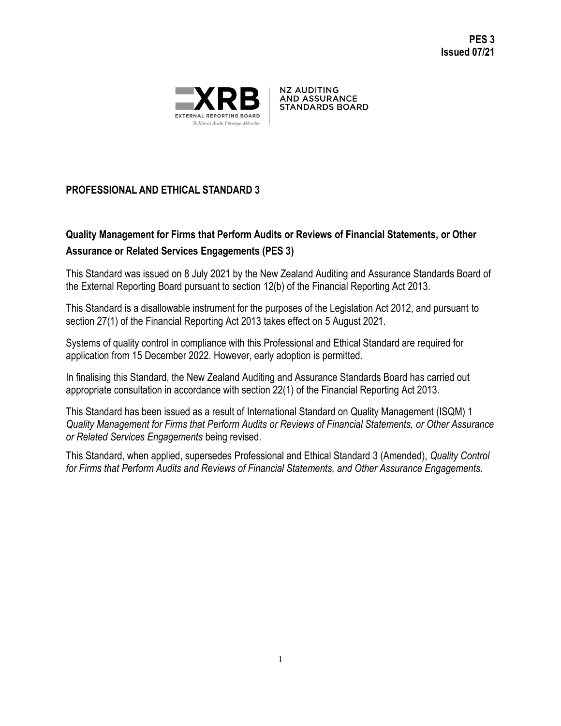

**NZ AUDITING AND ASSURANCE STANDARDS BOARD** 

# **PROFESSIONAL AND ETHICAL STANDARD 3**

# **Quality Management for Firms that Perform Audits or Reviews of Financial Statements, or Other Assurance or Related Services Engagements (PES 3)**

This Standard was issued on 8 July 2021 by the New Zealand Auditing and Assurance Standards Board of the External Reporting Board pursuant to section 12(b) of the Financial Reporting Act 2013.

This Standard is a disallowable instrument for the purposes of the Legislation Act 2012, and pursuant to section 27(1) of the Financial Reporting Act 2013 takes effect on 5 August 2021.

Systems of quality control in compliance with this Professional and Ethical Standard are required for application from 15 December 2022. However, early adoption is permitted.

In finalising this Standard, the New Zealand Auditing and Assurance Standards Board has carried out appropriate consultation in accordance with section 22(1) of the Financial Reporting Act 2013.

This Standard has been issued as a result of International Standard on Quality Management (ISQM) 1 *Quality Management for Firms that Perform Audits or Reviews of Financial Statements, or Other Assurance or Related Services Engagements* being revised.

This Standard, when applied, supersedes Professional and Ethical Standard 3 (Amended), *Quality Control for Firms that Perform Audits and Reviews of Financial Statements, and Other Assurance Engagements.*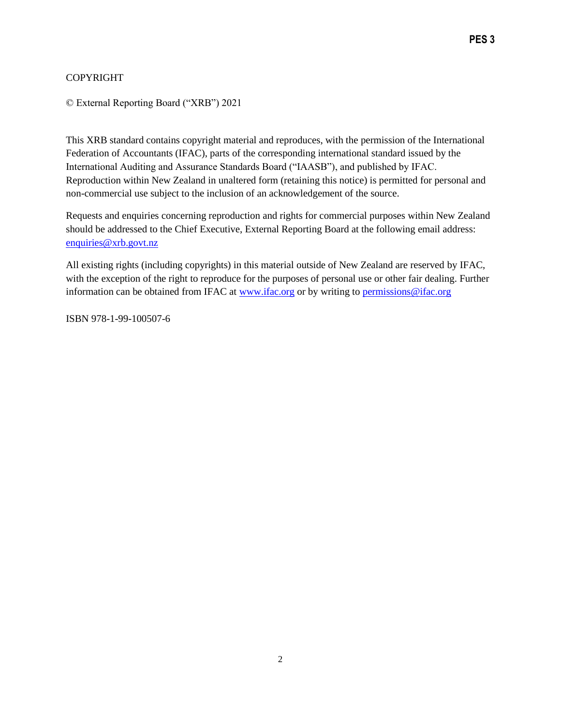### COPYRIGHT

© External Reporting Board ("XRB") 2021

This XRB standard contains copyright material and reproduces, with the permission of the International Federation of Accountants (IFAC), parts of the corresponding international standard issued by the International Auditing and Assurance Standards Board ("IAASB"), and published by IFAC. Reproduction within New Zealand in unaltered form (retaining this notice) is permitted for personal and non-commercial use subject to the inclusion of an acknowledgement of the source.

Requests and enquiries concerning reproduction and rights for commercial purposes within New Zealand should be addressed to the Chief Executive, External Reporting Board at the following email address: [enquiries@xrb.govt.nz](mailto:enquiries@xrb.govt.nz)

All existing rights (including copyrights) in this material outside of New Zealand are reserved by IFAC, with the exception of the right to reproduce for the purposes of personal use or other fair dealing. Further information can be obtained from IFAC at [www.ifac.org](http://www.ifac.org/) or by writing to [permissions@ifac.org](mailto:permissions@ifac.org)

ISBN 978-1-99-100507-6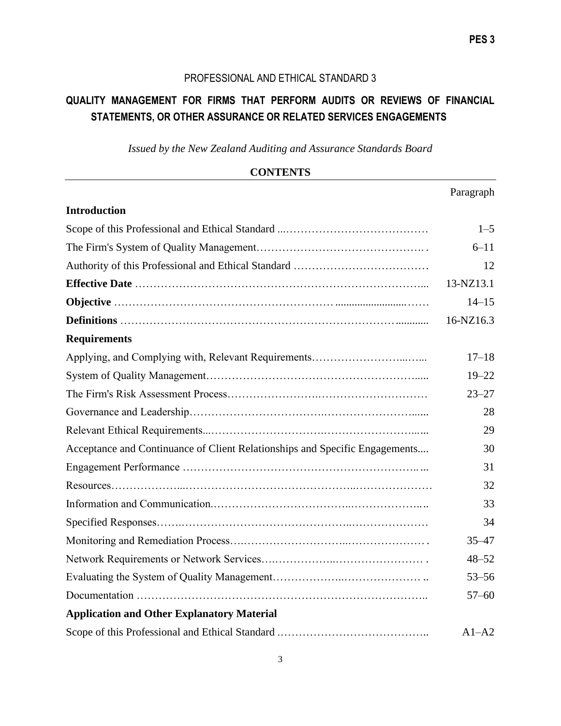# PROFESSIONAL AND ETHICAL STANDARD 3

# **QUALITY MANAGEMENT FOR FIRMS THAT PERFORM AUDITS OR REVIEWS OF FINANCIAL STATEMENTS, OR OTHER ASSURANCE OR RELATED SERVICES ENGAGEMENTS**

*Issued by the New Zealand Auditing and Assurance Standards Board* 

| <b>CONTENTS</b>                                                             |           |  |
|-----------------------------------------------------------------------------|-----------|--|
|                                                                             | Paragraph |  |
| <b>Introduction</b>                                                         |           |  |
|                                                                             | $1 - 5$   |  |
|                                                                             |           |  |
|                                                                             |           |  |
|                                                                             | 13-NZ13.1 |  |
|                                                                             | $14 - 15$ |  |
|                                                                             | 16-NZ16.3 |  |
| <b>Requirements</b>                                                         |           |  |
|                                                                             | $17 - 18$ |  |
|                                                                             | $19 - 22$ |  |
|                                                                             | $23 - 27$ |  |
|                                                                             | 28        |  |
|                                                                             | 29        |  |
| Acceptance and Continuance of Client Relationships and Specific Engagements |           |  |
|                                                                             |           |  |
|                                                                             | 32        |  |
|                                                                             | 33        |  |
|                                                                             | 34        |  |
|                                                                             | $35 - 47$ |  |
|                                                                             | $48 - 52$ |  |
|                                                                             | $53 - 56$ |  |
|                                                                             | $57 - 60$ |  |
| <b>Application and Other Explanatory Material</b>                           |           |  |
|                                                                             | $A1-A2$   |  |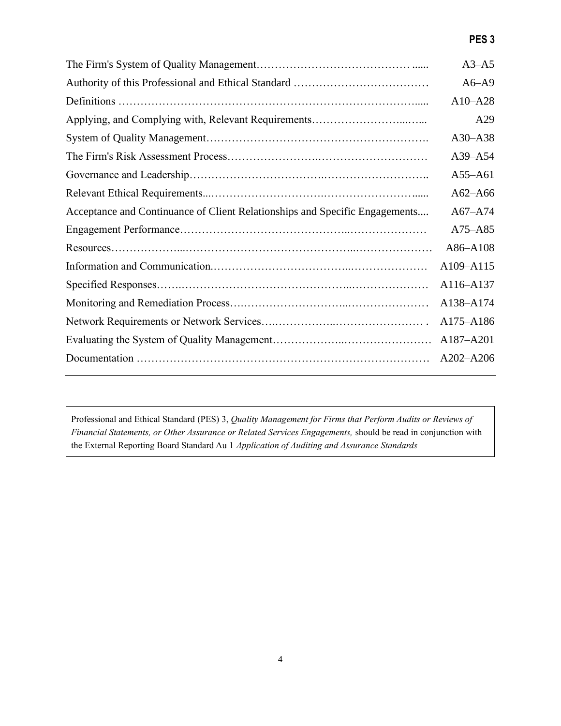# **PES 3**

|                                                                             | $A3 - A5$   |
|-----------------------------------------------------------------------------|-------------|
|                                                                             | $A6 - A9$   |
|                                                                             | $A10 - A28$ |
|                                                                             | A29         |
|                                                                             | $A30 - A38$ |
|                                                                             | $A39 - A54$ |
|                                                                             | $A55 - A61$ |
|                                                                             | $A62 - A66$ |
| Acceptance and Continuance of Client Relationships and Specific Engagements | $A67 - A74$ |
|                                                                             | A75-A85     |
|                                                                             | A86-A108    |
|                                                                             | A109-A115   |
|                                                                             | A116-A137   |
|                                                                             | A138-A174   |
|                                                                             | A175-A186   |
|                                                                             | A187-A201   |
|                                                                             | A202-A206   |
|                                                                             |             |

Professional and Ethical Standard (PES) 3, *Quality Management for Firms that Perform Audits or Reviews of Financial Statements, or Other Assurance or Related Services Engagements,* should be read in conjunction with the External Reporting Board Standard Au 1 *Application of Auditing and Assurance Standards*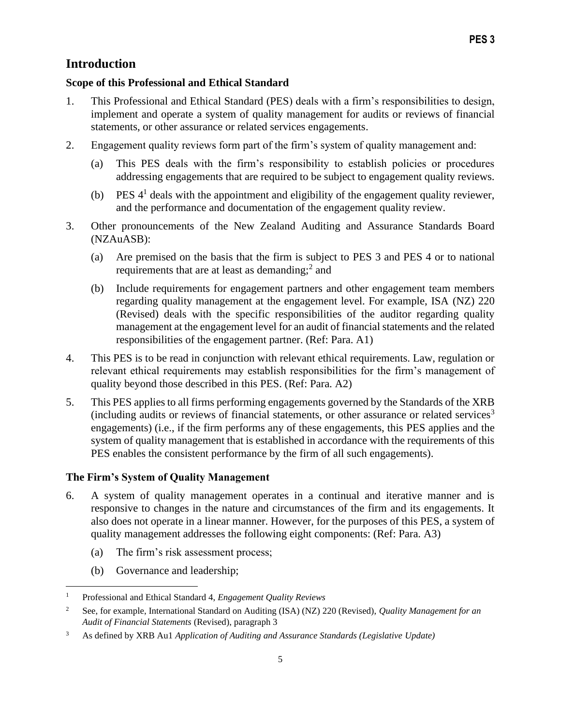# **Introduction**

### **Scope of this Professional and Ethical Standard**

- 1. This Professional and Ethical Standard (PES) deals with a firm's responsibilities to design, implement and operate a system of quality management for audits or reviews of financial statements, or other assurance or related services engagements.
- 2. Engagement quality reviews form part of the firm's system of quality management and:
	- (a) This PES deals with the firm's responsibility to establish policies or procedures addressing engagements that are required to be subject to engagement quality reviews.
	- (b) PES  $4<sup>1</sup>$  deals with the appointment and eligibility of the engagement quality reviewer, and the performance and documentation of the engagement quality review.
- 3. Other pronouncements of the New Zealand Auditing and Assurance Standards Board (NZAuASB):
	- (a) Are premised on the basis that the firm is subject to PES 3 and PES 4 or to national requirements that are at least as demanding; $<sup>2</sup>$  and</sup>
	- (b) Include requirements for engagement partners and other engagement team members regarding quality management at the engagement level. For example, ISA (NZ) 220 (Revised) deals with the specific responsibilities of the auditor regarding quality management at the engagement level for an audit of financial statements and the related responsibilities of the engagement partner. (Ref: Para. A1)
- 4. This PES is to be read in conjunction with relevant ethical requirements. Law, regulation or relevant ethical requirements may establish responsibilities for the firm's management of quality beyond those described in this PES. (Ref: Para. A2)
- 5. This PES applies to all firms performing engagements governed by the Standards of the XRB (including audits or reviews of financial statements, or other assurance or related services<sup>3</sup> engagements) (i.e., if the firm performs any of these engagements, this PES applies and the system of quality management that is established in accordance with the requirements of this PES enables the consistent performance by the firm of all such engagements).

### **The Firm's System of Quality Management**

- 6. A system of quality management operates in a continual and iterative manner and is responsive to changes in the nature and circumstances of the firm and its engagements. It also does not operate in a linear manner. However, for the purposes of this PES, a system of quality management addresses the following eight components: (Ref: Para. A3)
	- (a) The firm's risk assessment process;
	- (b) Governance and leadership;

<sup>1</sup> Professional and Ethical Standard 4, *Engagement Quality Reviews*

<sup>2</sup> See, for example, International Standard on Auditing (ISA) (NZ) 220 (Revised), *Quality Management for an Audit of Financial Statements* (Revised), paragraph 3

<sup>3</sup> As defined by XRB Au1 *Application of Auditing and Assurance Standards (Legislative Update)*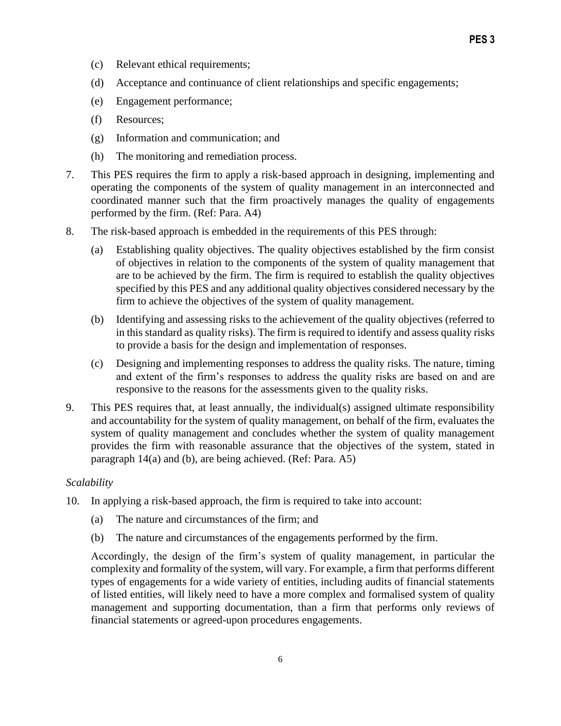- (c) Relevant ethical requirements;
- (d) Acceptance and continuance of client relationships and specific engagements;
- (e) Engagement performance;
- (f) Resources;
- (g) Information and communication; and
- (h) The monitoring and remediation process.
- 7. This PES requires the firm to apply a risk-based approach in designing, implementing and operating the components of the system of quality management in an interconnected and coordinated manner such that the firm proactively manages the quality of engagements performed by the firm. (Ref: Para. A4)
- 8. The risk-based approach is embedded in the requirements of this PES through:
	- (a) Establishing quality objectives. The quality objectives established by the firm consist of objectives in relation to the components of the system of quality management that are to be achieved by the firm. The firm is required to establish the quality objectives specified by this PES and any additional quality objectives considered necessary by the firm to achieve the objectives of the system of quality management.
	- (b) Identifying and assessing risks to the achievement of the quality objectives (referred to in this standard as quality risks). The firm is required to identify and assess quality risks to provide a basis for the design and implementation of responses.
	- (c) Designing and implementing responses to address the quality risks. The nature, timing and extent of the firm's responses to address the quality risks are based on and are responsive to the reasons for the assessments given to the quality risks.
- 9. This PES requires that, at least annually, the individual(s) assigned ultimate responsibility and accountability for the system of quality management, on behalf of the firm, evaluates the system of quality management and concludes whether the system of quality management provides the firm with reasonable assurance that the objectives of the system, stated in paragraph 14(a) and (b), are being achieved. (Ref: Para. A5)

#### *Scalability*

- 10. In applying a risk-based approach, the firm is required to take into account:
	- (a) The nature and circumstances of the firm; and
	- (b) The nature and circumstances of the engagements performed by the firm.

Accordingly, the design of the firm's system of quality management, in particular the complexity and formality of the system, will vary. For example, a firm that performs different types of engagements for a wide variety of entities, including audits of financial statements of listed entities, will likely need to have a more complex and formalised system of quality management and supporting documentation, than a firm that performs only reviews of financial statements or agreed-upon procedures engagements.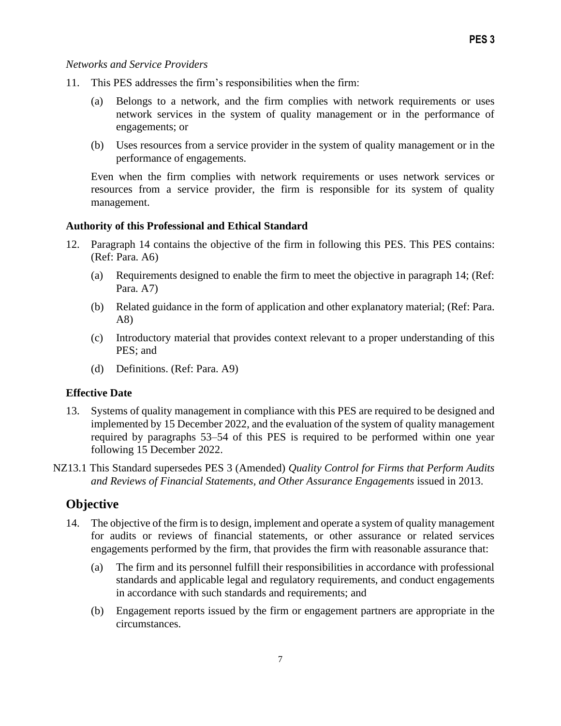#### *Networks and Service Providers*

- 11. This PES addresses the firm's responsibilities when the firm:
	- (a) Belongs to a network, and the firm complies with network requirements or uses network services in the system of quality management or in the performance of engagements; or
	- (b) Uses resources from a service provider in the system of quality management or in the performance of engagements.

Even when the firm complies with network requirements or uses network services or resources from a service provider, the firm is responsible for its system of quality management.

#### **Authority of this Professional and Ethical Standard**

- 12. Paragraph 14 contains the objective of the firm in following this PES. This PES contains: (Ref: Para. A6)
	- (a) Requirements designed to enable the firm to meet the objective in paragraph 14; (Ref: Para. A7)
	- (b) Related guidance in the form of application and other explanatory material; (Ref: Para. A8)
	- (c) Introductory material that provides context relevant to a proper understanding of this PES; and
	- (d) Definitions. (Ref: Para. A9)

### **Effective Date**

- 13. Systems of quality management in compliance with this PES are required to be designed and implemented by 15 December 2022, and the evaluation of the system of quality management required by paragraphs 53–54 of this PES is required to be performed within one year following 15 December 2022.
- NZ13.1 This Standard supersedes PES 3 (Amended) *Quality Control for Firms that Perform Audits and Reviews of Financial Statements, and Other Assurance Engagements* issued in 2013.

## **Objective**

- 14. The objective of the firm is to design, implement and operate a system of quality management for audits or reviews of financial statements, or other assurance or related services engagements performed by the firm, that provides the firm with reasonable assurance that:
	- (a) The firm and its personnel fulfill their responsibilities in accordance with professional standards and applicable legal and regulatory requirements, and conduct engagements in accordance with such standards and requirements; and
	- (b) Engagement reports issued by the firm or engagement partners are appropriate in the circumstances.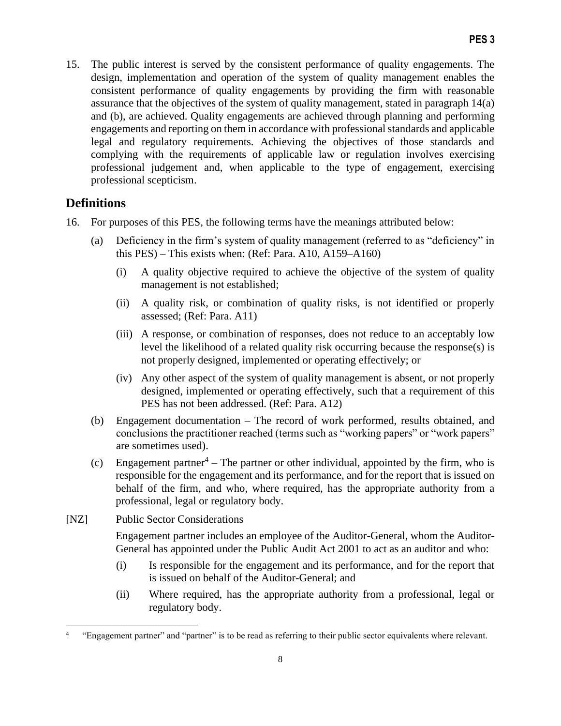15. The public interest is served by the consistent performance of quality engagements. The design, implementation and operation of the system of quality management enables the consistent performance of quality engagements by providing the firm with reasonable assurance that the objectives of the system of quality management, stated in paragraph 14(a) and (b), are achieved. Quality engagements are achieved through planning and performing engagements and reporting on them in accordance with professional standards and applicable legal and regulatory requirements. Achieving the objectives of those standards and complying with the requirements of applicable law or regulation involves exercising professional judgement and, when applicable to the type of engagement, exercising professional scepticism.

# **Definitions**

- 16. For purposes of this PES, the following terms have the meanings attributed below:
	- (a) Deficiency in the firm's system of quality management (referred to as "deficiency" in this PES) – This exists when: (Ref: Para. A10, A159–A160)
		- (i) A quality objective required to achieve the objective of the system of quality management is not established;
		- (ii) A quality risk, or combination of quality risks, is not identified or properly assessed; (Ref: Para. A11)
		- (iii) A response, or combination of responses, does not reduce to an acceptably low level the likelihood of a related quality risk occurring because the response(s) is not properly designed, implemented or operating effectively; or
		- (iv) Any other aspect of the system of quality management is absent, or not properly designed, implemented or operating effectively, such that a requirement of this PES has not been addressed. (Ref: Para. A12)
	- (b) Engagement documentation The record of work performed, results obtained, and conclusions the practitioner reached (terms such as "working papers" or "work papers" are sometimes used).
	- (c) Engagement partner<sup>4</sup> The partner or other individual, appointed by the firm, who is responsible for the engagement and its performance, and for the report that is issued on behalf of the firm, and who, where required, has the appropriate authority from a professional, legal or regulatory body.
- [NZ] Public Sector Considerations

Engagement partner includes an employee of the Auditor-General, whom the Auditor-General has appointed under the Public Audit Act 2001 to act as an auditor and who:

- (i) Is responsible for the engagement and its performance, and for the report that is issued on behalf of the Auditor-General; and
- (ii) Where required, has the appropriate authority from a professional, legal or regulatory body.

<sup>4</sup> "Engagement partner" and "partner" is to be read as referring to their public sector equivalents where relevant.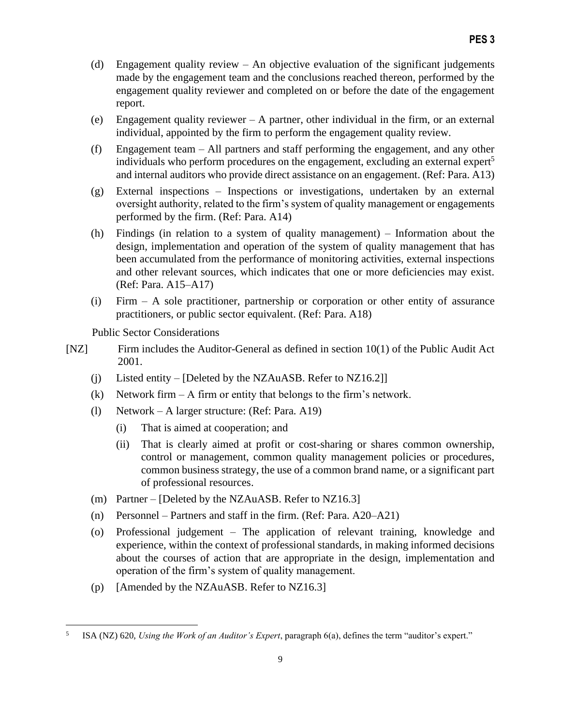- (d) Engagement quality review An objective evaluation of the significant judgements made by the engagement team and the conclusions reached thereon, performed by the engagement quality reviewer and completed on or before the date of the engagement report.
- (e) Engagement quality reviewer A partner, other individual in the firm, or an external individual, appointed by the firm to perform the engagement quality review.
- (f) Engagement team All partners and staff performing the engagement, and any other individuals who perform procedures on the engagement, excluding an external expert<sup>5</sup> and internal auditors who provide direct assistance on an engagement. (Ref: Para. A13)
- (g) External inspections Inspections or investigations, undertaken by an external oversight authority, related to the firm's system of quality management or engagements performed by the firm. (Ref: Para. A14)
- (h) Findings (in relation to a system of quality management) Information about the design, implementation and operation of the system of quality management that has been accumulated from the performance of monitoring activities, external inspections and other relevant sources, which indicates that one or more deficiencies may exist. (Ref: Para. A15–A17)
- (i) Firm A sole practitioner, partnership or corporation or other entity of assurance practitioners, or public sector equivalent. (Ref: Para. A18)

Public Sector Considerations

- [NZ] Firm includes the Auditor-General as defined in section 10(1) of the Public Audit Act 2001.
	- (i) Listed entity [Deleted by the NZAuASB. Refer to NZ16.2]]
	- (k) Network firm  $-A$  firm or entity that belongs to the firm's network.
	- (l) Network A larger structure: (Ref: Para. A19)
		- (i) That is aimed at cooperation; and
		- (ii) That is clearly aimed at profit or cost-sharing or shares common ownership, control or management, common quality management policies or procedures, common business strategy, the use of a common brand name, or a significant part of professional resources.
	- (m) Partner [Deleted by the NZAuASB. Refer to NZ16.3]
	- (n) Personnel Partners and staff in the firm. (Ref: Para. A20–A21)
	- (o) Professional judgement The application of relevant training, knowledge and experience, within the context of professional standards, in making informed decisions about the courses of action that are appropriate in the design, implementation and operation of the firm's system of quality management.
	- (p) [Amended by the NZAuASB. Refer to NZ16.3]

<sup>5</sup> ISA (NZ) 620, *Using the Work of an Auditor's Expert*, paragraph 6(a), defines the term "auditor's expert."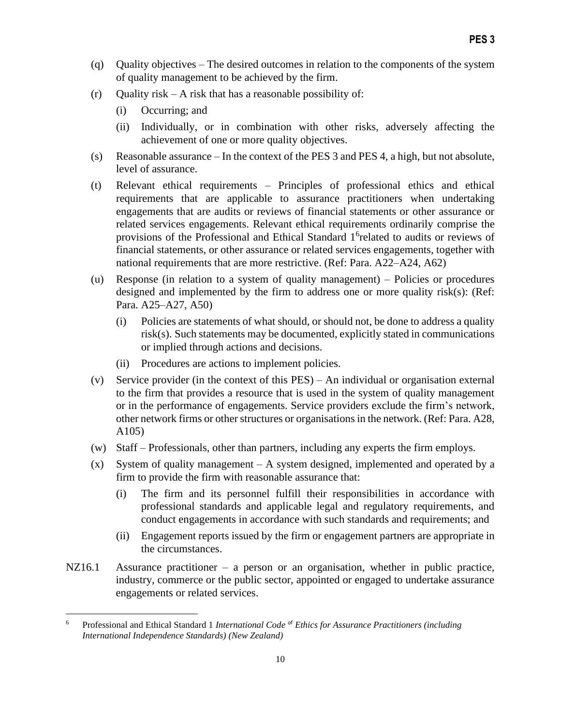- (q) Quality objectives The desired outcomes in relation to the components of the system of quality management to be achieved by the firm.
- $(r)$  Quality risk A risk that has a reasonable possibility of:
	- (i) Occurring; and
	- (ii) Individually, or in combination with other risks, adversely affecting the achievement of one or more quality objectives.
- (s) Reasonable assurance In the context of the PES 3 and PES 4, a high, but not absolute, level of assurance.
- (t) Relevant ethical requirements Principles of professional ethics and ethical requirements that are applicable to assurance practitioners when undertaking engagements that are audits or reviews of financial statements or other assurance or related services engagements. Relevant ethical requirements ordinarily comprise the provisions of the Professional and Ethical Standard 1<sup>6</sup>related to audits or reviews of financial statements, or other assurance or related services engagements, together with national requirements that are more restrictive. (Ref: Para. A22–A24, A62)
- (u) Response (in relation to a system of quality management) Policies or procedures designed and implemented by the firm to address one or more quality risk(s): (Ref: Para. A25–A27, A50)
	- (i) Policies are statements of what should, or should not, be done to address a quality risk(s). Such statements may be documented, explicitly stated in communications or implied through actions and decisions.
	- (ii) Procedures are actions to implement policies.
- (v) Service provider (in the context of this PES) An individual or organisation external to the firm that provides a resource that is used in the system of quality management or in the performance of engagements. Service providers exclude the firm's network, other network firms or other structures or organisations in the network. (Ref: Para. A28, A105)
- (w) Staff Professionals, other than partners, including any experts the firm employs.
- (x) System of quality management A system designed, implemented and operated by a firm to provide the firm with reasonable assurance that:
	- (i) The firm and its personnel fulfill their responsibilities in accordance with professional standards and applicable legal and regulatory requirements, and conduct engagements in accordance with such standards and requirements; and
	- (ii) Engagement reports issued by the firm or engagement partners are appropriate in the circumstances.
- NZ16.1 Assurance practitioner a person or an organisation, whether in public practice, industry, commerce or the public sector, appointed or engaged to undertake assurance engagements or related services.

<sup>6</sup> Professional and Ethical Standard 1 *International Code* of *Ethics for Assurance Practitioners (including International Independence Standards) (New Zealand)*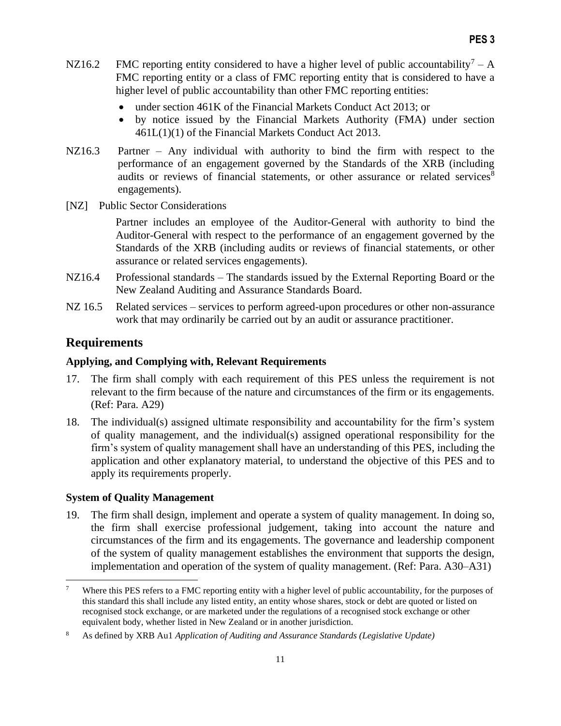- NZ16.2 FMC reporting entity considered to have a higher level of public accountability<sup>7</sup> A FMC reporting entity or a class of FMC reporting entity that is considered to have a higher level of public accountability than other FMC reporting entities:
	- under section 461K of the Financial Markets Conduct Act 2013; or
	- by notice issued by the Financial Markets Authority (FMA) under section 461L(1)(1) of the Financial Markets Conduct Act 2013.
- NZ16.3 Partner Any individual with authority to bind the firm with respect to the performance of an engagement governed by the Standards of the XRB (including audits or reviews of financial statements, or other assurance or related services<sup>8</sup> engagements).
- [NZ] Public Sector Considerations

Partner includes an employee of the Auditor-General with authority to bind the Auditor-General with respect to the performance of an engagement governed by the Standards of the XRB (including audits or reviews of financial statements, or other assurance or related services engagements).

- NZ16.4 Professional standards The standards issued by the External Reporting Board or the New Zealand Auditing and Assurance Standards Board.
- NZ 16.5 Related services services to perform agreed-upon procedures or other non-assurance work that may ordinarily be carried out by an audit or assurance practitioner.

# **Requirements**

# **Applying, and Complying with, Relevant Requirements**

- 17. The firm shall comply with each requirement of this PES unless the requirement is not relevant to the firm because of the nature and circumstances of the firm or its engagements. (Ref: Para. A29)
- 18. The individual(s) assigned ultimate responsibility and accountability for the firm's system of quality management, and the individual(s) assigned operational responsibility for the firm's system of quality management shall have an understanding of this PES, including the application and other explanatory material, to understand the objective of this PES and to apply its requirements properly.

## **System of Quality Management**

19. The firm shall design, implement and operate a system of quality management. In doing so, the firm shall exercise professional judgement, taking into account the nature and circumstances of the firm and its engagements. The governance and leadership component of the system of quality management establishes the environment that supports the design, implementation and operation of the system of quality management. (Ref: Para. A30–A31)

<sup>&</sup>lt;sup>7</sup> Where this PES refers to a FMC reporting entity with a higher level of public accountability, for the purposes of this standard this shall include any listed entity, an entity whose shares, stock or debt are quoted or listed on recognised stock exchange, or are marketed under the regulations of a recognised stock exchange or other equivalent body, whether listed in New Zealand or in another jurisdiction.

<sup>8</sup> As defined by XRB Au1 *Application of Auditing and Assurance Standards (Legislative Update)*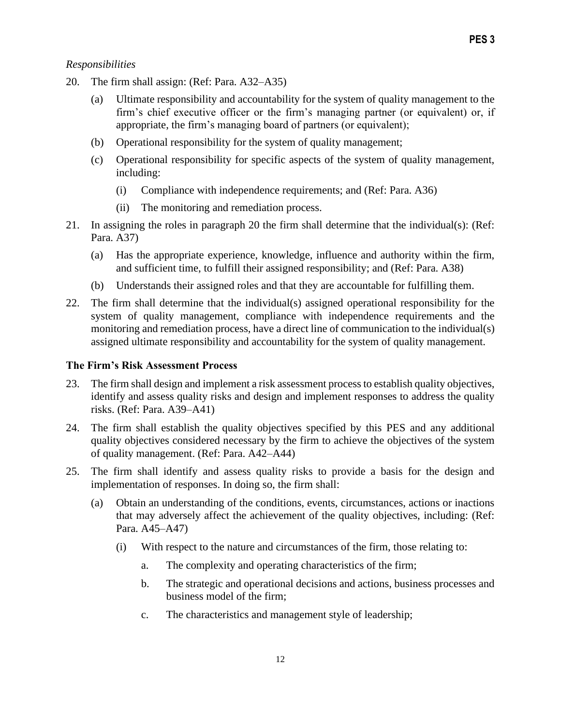# *Responsibilities*

- 20. The firm shall assign: (Ref: Para. A32–A35)
	- (a) Ultimate responsibility and accountability for the system of quality management to the firm's chief executive officer or the firm's managing partner (or equivalent) or, if appropriate, the firm's managing board of partners (or equivalent);
	- (b) Operational responsibility for the system of quality management;
	- (c) Operational responsibility for specific aspects of the system of quality management, including:
		- (i) Compliance with independence requirements; and (Ref: Para. A36)
		- (ii) The monitoring and remediation process.
- 21. In assigning the roles in paragraph 20 the firm shall determine that the individual(s): (Ref: Para. A37)
	- (a) Has the appropriate experience, knowledge, influence and authority within the firm, and sufficient time, to fulfill their assigned responsibility; and (Ref: Para. A38)
	- (b) Understands their assigned roles and that they are accountable for fulfilling them.
- 22. The firm shall determine that the individual(s) assigned operational responsibility for the system of quality management, compliance with independence requirements and the monitoring and remediation process, have a direct line of communication to the individual(s) assigned ultimate responsibility and accountability for the system of quality management.

## **The Firm's Risk Assessment Process**

- 23. The firm shall design and implement a risk assessment process to establish quality objectives, identify and assess quality risks and design and implement responses to address the quality risks. (Ref: Para. A39–A41)
- 24. The firm shall establish the quality objectives specified by this PES and any additional quality objectives considered necessary by the firm to achieve the objectives of the system of quality management. (Ref: Para. A42–A44)
- 25. The firm shall identify and assess quality risks to provide a basis for the design and implementation of responses. In doing so, the firm shall:
	- (a) Obtain an understanding of the conditions, events, circumstances, actions or inactions that may adversely affect the achievement of the quality objectives, including: (Ref: Para. A45–A47)
		- (i) With respect to the nature and circumstances of the firm, those relating to:
			- a. The complexity and operating characteristics of the firm;
			- b. The strategic and operational decisions and actions, business processes and business model of the firm;
			- c. The characteristics and management style of leadership;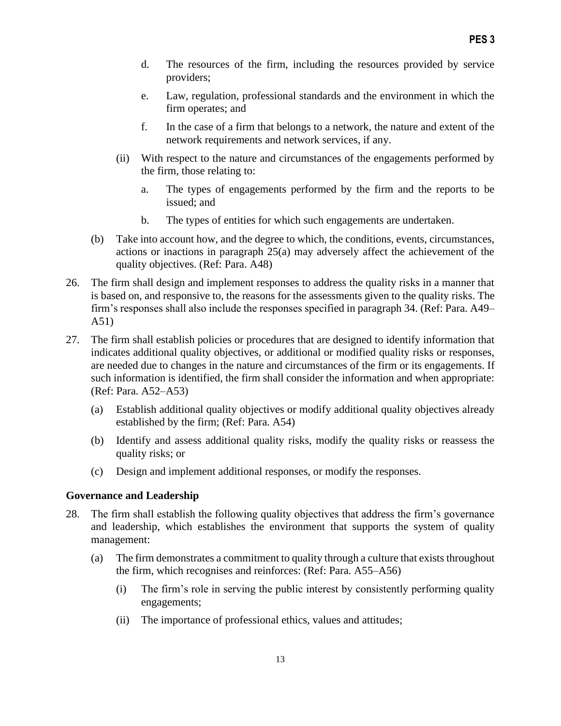- d. The resources of the firm, including the resources provided by service providers;
- e. Law, regulation, professional standards and the environment in which the firm operates; and
- f. In the case of a firm that belongs to a network, the nature and extent of the network requirements and network services, if any.
- (ii) With respect to the nature and circumstances of the engagements performed by the firm, those relating to:
	- a. The types of engagements performed by the firm and the reports to be issued; and
	- b. The types of entities for which such engagements are undertaken.
- (b) Take into account how, and the degree to which, the conditions, events, circumstances, actions or inactions in paragraph 25(a) may adversely affect the achievement of the quality objectives. (Ref: Para. A48)
- 26. The firm shall design and implement responses to address the quality risks in a manner that is based on, and responsive to, the reasons for the assessments given to the quality risks. The firm's responses shall also include the responses specified in paragraph 34. (Ref: Para. A49– A51)
- 27. The firm shall establish policies or procedures that are designed to identify information that indicates additional quality objectives, or additional or modified quality risks or responses, are needed due to changes in the nature and circumstances of the firm or its engagements. If such information is identified, the firm shall consider the information and when appropriate: (Ref: Para. A52–A53)
	- (a) Establish additional quality objectives or modify additional quality objectives already established by the firm; (Ref: Para. A54)
	- (b) Identify and assess additional quality risks, modify the quality risks or reassess the quality risks; or
	- (c) Design and implement additional responses, or modify the responses.

### **Governance and Leadership**

- 28. The firm shall establish the following quality objectives that address the firm's governance and leadership, which establishes the environment that supports the system of quality management:
	- (a) The firm demonstrates a commitment to quality through a culture that exists throughout the firm, which recognises and reinforces: (Ref: Para. A55–A56)
		- (i) The firm's role in serving the public interest by consistently performing quality engagements;
		- (ii) The importance of professional ethics, values and attitudes;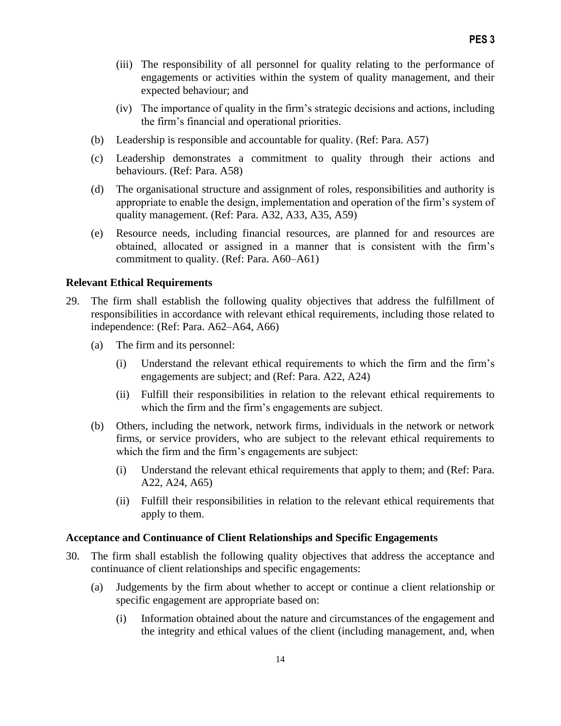- (iii) The responsibility of all personnel for quality relating to the performance of engagements or activities within the system of quality management, and their expected behaviour; and
- (iv) The importance of quality in the firm's strategic decisions and actions, including the firm's financial and operational priorities.
- (b) Leadership is responsible and accountable for quality. (Ref: Para. A57)
- (c) Leadership demonstrates a commitment to quality through their actions and behaviours. (Ref: Para. A58)
- (d) The organisational structure and assignment of roles, responsibilities and authority is appropriate to enable the design, implementation and operation of the firm's system of quality management. (Ref: Para. A32, A33, A35, A59)
- (e) Resource needs, including financial resources, are planned for and resources are obtained, allocated or assigned in a manner that is consistent with the firm's commitment to quality. (Ref: Para. A60–A61)

#### **Relevant Ethical Requirements**

- 29. The firm shall establish the following quality objectives that address the fulfillment of responsibilities in accordance with relevant ethical requirements, including those related to independence: (Ref: Para. A62–A64, A66)
	- (a) The firm and its personnel:
		- (i) Understand the relevant ethical requirements to which the firm and the firm's engagements are subject; and (Ref: Para. A22, A24)
		- (ii) Fulfill their responsibilities in relation to the relevant ethical requirements to which the firm and the firm's engagements are subject.
	- (b) Others, including the network, network firms, individuals in the network or network firms, or service providers, who are subject to the relevant ethical requirements to which the firm and the firm's engagements are subject:
		- (i) Understand the relevant ethical requirements that apply to them; and (Ref: Para. A22, A24, A65)
		- (ii) Fulfill their responsibilities in relation to the relevant ethical requirements that apply to them.

#### **Acceptance and Continuance of Client Relationships and Specific Engagements**

- 30. The firm shall establish the following quality objectives that address the acceptance and continuance of client relationships and specific engagements:
	- (a) Judgements by the firm about whether to accept or continue a client relationship or specific engagement are appropriate based on:
		- (i) Information obtained about the nature and circumstances of the engagement and the integrity and ethical values of the client (including management, and, when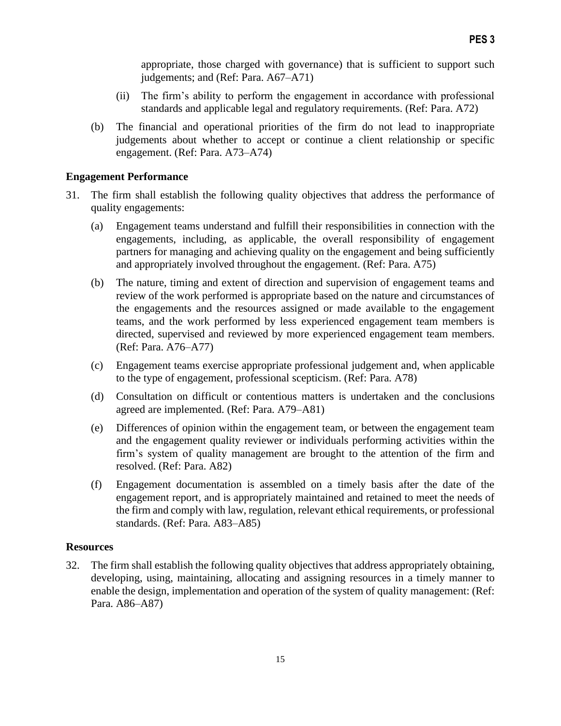appropriate, those charged with governance) that is sufficient to support such judgements; and (Ref: Para. A67–A71)

- (ii) The firm's ability to perform the engagement in accordance with professional standards and applicable legal and regulatory requirements. (Ref: Para. A72)
- (b) The financial and operational priorities of the firm do not lead to inappropriate judgements about whether to accept or continue a client relationship or specific engagement. (Ref: Para. A73–A74)

#### **Engagement Performance**

- 31. The firm shall establish the following quality objectives that address the performance of quality engagements:
	- (a) Engagement teams understand and fulfill their responsibilities in connection with the engagements, including, as applicable, the overall responsibility of engagement partners for managing and achieving quality on the engagement and being sufficiently and appropriately involved throughout the engagement. (Ref: Para. A75)
	- (b) The nature, timing and extent of direction and supervision of engagement teams and review of the work performed is appropriate based on the nature and circumstances of the engagements and the resources assigned or made available to the engagement teams, and the work performed by less experienced engagement team members is directed, supervised and reviewed by more experienced engagement team members. (Ref: Para. A76–A77)
	- (c) Engagement teams exercise appropriate professional judgement and, when applicable to the type of engagement, professional scepticism. (Ref: Para. A78)
	- (d) Consultation on difficult or contentious matters is undertaken and the conclusions agreed are implemented. (Ref: Para. A79–A81)
	- (e) Differences of opinion within the engagement team, or between the engagement team and the engagement quality reviewer or individuals performing activities within the firm's system of quality management are brought to the attention of the firm and resolved. (Ref: Para. A82)
	- (f) Engagement documentation is assembled on a timely basis after the date of the engagement report, and is appropriately maintained and retained to meet the needs of the firm and comply with law, regulation, relevant ethical requirements, or professional standards. (Ref: Para. A83–A85)

#### **Resources**

32. The firm shall establish the following quality objectives that address appropriately obtaining, developing, using, maintaining, allocating and assigning resources in a timely manner to enable the design, implementation and operation of the system of quality management: (Ref: Para. A86–A87)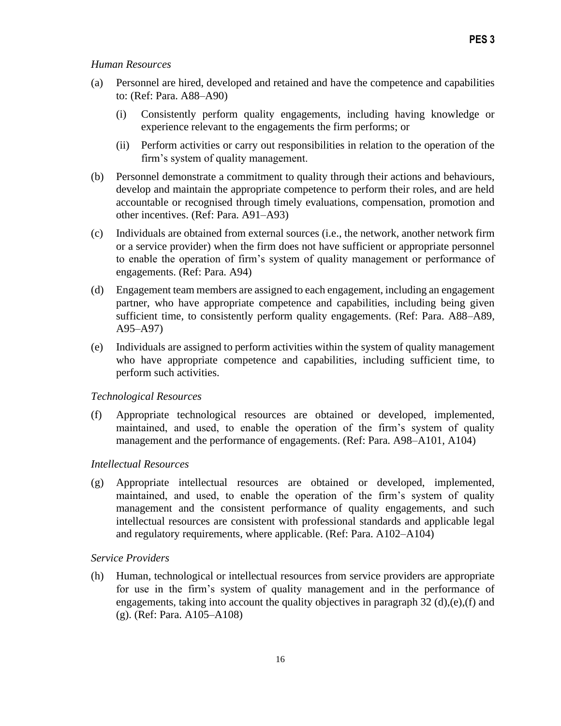#### *Human Resources*

- (a) Personnel are hired, developed and retained and have the competence and capabilities to: (Ref: Para. A88–A90)
	- (i) Consistently perform quality engagements, including having knowledge or experience relevant to the engagements the firm performs; or
	- (ii) Perform activities or carry out responsibilities in relation to the operation of the firm's system of quality management.
- (b) Personnel demonstrate a commitment to quality through their actions and behaviours, develop and maintain the appropriate competence to perform their roles, and are held accountable or recognised through timely evaluations, compensation, promotion and other incentives. (Ref: Para. A91–A93)
- (c) Individuals are obtained from external sources (i.e., the network, another network firm or a service provider) when the firm does not have sufficient or appropriate personnel to enable the operation of firm's system of quality management or performance of engagements. (Ref: Para. A94)
- (d) Engagement team members are assigned to each engagement, including an engagement partner, who have appropriate competence and capabilities, including being given sufficient time, to consistently perform quality engagements. (Ref: Para. A88–A89, A95–A97)
- (e) Individuals are assigned to perform activities within the system of quality management who have appropriate competence and capabilities, including sufficient time, to perform such activities.

#### *Technological Resources*

(f) Appropriate technological resources are obtained or developed, implemented, maintained, and used, to enable the operation of the firm's system of quality management and the performance of engagements. (Ref: Para. A98–A101, A104)

### *Intellectual Resources*

(g) Appropriate intellectual resources are obtained or developed, implemented, maintained, and used, to enable the operation of the firm's system of quality management and the consistent performance of quality engagements, and such intellectual resources are consistent with professional standards and applicable legal and regulatory requirements, where applicable. (Ref: Para. A102–A104)

### *Service Providers*

(h) Human, technological or intellectual resources from service providers are appropriate for use in the firm's system of quality management and in the performance of engagements, taking into account the quality objectives in paragraph 32 (d),(e),(f) and (g). (Ref: Para. A105–A108)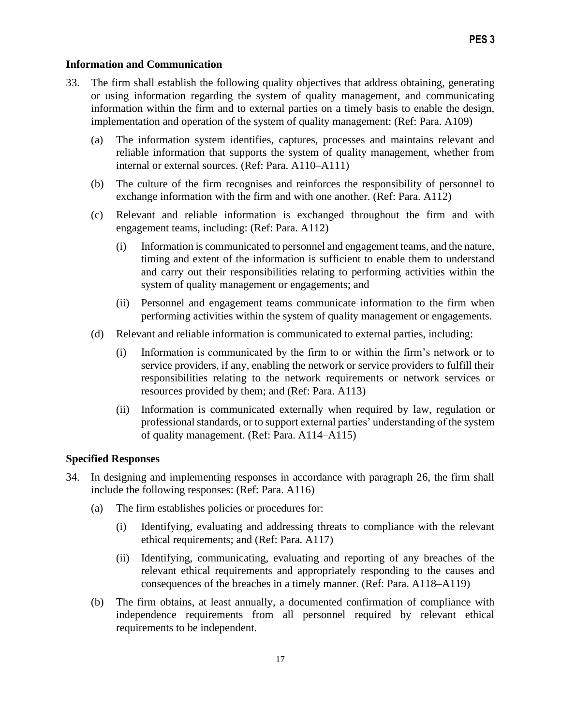#### **Information and Communication**

- 33. The firm shall establish the following quality objectives that address obtaining, generating or using information regarding the system of quality management, and communicating information within the firm and to external parties on a timely basis to enable the design, implementation and operation of the system of quality management: (Ref: Para. A109)
	- (a) The information system identifies, captures, processes and maintains relevant and reliable information that supports the system of quality management, whether from internal or external sources. (Ref: Para. A110–A111)
	- (b) The culture of the firm recognises and reinforces the responsibility of personnel to exchange information with the firm and with one another. (Ref: Para. A112)
	- (c) Relevant and reliable information is exchanged throughout the firm and with engagement teams, including: (Ref: Para. A112)
		- (i) Information is communicated to personnel and engagement teams, and the nature, timing and extent of the information is sufficient to enable them to understand and carry out their responsibilities relating to performing activities within the system of quality management or engagements; and
		- (ii) Personnel and engagement teams communicate information to the firm when performing activities within the system of quality management or engagements.
	- (d) Relevant and reliable information is communicated to external parties, including:
		- (i) Information is communicated by the firm to or within the firm's network or to service providers, if any, enabling the network or service providers to fulfill their responsibilities relating to the network requirements or network services or resources provided by them; and (Ref: Para. A113)
		- (ii) Information is communicated externally when required by law, regulation or professional standards, or to support external parties' understanding of the system of quality management. (Ref: Para. A114–A115)

#### **Specified Responses**

- 34. In designing and implementing responses in accordance with paragraph 26, the firm shall include the following responses: (Ref: Para. A116)
	- (a) The firm establishes policies or procedures for:
		- (i) Identifying, evaluating and addressing threats to compliance with the relevant ethical requirements; and (Ref: Para. A117)
		- (ii) Identifying, communicating, evaluating and reporting of any breaches of the relevant ethical requirements and appropriately responding to the causes and consequences of the breaches in a timely manner. (Ref: Para. A118–A119)
	- (b) The firm obtains, at least annually, a documented confirmation of compliance with independence requirements from all personnel required by relevant ethical requirements to be independent.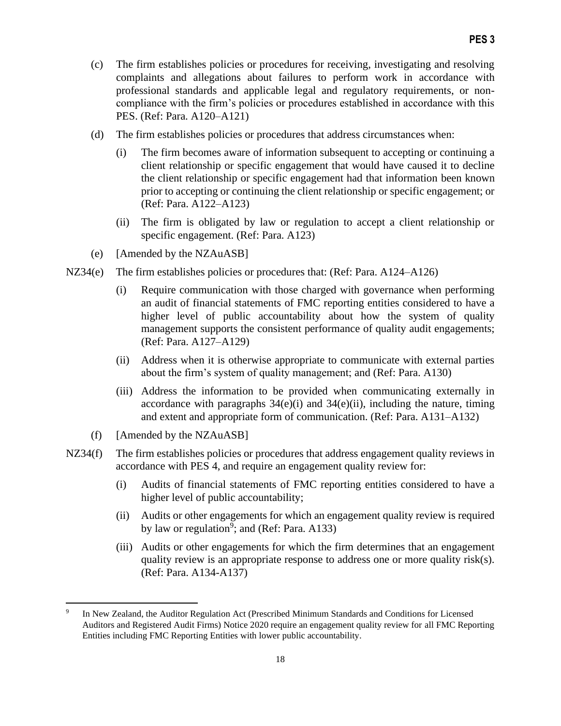- (c) The firm establishes policies or procedures for receiving, investigating and resolving complaints and allegations about failures to perform work in accordance with professional standards and applicable legal and regulatory requirements, or noncompliance with the firm's policies or procedures established in accordance with this PES. (Ref: Para. A120–A121)
- (d) The firm establishes policies or procedures that address circumstances when:
	- (i) The firm becomes aware of information subsequent to accepting or continuing a client relationship or specific engagement that would have caused it to decline the client relationship or specific engagement had that information been known prior to accepting or continuing the client relationship or specific engagement; or (Ref: Para. A122–A123)
	- (ii) The firm is obligated by law or regulation to accept a client relationship or specific engagement. (Ref: Para. A123)
- (e) [Amended by the NZAuASB]
- NZ34(e) The firm establishes policies or procedures that: (Ref: Para. A124–A126)
	- (i) Require communication with those charged with governance when performing an audit of financial statements of FMC reporting entities considered to have a higher level of public accountability about how the system of quality management supports the consistent performance of quality audit engagements; (Ref: Para. A127–A129)
	- (ii) Address when it is otherwise appropriate to communicate with external parties about the firm's system of quality management; and (Ref: Para. A130)
	- (iii) Address the information to be provided when communicating externally in accordance with paragraphs  $34(e)(i)$  and  $34(e)(ii)$ , including the nature, timing and extent and appropriate form of communication. (Ref: Para. A131–A132)
	- (f) [Amended by the NZAuASB]
- NZ34(f) The firm establishes policies or procedures that address engagement quality reviews in accordance with PES 4, and require an engagement quality review for:
	- (i) Audits of financial statements of FMC reporting entities considered to have a higher level of public accountability;
	- (ii) Audits or other engagements for which an engagement quality review is required by law or regulation<sup>9</sup>; and (Ref: Para. A133)
	- (iii) Audits or other engagements for which the firm determines that an engagement quality review is an appropriate response to address one or more quality risk(s). (Ref: Para. A134-A137)

<sup>9</sup> In New Zealand, the Auditor Regulation Act (Prescribed Minimum Standards and Conditions for Licensed Auditors and Registered Audit Firms) Notice 2020 require an engagement quality review for all FMC Reporting Entities including FMC Reporting Entities with lower public accountability.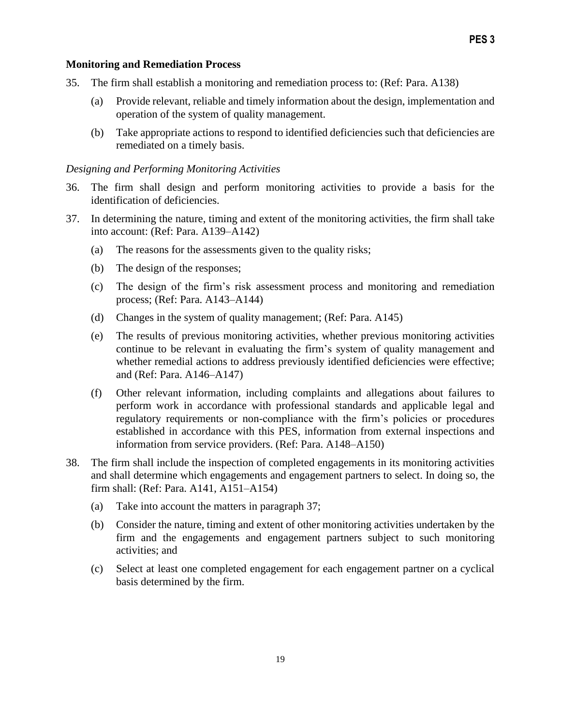#### **Monitoring and Remediation Process**

- 35. The firm shall establish a monitoring and remediation process to: (Ref: Para. A138)
	- (a) Provide relevant, reliable and timely information about the design, implementation and operation of the system of quality management.
	- (b) Take appropriate actions to respond to identified deficiencies such that deficiencies are remediated on a timely basis.

#### *Designing and Performing Monitoring Activities*

- 36. The firm shall design and perform monitoring activities to provide a basis for the identification of deficiencies.
- 37. In determining the nature, timing and extent of the monitoring activities, the firm shall take into account: (Ref: Para. A139–A142)
	- (a) The reasons for the assessments given to the quality risks;
	- (b) The design of the responses;
	- (c) The design of the firm's risk assessment process and monitoring and remediation process; (Ref: Para. A143–A144)
	- (d) Changes in the system of quality management; (Ref: Para. A145)
	- (e) The results of previous monitoring activities, whether previous monitoring activities continue to be relevant in evaluating the firm's system of quality management and whether remedial actions to address previously identified deficiencies were effective; and (Ref: Para. A146–A147)
	- (f) Other relevant information, including complaints and allegations about failures to perform work in accordance with professional standards and applicable legal and regulatory requirements or non-compliance with the firm's policies or procedures established in accordance with this PES, information from external inspections and information from service providers. (Ref: Para. A148–A150)
- 38. The firm shall include the inspection of completed engagements in its monitoring activities and shall determine which engagements and engagement partners to select. In doing so, the firm shall: (Ref: Para. A141, A151–A154)
	- (a) Take into account the matters in paragraph 37;
	- (b) Consider the nature, timing and extent of other monitoring activities undertaken by the firm and the engagements and engagement partners subject to such monitoring activities; and
	- (c) Select at least one completed engagement for each engagement partner on a cyclical basis determined by the firm.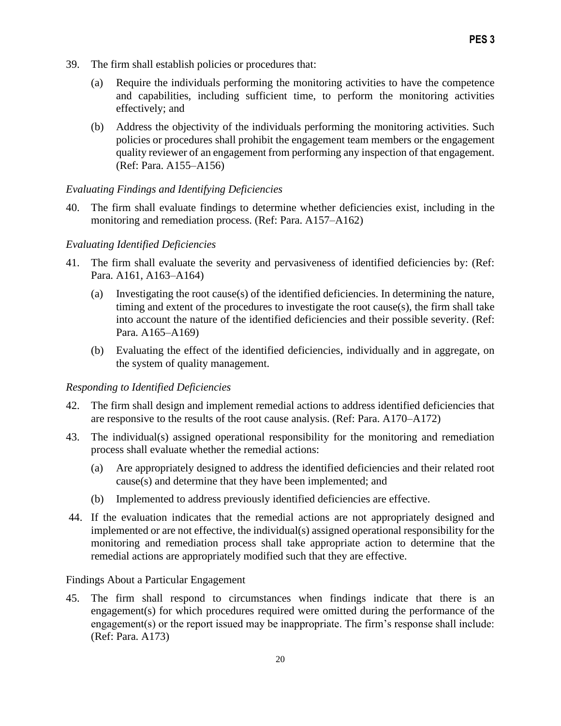- 39. The firm shall establish policies or procedures that:
	- (a) Require the individuals performing the monitoring activities to have the competence and capabilities, including sufficient time, to perform the monitoring activities effectively; and
	- (b) Address the objectivity of the individuals performing the monitoring activities. Such policies or procedures shall prohibit the engagement team members or the engagement quality reviewer of an engagement from performing any inspection of that engagement. (Ref: Para. A155–A156)

### *Evaluating Findings and Identifying Deficiencies*

40. The firm shall evaluate findings to determine whether deficiencies exist, including in the monitoring and remediation process. (Ref: Para. A157–A162)

### *Evaluating Identified Deficiencies*

- 41. The firm shall evaluate the severity and pervasiveness of identified deficiencies by: (Ref: Para. A161, A163–A164)
	- (a) Investigating the root cause(s) of the identified deficiencies. In determining the nature, timing and extent of the procedures to investigate the root cause(s), the firm shall take into account the nature of the identified deficiencies and their possible severity. (Ref: Para. A165–A169)
	- (b) Evaluating the effect of the identified deficiencies, individually and in aggregate, on the system of quality management.

### *Responding to Identified Deficiencies*

- 42. The firm shall design and implement remedial actions to address identified deficiencies that are responsive to the results of the root cause analysis. (Ref: Para. A170–A172)
- 43. The individual(s) assigned operational responsibility for the monitoring and remediation process shall evaluate whether the remedial actions:
	- (a) Are appropriately designed to address the identified deficiencies and their related root cause(s) and determine that they have been implemented; and
	- (b) Implemented to address previously identified deficiencies are effective.
- 44. If the evaluation indicates that the remedial actions are not appropriately designed and implemented or are not effective, the individual(s) assigned operational responsibility for the monitoring and remediation process shall take appropriate action to determine that the remedial actions are appropriately modified such that they are effective.

### Findings About a Particular Engagement

45. The firm shall respond to circumstances when findings indicate that there is an engagement(s) for which procedures required were omitted during the performance of the engagement(s) or the report issued may be inappropriate. The firm's response shall include: (Ref: Para. A173)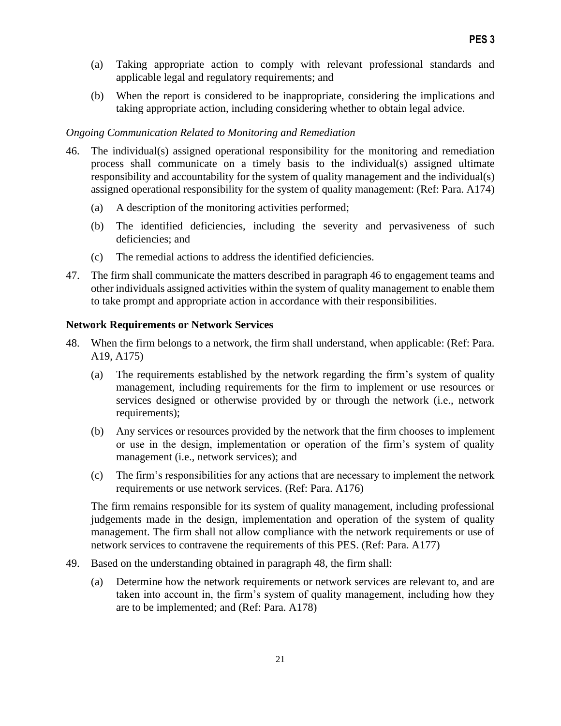- (a) Taking appropriate action to comply with relevant professional standards and applicable legal and regulatory requirements; and
- (b) When the report is considered to be inappropriate, considering the implications and taking appropriate action, including considering whether to obtain legal advice.

### *Ongoing Communication Related to Monitoring and Remediation*

- 46. The individual(s) assigned operational responsibility for the monitoring and remediation process shall communicate on a timely basis to the individual(s) assigned ultimate responsibility and accountability for the system of quality management and the individual(s) assigned operational responsibility for the system of quality management: (Ref: Para. A174)
	- (a) A description of the monitoring activities performed;
	- (b) The identified deficiencies, including the severity and pervasiveness of such deficiencies; and
	- (c) The remedial actions to address the identified deficiencies.
- 47. The firm shall communicate the matters described in paragraph 46 to engagement teams and other individuals assigned activities within the system of quality management to enable them to take prompt and appropriate action in accordance with their responsibilities.

### **Network Requirements or Network Services**

- 48. When the firm belongs to a network, the firm shall understand, when applicable: (Ref: Para. A19, A175)
	- (a) The requirements established by the network regarding the firm's system of quality management, including requirements for the firm to implement or use resources or services designed or otherwise provided by or through the network (i.e., network requirements);
	- (b) Any services or resources provided by the network that the firm chooses to implement or use in the design, implementation or operation of the firm's system of quality management (i.e., network services); and
	- (c) The firm's responsibilities for any actions that are necessary to implement the network requirements or use network services. (Ref: Para. A176)

The firm remains responsible for its system of quality management, including professional judgements made in the design, implementation and operation of the system of quality management. The firm shall not allow compliance with the network requirements or use of network services to contravene the requirements of this PES. (Ref: Para. A177)

- 49. Based on the understanding obtained in paragraph 48, the firm shall:
	- (a) Determine how the network requirements or network services are relevant to, and are taken into account in, the firm's system of quality management, including how they are to be implemented; and (Ref: Para. A178)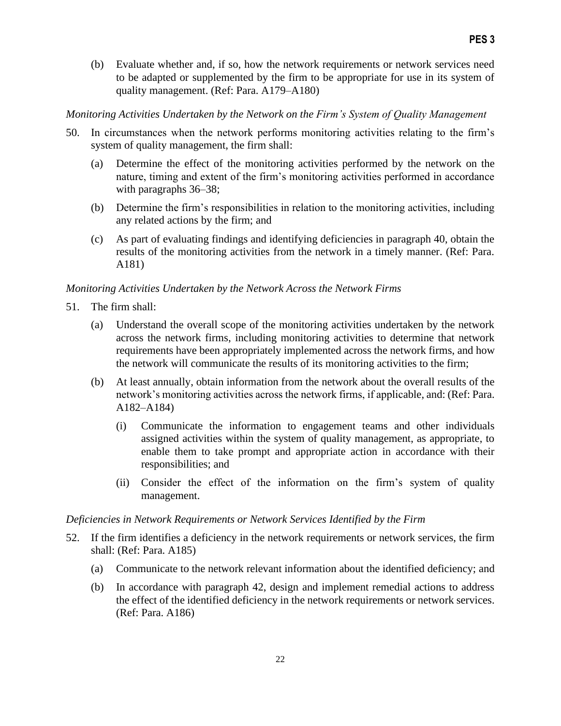(b) Evaluate whether and, if so, how the network requirements or network services need to be adapted or supplemented by the firm to be appropriate for use in its system of quality management. (Ref: Para. A179–A180)

### *Monitoring Activities Undertaken by the Network on the Firm's System of Quality Management*

- 50. In circumstances when the network performs monitoring activities relating to the firm's system of quality management, the firm shall:
	- (a) Determine the effect of the monitoring activities performed by the network on the nature, timing and extent of the firm's monitoring activities performed in accordance with paragraphs 36–38;
	- (b) Determine the firm's responsibilities in relation to the monitoring activities, including any related actions by the firm; and
	- (c) As part of evaluating findings and identifying deficiencies in paragraph 40, obtain the results of the monitoring activities from the network in a timely manner. (Ref: Para. A181)

### *Monitoring Activities Undertaken by the Network Across the Network Firms*

- 51. The firm shall:
	- (a) Understand the overall scope of the monitoring activities undertaken by the network across the network firms, including monitoring activities to determine that network requirements have been appropriately implemented across the network firms, and how the network will communicate the results of its monitoring activities to the firm;
	- (b) At least annually, obtain information from the network about the overall results of the network's monitoring activities across the network firms, if applicable, and: (Ref: Para. A182–A184)
		- (i) Communicate the information to engagement teams and other individuals assigned activities within the system of quality management, as appropriate, to enable them to take prompt and appropriate action in accordance with their responsibilities; and
		- (ii) Consider the effect of the information on the firm's system of quality management.

### *Deficiencies in Network Requirements or Network Services Identified by the Firm*

- 52. If the firm identifies a deficiency in the network requirements or network services, the firm shall: (Ref: Para. A185)
	- (a) Communicate to the network relevant information about the identified deficiency; and
	- (b) In accordance with paragraph 42, design and implement remedial actions to address the effect of the identified deficiency in the network requirements or network services. (Ref: Para. A186)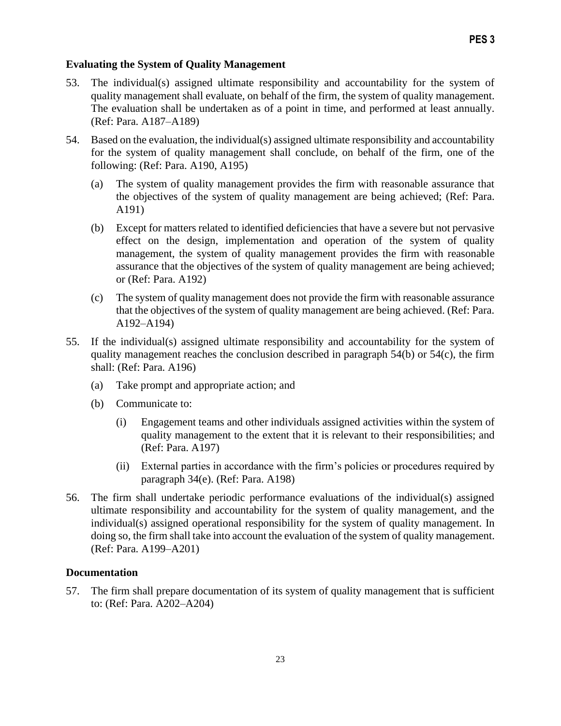#### **Evaluating the System of Quality Management**

- 53. The individual(s) assigned ultimate responsibility and accountability for the system of quality management shall evaluate, on behalf of the firm, the system of quality management. The evaluation shall be undertaken as of a point in time, and performed at least annually. (Ref: Para. A187–A189)
- 54. Based on the evaluation, the individual(s) assigned ultimate responsibility and accountability for the system of quality management shall conclude, on behalf of the firm, one of the following: (Ref: Para. A190, A195)
	- (a) The system of quality management provides the firm with reasonable assurance that the objectives of the system of quality management are being achieved; (Ref: Para. A191)
	- (b) Except for matters related to identified deficiencies that have a severe but not pervasive effect on the design, implementation and operation of the system of quality management, the system of quality management provides the firm with reasonable assurance that the objectives of the system of quality management are being achieved; or (Ref: Para. A192)
	- (c) The system of quality management does not provide the firm with reasonable assurance that the objectives of the system of quality management are being achieved. (Ref: Para. A192–A194)
- 55. If the individual(s) assigned ultimate responsibility and accountability for the system of quality management reaches the conclusion described in paragraph 54(b) or 54(c), the firm shall: (Ref: Para. A196)
	- (a) Take prompt and appropriate action; and
	- (b) Communicate to:
		- (i) Engagement teams and other individuals assigned activities within the system of quality management to the extent that it is relevant to their responsibilities; and (Ref: Para. A197)
		- (ii) External parties in accordance with the firm's policies or procedures required by paragraph 34(e). (Ref: Para. A198)
- 56. The firm shall undertake periodic performance evaluations of the individual(s) assigned ultimate responsibility and accountability for the system of quality management, and the individual(s) assigned operational responsibility for the system of quality management. In doing so, the firm shall take into account the evaluation of the system of quality management. (Ref: Para. A199–A201)

#### **Documentation**

57. The firm shall prepare documentation of its system of quality management that is sufficient to: (Ref: Para. A202–A204)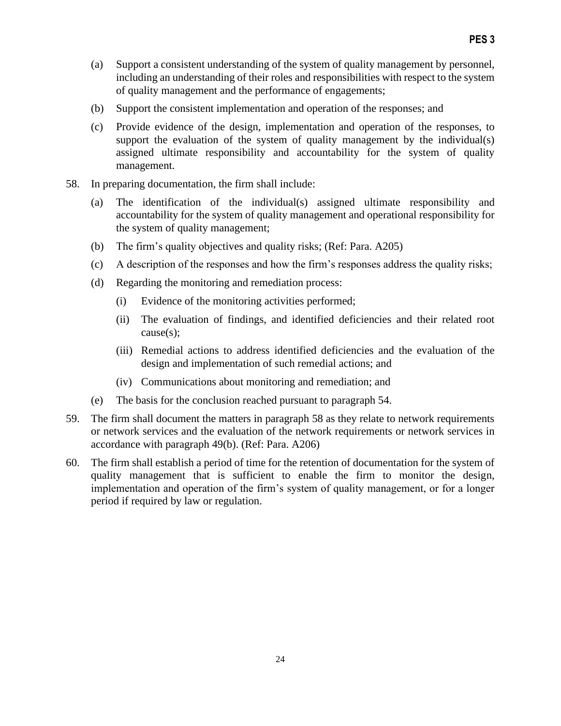- (a) Support a consistent understanding of the system of quality management by personnel, including an understanding of their roles and responsibilities with respect to the system of quality management and the performance of engagements;
- (b) Support the consistent implementation and operation of the responses; and
- (c) Provide evidence of the design, implementation and operation of the responses, to support the evaluation of the system of quality management by the individual(s) assigned ultimate responsibility and accountability for the system of quality management.
- 58. In preparing documentation, the firm shall include:
	- (a) The identification of the individual(s) assigned ultimate responsibility and accountability for the system of quality management and operational responsibility for the system of quality management;
	- (b) The firm's quality objectives and quality risks; (Ref: Para. A205)
	- (c) A description of the responses and how the firm's responses address the quality risks;
	- (d) Regarding the monitoring and remediation process:
		- (i) Evidence of the monitoring activities performed;
		- (ii) The evaluation of findings, and identified deficiencies and their related root cause(s);
		- (iii) Remedial actions to address identified deficiencies and the evaluation of the design and implementation of such remedial actions; and
		- (iv) Communications about monitoring and remediation; and
	- (e) The basis for the conclusion reached pursuant to paragraph 54.
- 59. The firm shall document the matters in paragraph 58 as they relate to network requirements or network services and the evaluation of the network requirements or network services in accordance with paragraph 49(b). (Ref: Para. A206)
- 60. The firm shall establish a period of time for the retention of documentation for the system of quality management that is sufficient to enable the firm to monitor the design, implementation and operation of the firm's system of quality management, or for a longer period if required by law or regulation.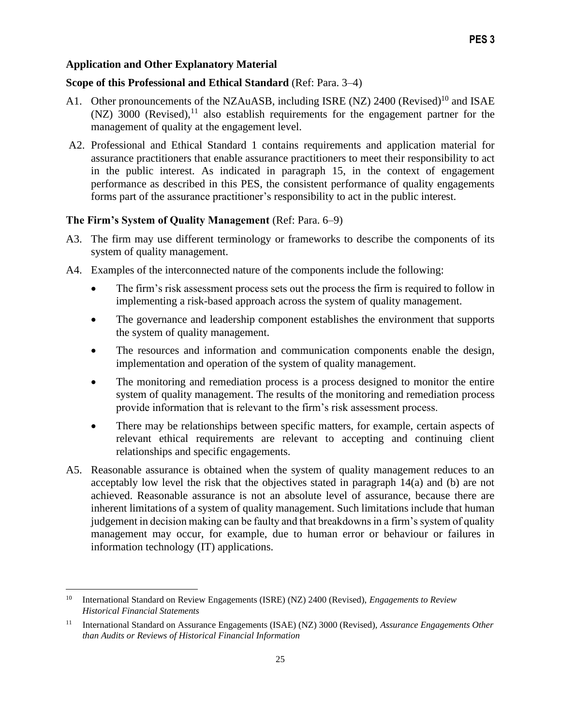### **Application and Other Explanatory Material**

### **Scope of this Professional and Ethical Standard** (Ref: Para. 3–4)

- A1. Other pronouncements of the NZAuASB, including ISRE (NZ) 2400 (Revised)<sup>10</sup> and ISAE  $(NZ)$  3000 (Revised), <sup>11</sup> also establish requirements for the engagement partner for the management of quality at the engagement level.
- A2. Professional and Ethical Standard 1 contains requirements and application material for assurance practitioners that enable assurance practitioners to meet their responsibility to act in the public interest. As indicated in paragraph 15, in the context of engagement performance as described in this PES, the consistent performance of quality engagements forms part of the assurance practitioner's responsibility to act in the public interest.

### **The Firm's System of Quality Management** (Ref: Para. 6–9)

- A3. The firm may use different terminology or frameworks to describe the components of its system of quality management.
- A4. Examples of the interconnected nature of the components include the following:
	- The firm's risk assessment process sets out the process the firm is required to follow in implementing a risk-based approach across the system of quality management.
	- The governance and leadership component establishes the environment that supports the system of quality management.
	- The resources and information and communication components enable the design, implementation and operation of the system of quality management.
	- The monitoring and remediation process is a process designed to monitor the entire system of quality management. The results of the monitoring and remediation process provide information that is relevant to the firm's risk assessment process.
	- There may be relationships between specific matters, for example, certain aspects of relevant ethical requirements are relevant to accepting and continuing client relationships and specific engagements.
- A5. Reasonable assurance is obtained when the system of quality management reduces to an acceptably low level the risk that the objectives stated in paragraph 14(a) and (b) are not achieved. Reasonable assurance is not an absolute level of assurance, because there are inherent limitations of a system of quality management. Such limitations include that human judgement in decision making can be faulty and that breakdowns in a firm's system of quality management may occur, for example, due to human error or behaviour or failures in information technology (IT) applications.

<sup>10</sup> International Standard on Review Engagements (ISRE) (NZ) 2400 (Revised), *Engagements to Review Historical Financial Statements*

<sup>11</sup> International Standard on Assurance Engagements (ISAE) (NZ) 3000 (Revised), *Assurance Engagements Other than Audits or Reviews of Historical Financial Information*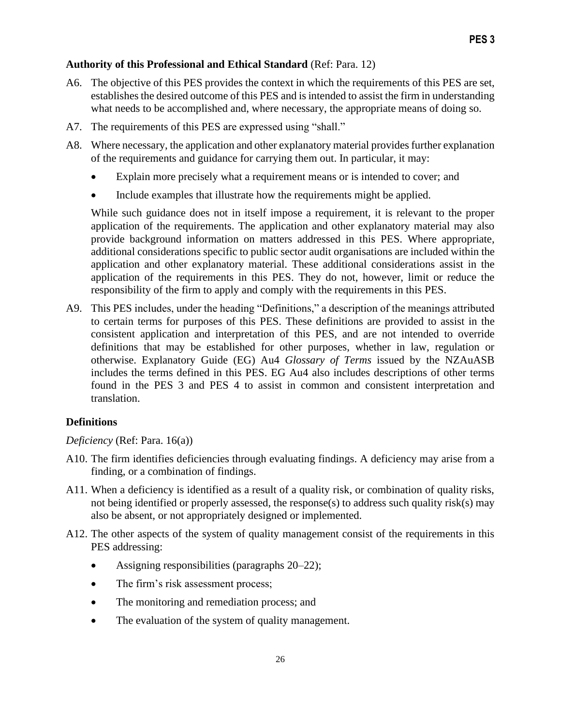## **Authority of this Professional and Ethical Standard** (Ref: Para. 12)

- A6. The objective of this PES provides the context in which the requirements of this PES are set, establishes the desired outcome of this PES and is intended to assist the firm in understanding what needs to be accomplished and, where necessary, the appropriate means of doing so.
- A7. The requirements of this PES are expressed using "shall."
- A8. Where necessary, the application and other explanatory material provides further explanation of the requirements and guidance for carrying them out. In particular, it may:
	- Explain more precisely what a requirement means or is intended to cover; and
	- Include examples that illustrate how the requirements might be applied.

While such guidance does not in itself impose a requirement, it is relevant to the proper application of the requirements. The application and other explanatory material may also provide background information on matters addressed in this PES. Where appropriate, additional considerations specific to public sector audit organisations are included within the application and other explanatory material. These additional considerations assist in the application of the requirements in this PES. They do not, however, limit or reduce the responsibility of the firm to apply and comply with the requirements in this PES.

A9. This PES includes, under the heading "Definitions," a description of the meanings attributed to certain terms for purposes of this PES. These definitions are provided to assist in the consistent application and interpretation of this PES, and are not intended to override definitions that may be established for other purposes, whether in law, regulation or otherwise. Explanatory Guide (EG) Au4 *Glossary of Terms* issued by the NZAuASB includes the terms defined in this PES. EG Au4 also includes descriptions of other terms found in the PES 3 and PES 4 to assist in common and consistent interpretation and translation.

## **Definitions**

*Deficiency* (Ref: Para. 16(a))

- A10. The firm identifies deficiencies through evaluating findings. A deficiency may arise from a finding, or a combination of findings.
- A11. When a deficiency is identified as a result of a quality risk, or combination of quality risks, not being identified or properly assessed, the response(s) to address such quality risk(s) may also be absent, or not appropriately designed or implemented.
- A12. The other aspects of the system of quality management consist of the requirements in this PES addressing:
	- Assigning responsibilities (paragraphs 20–22);
	- The firm's risk assessment process;
	- The monitoring and remediation process; and
	- The evaluation of the system of quality management.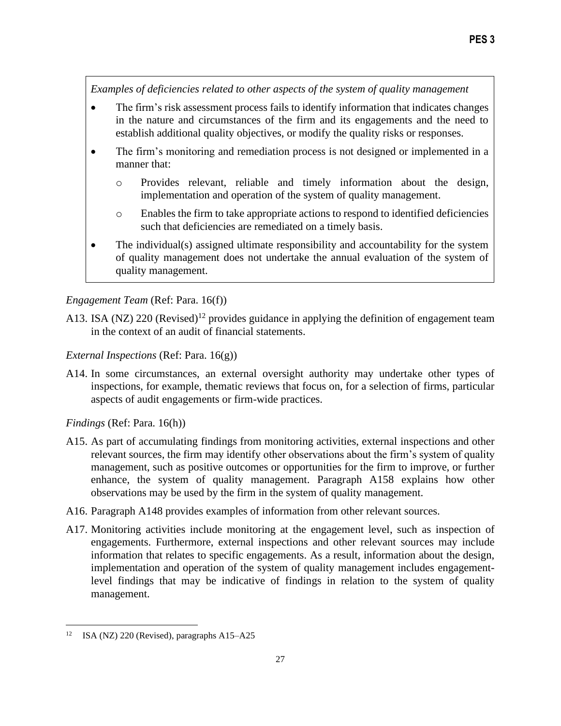*Examples of deficiencies related to other aspects of the system of quality management*

- The firm's risk assessment process fails to identify information that indicates changes in the nature and circumstances of the firm and its engagements and the need to establish additional quality objectives, or modify the quality risks or responses.
- The firm's monitoring and remediation process is not designed or implemented in a manner that:
	- o Provides relevant, reliable and timely information about the design, implementation and operation of the system of quality management.
	- o Enables the firm to take appropriate actions to respond to identified deficiencies such that deficiencies are remediated on a timely basis.
- The individual(s) assigned ultimate responsibility and accountability for the system of quality management does not undertake the annual evaluation of the system of quality management.

# *Engagement Team* (Ref: Para. 16(f))

A13. ISA (NZ) 220 (Revised)<sup>12</sup> provides guidance in applying the definition of engagement team in the context of an audit of financial statements.

### *External Inspections* (Ref: Para. 16(g))

A14. In some circumstances, an external oversight authority may undertake other types of inspections, for example, thematic reviews that focus on, for a selection of firms, particular aspects of audit engagements or firm-wide practices.

*Findings* (Ref: Para. 16(h))

- A15. As part of accumulating findings from monitoring activities, external inspections and other relevant sources, the firm may identify other observations about the firm's system of quality management, such as positive outcomes or opportunities for the firm to improve, or further enhance, the system of quality management. Paragraph A158 explains how other observations may be used by the firm in the system of quality management.
- A16. Paragraph A148 provides examples of information from other relevant sources.
- A17. Monitoring activities include monitoring at the engagement level, such as inspection of engagements. Furthermore, external inspections and other relevant sources may include information that relates to specific engagements. As a result, information about the design, implementation and operation of the system of quality management includes engagementlevel findings that may be indicative of findings in relation to the system of quality management.

<sup>12</sup> ISA (NZ) 220 (Revised), paragraphs A15–A25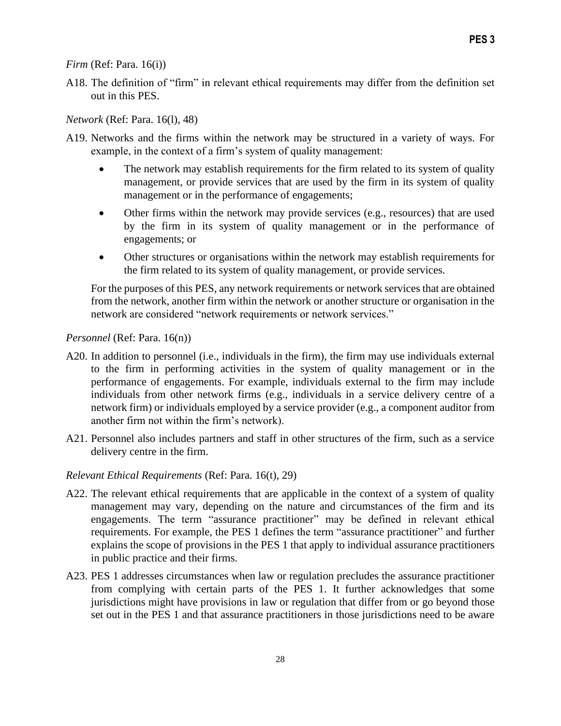*Firm* (Ref: Para. 16(i))

A18. The definition of "firm" in relevant ethical requirements may differ from the definition set out in this PES.

*Network* (Ref: Para. 16(l), 48)

- A19. Networks and the firms within the network may be structured in a variety of ways. For example, in the context of a firm's system of quality management:
	- The network may establish requirements for the firm related to its system of quality management, or provide services that are used by the firm in its system of quality management or in the performance of engagements;
	- Other firms within the network may provide services (e.g., resources) that are used by the firm in its system of quality management or in the performance of engagements; or
	- Other structures or organisations within the network may establish requirements for the firm related to its system of quality management, or provide services.

For the purposes of this PES, any network requirements or network services that are obtained from the network, another firm within the network or another structure or organisation in the network are considered "network requirements or network services."

### *Personnel* (Ref: Para. 16(n))

- A20. In addition to personnel (i.e., individuals in the firm), the firm may use individuals external to the firm in performing activities in the system of quality management or in the performance of engagements. For example, individuals external to the firm may include individuals from other network firms (e.g., individuals in a service delivery centre of a network firm) or individuals employed by a service provider (e.g., a component auditor from another firm not within the firm's network).
- A21. Personnel also includes partners and staff in other structures of the firm, such as a service delivery centre in the firm.

### *Relevant Ethical Requirements* (Ref: Para. 16(t), 29)

- A22. The relevant ethical requirements that are applicable in the context of a system of quality management may vary, depending on the nature and circumstances of the firm and its engagements. The term "assurance practitioner" may be defined in relevant ethical requirements. For example, the PES 1 defines the term "assurance practitioner" and further explains the scope of provisions in the PES 1 that apply to individual assurance practitioners in public practice and their firms.
- A23. PES 1 addresses circumstances when law or regulation precludes the assurance practitioner from complying with certain parts of the PES 1. It further acknowledges that some jurisdictions might have provisions in law or regulation that differ from or go beyond those set out in the PES 1 and that assurance practitioners in those jurisdictions need to be aware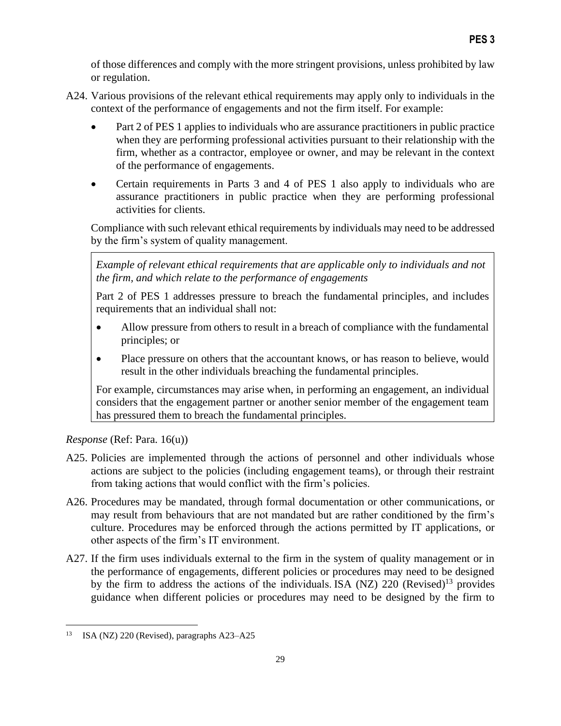of those differences and comply with the more stringent provisions, unless prohibited by law or regulation.

- A24. Various provisions of the relevant ethical requirements may apply only to individuals in the context of the performance of engagements and not the firm itself. For example:
	- Part 2 of PES 1 applies to individuals who are assurance practitioners in public practice when they are performing professional activities pursuant to their relationship with the firm, whether as a contractor, employee or owner, and may be relevant in the context of the performance of engagements.
	- Certain requirements in Parts 3 and 4 of PES 1 also apply to individuals who are assurance practitioners in public practice when they are performing professional activities for clients.

Compliance with such relevant ethical requirements by individuals may need to be addressed by the firm's system of quality management.

*Example of relevant ethical requirements that are applicable only to individuals and not the firm, and which relate to the performance of engagements*

Part 2 of PES 1 addresses pressure to breach the fundamental principles, and includes requirements that an individual shall not:

- Allow pressure from others to result in a breach of compliance with the fundamental principles; or
- Place pressure on others that the accountant knows, or has reason to believe, would result in the other individuals breaching the fundamental principles.

For example, circumstances may arise when, in performing an engagement, an individual considers that the engagement partner or another senior member of the engagement team has pressured them to breach the fundamental principles.

*Response* (Ref: Para. 16(u))

- A25. Policies are implemented through the actions of personnel and other individuals whose actions are subject to the policies (including engagement teams), or through their restraint from taking actions that would conflict with the firm's policies.
- A26. Procedures may be mandated, through formal documentation or other communications, or may result from behaviours that are not mandated but are rather conditioned by the firm's culture. Procedures may be enforced through the actions permitted by IT applications, or other aspects of the firm's IT environment.
- A27. If the firm uses individuals external to the firm in the system of quality management or in the performance of engagements, different policies or procedures may need to be designed by the firm to address the actions of the individuals. ISA (NZ)  $220$  (Revised)<sup>13</sup> provides guidance when different policies or procedures may need to be designed by the firm to

<sup>13</sup> ISA (NZ) 220 (Revised), paragraphs A23–A25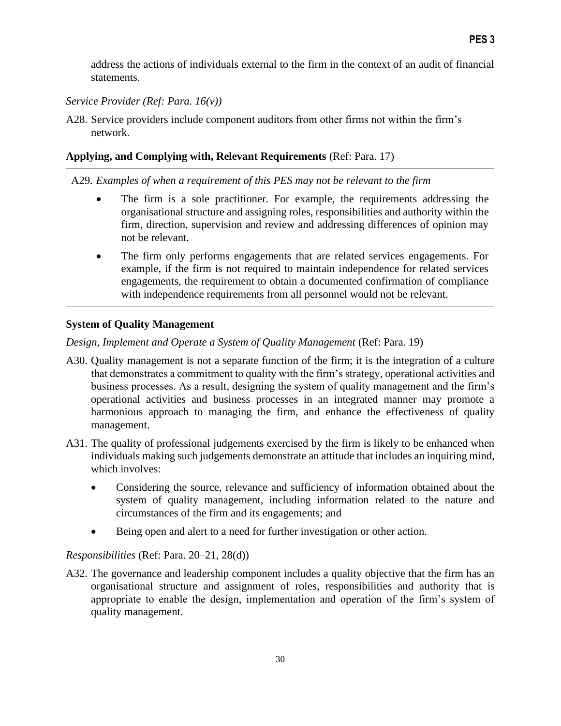address the actions of individuals external to the firm in the context of an audit of financial statements.

# *Service Provider (Ref: Para. 16(v))*

A28. Service providers include component auditors from other firms not within the firm's network.

# **Applying, and Complying with, Relevant Requirements** (Ref: Para. 17)

A29. *Examples of when a requirement of this PES may not be relevant to the firm*

- The firm is a sole practitioner. For example, the requirements addressing the organisational structure and assigning roles, responsibilities and authority within the firm, direction, supervision and review and addressing differences of opinion may not be relevant.
- The firm only performs engagements that are related services engagements. For example, if the firm is not required to maintain independence for related services engagements, the requirement to obtain a documented confirmation of compliance with independence requirements from all personnel would not be relevant.

# **System of Quality Management**

*Design, Implement and Operate a System of Quality Management* (Ref: Para. 19)

- A30. Quality management is not a separate function of the firm; it is the integration of a culture that demonstrates a commitment to quality with the firm's strategy, operational activities and business processes. As a result, designing the system of quality management and the firm's operational activities and business processes in an integrated manner may promote a harmonious approach to managing the firm, and enhance the effectiveness of quality management.
- A31. The quality of professional judgements exercised by the firm is likely to be enhanced when individuals making such judgements demonstrate an attitude that includes an inquiring mind, which involves:
	- Considering the source, relevance and sufficiency of information obtained about the system of quality management, including information related to the nature and circumstances of the firm and its engagements; and
	- Being open and alert to a need for further investigation or other action.

# *Responsibilities* (Ref: Para. 20–21, 28(d))

A32. The governance and leadership component includes a quality objective that the firm has an organisational structure and assignment of roles, responsibilities and authority that is appropriate to enable the design, implementation and operation of the firm's system of quality management.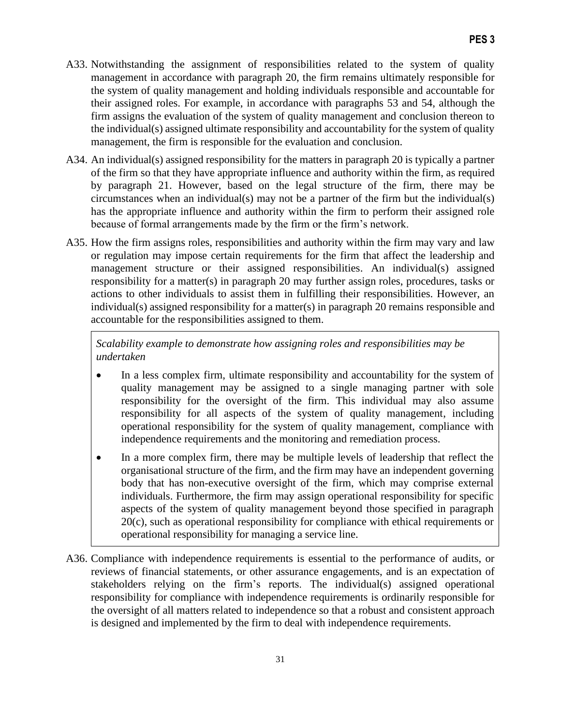- A33. Notwithstanding the assignment of responsibilities related to the system of quality management in accordance with paragraph 20, the firm remains ultimately responsible for the system of quality management and holding individuals responsible and accountable for their assigned roles. For example, in accordance with paragraphs 53 and 54, although the firm assigns the evaluation of the system of quality management and conclusion thereon to the individual(s) assigned ultimate responsibility and accountability for the system of quality management, the firm is responsible for the evaluation and conclusion.
- A34. An individual(s) assigned responsibility for the matters in paragraph 20 is typically a partner of the firm so that they have appropriate influence and authority within the firm, as required by paragraph 21. However, based on the legal structure of the firm, there may be circumstances when an individual(s) may not be a partner of the firm but the individual(s) has the appropriate influence and authority within the firm to perform their assigned role because of formal arrangements made by the firm or the firm's network.
- A35. How the firm assigns roles, responsibilities and authority within the firm may vary and law or regulation may impose certain requirements for the firm that affect the leadership and management structure or their assigned responsibilities. An individual(s) assigned responsibility for a matter(s) in paragraph 20 may further assign roles, procedures, tasks or actions to other individuals to assist them in fulfilling their responsibilities. However, an individual(s) assigned responsibility for a matter(s) in paragraph 20 remains responsible and accountable for the responsibilities assigned to them.

*Scalability example to demonstrate how assigning roles and responsibilities may be undertaken*

- In a less complex firm, ultimate responsibility and accountability for the system of quality management may be assigned to a single managing partner with sole responsibility for the oversight of the firm. This individual may also assume responsibility for all aspects of the system of quality management, including operational responsibility for the system of quality management, compliance with independence requirements and the monitoring and remediation process.
- In a more complex firm, there may be multiple levels of leadership that reflect the organisational structure of the firm, and the firm may have an independent governing body that has non-executive oversight of the firm, which may comprise external individuals. Furthermore, the firm may assign operational responsibility for specific aspects of the system of quality management beyond those specified in paragraph 20(c), such as operational responsibility for compliance with ethical requirements or operational responsibility for managing a service line.
- A36. Compliance with independence requirements is essential to the performance of audits, or reviews of financial statements, or other assurance engagements, and is an expectation of stakeholders relying on the firm's reports. The individual(s) assigned operational responsibility for compliance with independence requirements is ordinarily responsible for the oversight of all matters related to independence so that a robust and consistent approach is designed and implemented by the firm to deal with independence requirements.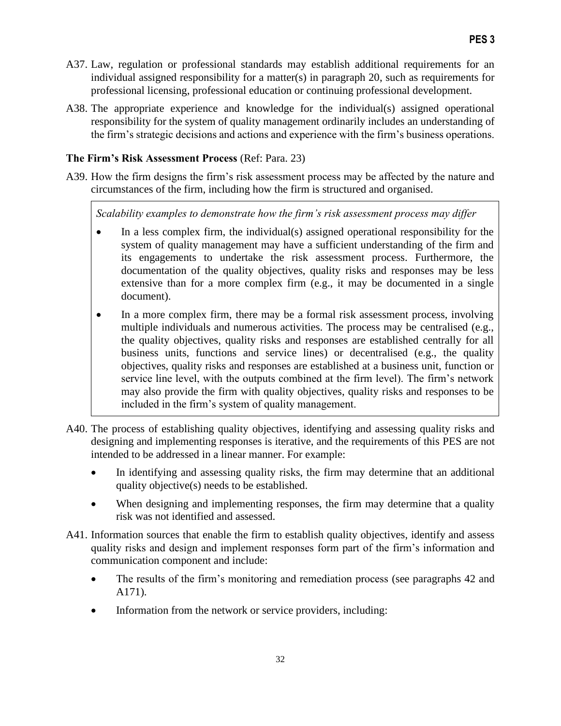- A37. Law, regulation or professional standards may establish additional requirements for an individual assigned responsibility for a matter(s) in paragraph 20, such as requirements for professional licensing, professional education or continuing professional development.
- A38. The appropriate experience and knowledge for the individual(s) assigned operational responsibility for the system of quality management ordinarily includes an understanding of the firm's strategic decisions and actions and experience with the firm's business operations.

# **The Firm's Risk Assessment Process** (Ref: Para. 23)

A39. How the firm designs the firm's risk assessment process may be affected by the nature and circumstances of the firm, including how the firm is structured and organised.

*Scalability examples to demonstrate how the firm's risk assessment process may differ*

- In a less complex firm, the individual(s) assigned operational responsibility for the system of quality management may have a sufficient understanding of the firm and its engagements to undertake the risk assessment process. Furthermore, the documentation of the quality objectives, quality risks and responses may be less extensive than for a more complex firm (e.g., it may be documented in a single document).
- In a more complex firm, there may be a formal risk assessment process, involving multiple individuals and numerous activities. The process may be centralised (e.g., the quality objectives, quality risks and responses are established centrally for all business units, functions and service lines) or decentralised (e.g., the quality objectives, quality risks and responses are established at a business unit, function or service line level, with the outputs combined at the firm level). The firm's network may also provide the firm with quality objectives, quality risks and responses to be included in the firm's system of quality management.
- A40. The process of establishing quality objectives, identifying and assessing quality risks and designing and implementing responses is iterative, and the requirements of this PES are not intended to be addressed in a linear manner. For example:
	- In identifying and assessing quality risks, the firm may determine that an additional quality objective(s) needs to be established.
	- When designing and implementing responses, the firm may determine that a quality risk was not identified and assessed.
- A41. Information sources that enable the firm to establish quality objectives, identify and assess quality risks and design and implement responses form part of the firm's information and communication component and include:
	- The results of the firm's monitoring and remediation process (see paragraphs 42 and A171).
	- Information from the network or service providers, including: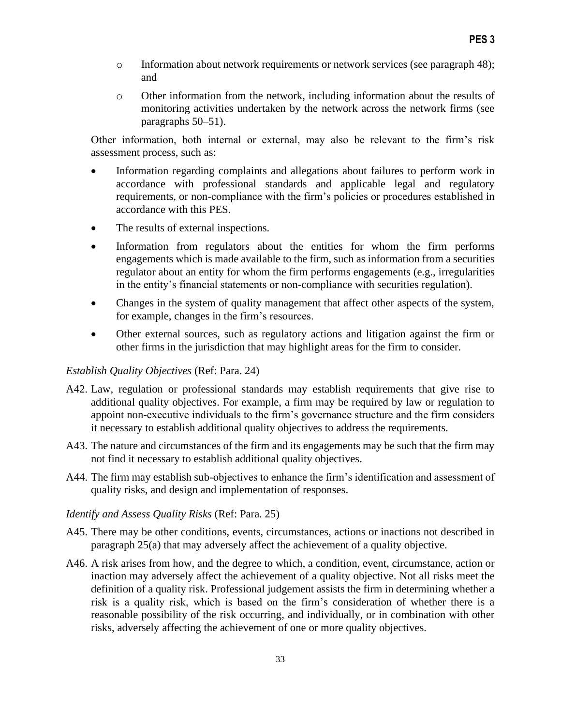- o Information about network requirements or network services (see paragraph 48); and
- o Other information from the network, including information about the results of monitoring activities undertaken by the network across the network firms (see paragraphs 50–51).

Other information, both internal or external, may also be relevant to the firm's risk assessment process, such as:

- Information regarding complaints and allegations about failures to perform work in accordance with professional standards and applicable legal and regulatory requirements, or non-compliance with the firm's policies or procedures established in accordance with this PES.
- The results of external inspections.
- Information from regulators about the entities for whom the firm performs engagements which is made available to the firm, such as information from a securities regulator about an entity for whom the firm performs engagements (e.g., irregularities in the entity's financial statements or non-compliance with securities regulation).
- Changes in the system of quality management that affect other aspects of the system, for example, changes in the firm's resources.
- Other external sources, such as regulatory actions and litigation against the firm or other firms in the jurisdiction that may highlight areas for the firm to consider.

### *Establish Quality Objectives* (Ref: Para. 24)

- A42. Law, regulation or professional standards may establish requirements that give rise to additional quality objectives. For example, a firm may be required by law or regulation to appoint non-executive individuals to the firm's governance structure and the firm considers it necessary to establish additional quality objectives to address the requirements.
- A43. The nature and circumstances of the firm and its engagements may be such that the firm may not find it necessary to establish additional quality objectives.
- A44. The firm may establish sub-objectives to enhance the firm's identification and assessment of quality risks, and design and implementation of responses.

### *Identify and Assess Quality Risks* (Ref: Para. 25)

- A45. There may be other conditions, events, circumstances, actions or inactions not described in paragraph 25(a) that may adversely affect the achievement of a quality objective.
- A46. A risk arises from how, and the degree to which, a condition, event, circumstance, action or inaction may adversely affect the achievement of a quality objective. Not all risks meet the definition of a quality risk. Professional judgement assists the firm in determining whether a risk is a quality risk, which is based on the firm's consideration of whether there is a reasonable possibility of the risk occurring, and individually, or in combination with other risks, adversely affecting the achievement of one or more quality objectives.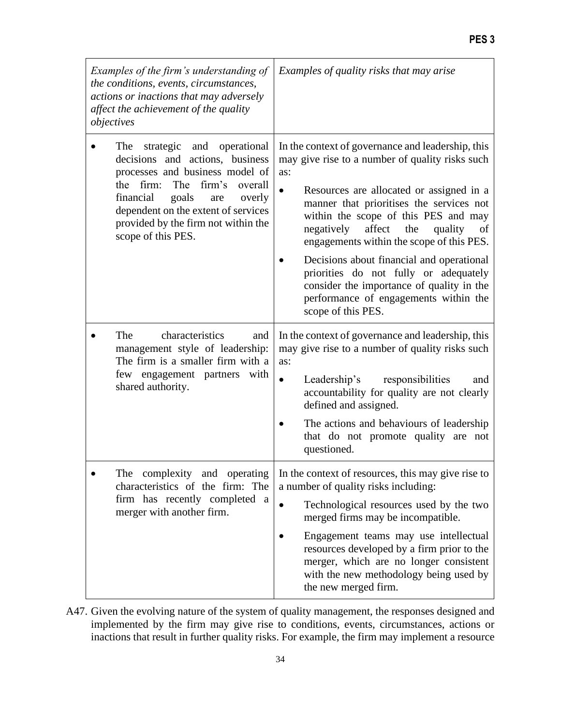| Examples of the firm's understanding of<br>the conditions, events, circumstances,<br>actions or inactions that may adversely<br>affect the achievement of the quality<br>objectives                                                                                                     | Examples of quality risks that may arise                                                                                                                                                                                                                                                                                                                                                                                                                                                                                                             |
|-----------------------------------------------------------------------------------------------------------------------------------------------------------------------------------------------------------------------------------------------------------------------------------------|------------------------------------------------------------------------------------------------------------------------------------------------------------------------------------------------------------------------------------------------------------------------------------------------------------------------------------------------------------------------------------------------------------------------------------------------------------------------------------------------------------------------------------------------------|
| The strategic and operational<br>decisions and actions, business<br>processes and business model of<br>the firm:<br>firm's<br>The<br>overall<br>financial<br>goals<br>overly<br>are<br>dependent on the extent of services<br>provided by the firm not within the<br>scope of this PES. | In the context of governance and leadership, this<br>may give rise to a number of quality risks such<br>as:<br>$\bullet$<br>Resources are allocated or assigned in a<br>manner that prioritises the services not<br>within the scope of this PES and may<br>negatively affect<br>the<br>quality<br>of<br>engagements within the scope of this PES.<br>Decisions about financial and operational<br>priorities do not fully or adequately<br>consider the importance of quality in the<br>performance of engagements within the<br>scope of this PES. |
| The<br>characteristics<br>and<br>management style of leadership:<br>The firm is a smaller firm with a<br>with<br>few engagement partners<br>shared authority.                                                                                                                           | In the context of governance and leadership, this<br>may give rise to a number of quality risks such<br>as:<br>responsibilities<br>Leadership's<br>and<br>$\bullet$<br>accountability for quality are not clearly<br>defined and assigned.<br>The actions and behaviours of leadership<br>that do not promote quality are not<br>questioned.                                                                                                                                                                                                         |
| The complexity and operating<br>characteristics of the firm: The<br>firm has recently completed a<br>merger with another firm.                                                                                                                                                          | In the context of resources, this may give rise to<br>a number of quality risks including:<br>Technological resources used by the two<br>$\bullet$<br>merged firms may be incompatible.<br>Engagement teams may use intellectual<br>resources developed by a firm prior to the<br>merger, which are no longer consistent<br>with the new methodology being used by<br>the new merged firm.                                                                                                                                                           |

A47. Given the evolving nature of the system of quality management, the responses designed and implemented by the firm may give rise to conditions, events, circumstances, actions or inactions that result in further quality risks. For example, the firm may implement a resource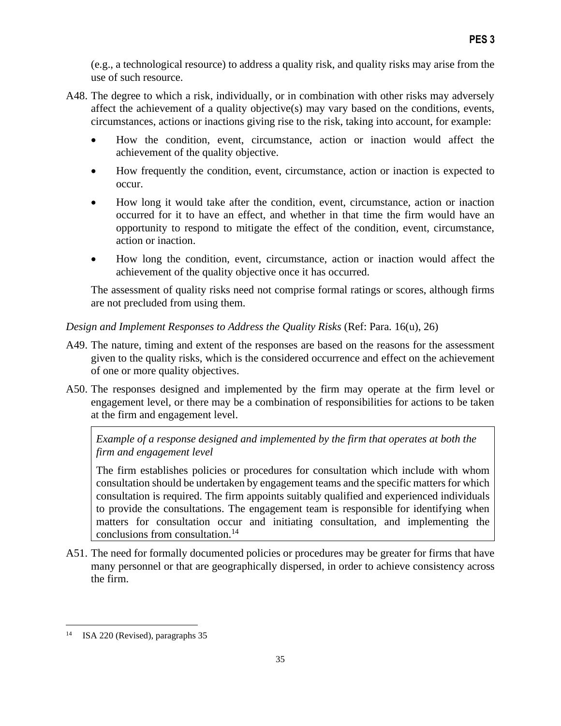(e.g., a technological resource) to address a quality risk, and quality risks may arise from the use of such resource.

- A48. The degree to which a risk, individually, or in combination with other risks may adversely affect the achievement of a quality objective(s) may vary based on the conditions, events, circumstances, actions or inactions giving rise to the risk, taking into account, for example:
	- How the condition, event, circumstance, action or inaction would affect the achievement of the quality objective.
	- How frequently the condition, event, circumstance, action or inaction is expected to occur.
	- How long it would take after the condition, event, circumstance, action or inaction occurred for it to have an effect, and whether in that time the firm would have an opportunity to respond to mitigate the effect of the condition, event, circumstance, action or inaction.
	- How long the condition, event, circumstance, action or inaction would affect the achievement of the quality objective once it has occurred.

The assessment of quality risks need not comprise formal ratings or scores, although firms are not precluded from using them.

### *Design and Implement Responses to Address the Quality Risks* (Ref: Para. 16(u), 26)

- A49. The nature, timing and extent of the responses are based on the reasons for the assessment given to the quality risks, which is the considered occurrence and effect on the achievement of one or more quality objectives.
- A50. The responses designed and implemented by the firm may operate at the firm level or engagement level, or there may be a combination of responsibilities for actions to be taken at the firm and engagement level.

*Example of a response designed and implemented by the firm that operates at both the firm and engagement level*

The firm establishes policies or procedures for consultation which include with whom consultation should be undertaken by engagement teams and the specific matters for which consultation is required. The firm appoints suitably qualified and experienced individuals to provide the consultations. The engagement team is responsible for identifying when matters for consultation occur and initiating consultation, and implementing the conclusions from consultation.<sup>14</sup>

A51. The need for formally documented policies or procedures may be greater for firms that have many personnel or that are geographically dispersed, in order to achieve consistency across the firm.

<sup>&</sup>lt;sup>14</sup> ISA 220 (Revised), paragraphs 35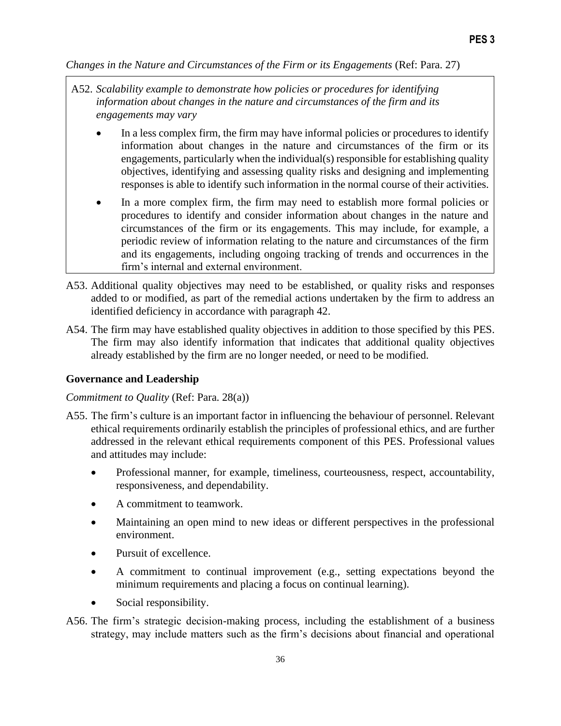*Changes in the Nature and Circumstances of the Firm or its Engagements (Ref: Para. 27)* 

- In a less complex firm, the firm may have informal policies or procedures to identify information about changes in the nature and circumstances of the firm or its engagements, particularly when the individual(s) responsible for establishing quality objectives, identifying and assessing quality risks and designing and implementing responses is able to identify such information in the normal course of their activities.
- In a more complex firm, the firm may need to establish more formal policies or procedures to identify and consider information about changes in the nature and circumstances of the firm or its engagements. This may include, for example, a periodic review of information relating to the nature and circumstances of the firm and its engagements, including ongoing tracking of trends and occurrences in the firm's internal and external environment.
- A53. Additional quality objectives may need to be established, or quality risks and responses added to or modified, as part of the remedial actions undertaken by the firm to address an identified deficiency in accordance with paragraph 42.
- A54. The firm may have established quality objectives in addition to those specified by this PES. The firm may also identify information that indicates that additional quality objectives already established by the firm are no longer needed, or need to be modified.

### **Governance and Leadership**

#### *Commitment to Quality* (Ref: Para. 28(a))

- A55. The firm's culture is an important factor in influencing the behaviour of personnel. Relevant ethical requirements ordinarily establish the principles of professional ethics, and are further addressed in the relevant ethical requirements component of this PES. Professional values and attitudes may include:
	- Professional manner, for example, timeliness, courteousness, respect, accountability, responsiveness, and dependability.
	- A commitment to teamwork.
	- Maintaining an open mind to new ideas or different perspectives in the professional environment.
	- Pursuit of excellence.
	- A commitment to continual improvement (e.g., setting expectations beyond the minimum requirements and placing a focus on continual learning).
	- Social responsibility.
- A56. The firm's strategic decision-making process, including the establishment of a business strategy, may include matters such as the firm's decisions about financial and operational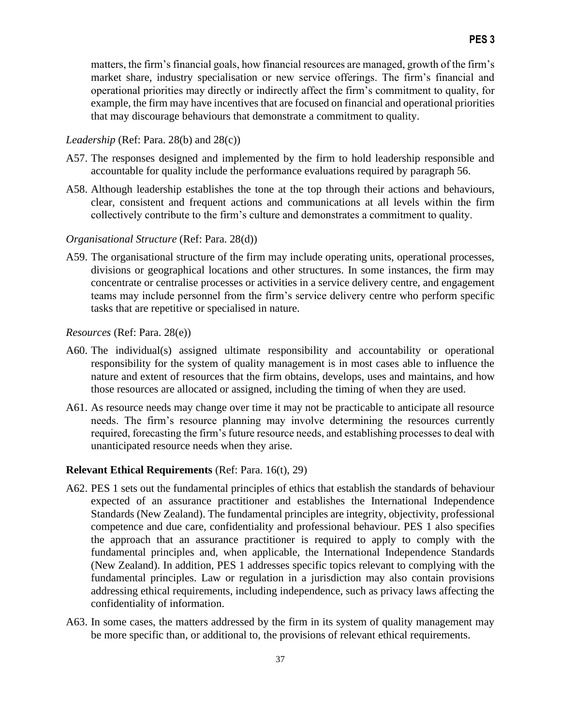matters, the firm's financial goals, how financial resources are managed, growth of the firm's market share, industry specialisation or new service offerings. The firm's financial and operational priorities may directly or indirectly affect the firm's commitment to quality, for example, the firm may have incentives that are focused on financial and operational priorities that may discourage behaviours that demonstrate a commitment to quality.

#### *Leadership* (Ref: Para. 28(b) and 28(c))

- A57. The responses designed and implemented by the firm to hold leadership responsible and accountable for quality include the performance evaluations required by paragraph 56.
- A58. Although leadership establishes the tone at the top through their actions and behaviours, clear, consistent and frequent actions and communications at all levels within the firm collectively contribute to the firm's culture and demonstrates a commitment to quality.

#### *Organisational Structure* (Ref: Para. 28(d))

A59. The organisational structure of the firm may include operating units, operational processes, divisions or geographical locations and other structures. In some instances, the firm may concentrate or centralise processes or activities in a service delivery centre, and engagement teams may include personnel from the firm's service delivery centre who perform specific tasks that are repetitive or specialised in nature.

#### *Resources* (Ref: Para. 28(e))

- A60. The individual(s) assigned ultimate responsibility and accountability or operational responsibility for the system of quality management is in most cases able to influence the nature and extent of resources that the firm obtains, develops, uses and maintains, and how those resources are allocated or assigned, including the timing of when they are used.
- A61. As resource needs may change over time it may not be practicable to anticipate all resource needs. The firm's resource planning may involve determining the resources currently required, forecasting the firm's future resource needs, and establishing processes to deal with unanticipated resource needs when they arise.

## **Relevant Ethical Requirements** (Ref: Para. 16(t), 29)

- A62. PES 1 sets out the fundamental principles of ethics that establish the standards of behaviour expected of an assurance practitioner and establishes the International Independence Standards (New Zealand). The fundamental principles are integrity, objectivity, professional competence and due care, confidentiality and professional behaviour. PES 1 also specifies the approach that an assurance practitioner is required to apply to comply with the fundamental principles and, when applicable, the International Independence Standards (New Zealand). In addition, PES 1 addresses specific topics relevant to complying with the fundamental principles. Law or regulation in a jurisdiction may also contain provisions addressing ethical requirements, including independence, such as privacy laws affecting the confidentiality of information.
- A63. In some cases, the matters addressed by the firm in its system of quality management may be more specific than, or additional to, the provisions of relevant ethical requirements.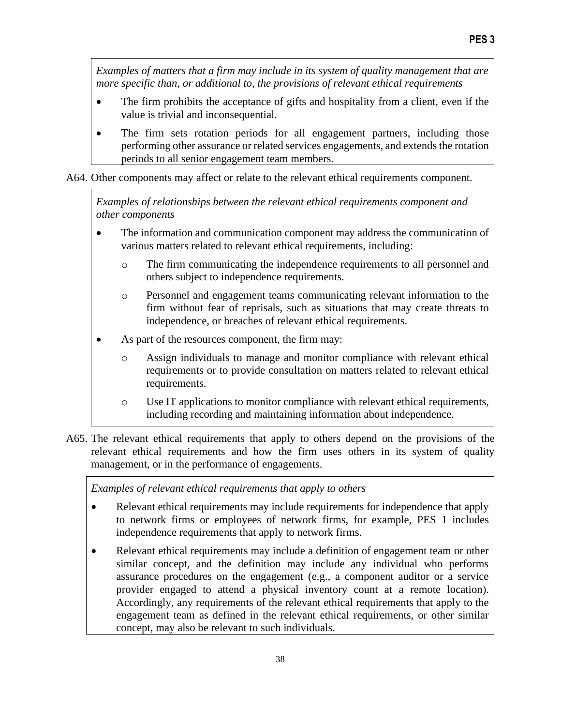*Examples of matters that a firm may include in its system of quality management that are more specific than, or additional to, the provisions of relevant ethical requirements*

- The firm prohibits the acceptance of gifts and hospitality from a client, even if the value is trivial and inconsequential.
- The firm sets rotation periods for all engagement partners, including those performing other assurance or related services engagements, and extends the rotation periods to all senior engagement team members.

A64. Other components may affect or relate to the relevant ethical requirements component.

*Examples of relationships between the relevant ethical requirements component and other components* 

- The information and communication component may address the communication of various matters related to relevant ethical requirements, including:
	- o The firm communicating the independence requirements to all personnel and others subject to independence requirements.
	- o Personnel and engagement teams communicating relevant information to the firm without fear of reprisals, such as situations that may create threats to independence, or breaches of relevant ethical requirements.
- As part of the resources component, the firm may:
	- o Assign individuals to manage and monitor compliance with relevant ethical requirements or to provide consultation on matters related to relevant ethical requirements.
	- o Use IT applications to monitor compliance with relevant ethical requirements, including recording and maintaining information about independence.
- A65. The relevant ethical requirements that apply to others depend on the provisions of the relevant ethical requirements and how the firm uses others in its system of quality management, or in the performance of engagements.

*Examples of relevant ethical requirements that apply to others*

- Relevant ethical requirements may include requirements for independence that apply to network firms or employees of network firms, for example, PES 1 includes independence requirements that apply to network firms.
- Relevant ethical requirements may include a definition of engagement team or other similar concept, and the definition may include any individual who performs assurance procedures on the engagement (e.g., a component auditor or a service provider engaged to attend a physical inventory count at a remote location). Accordingly, any requirements of the relevant ethical requirements that apply to the engagement team as defined in the relevant ethical requirements, or other similar concept, may also be relevant to such individuals.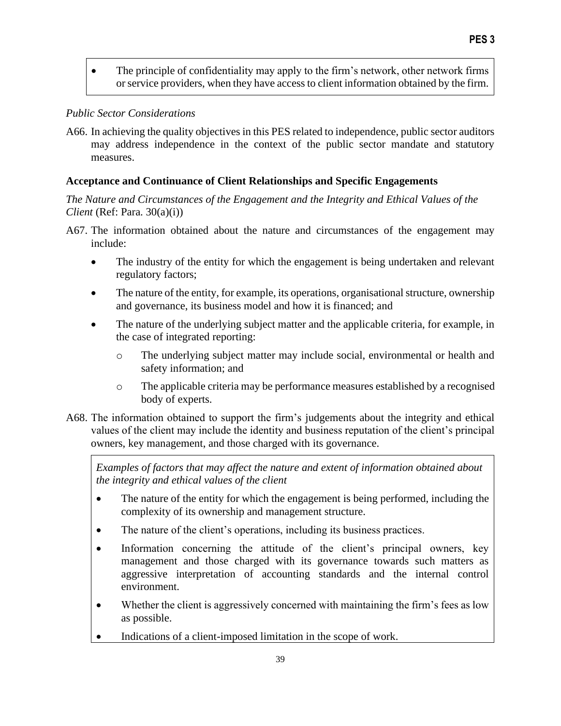• The principle of confidentiality may apply to the firm's network, other network firms or service providers, when they have access to client information obtained by the firm.

#### *Public Sector Considerations*

A66. In achieving the quality objectives in this PES related to independence, public sector auditors may address independence in the context of the public sector mandate and statutory measures.

## **Acceptance and Continuance of Client Relationships and Specific Engagements**

*The Nature and Circumstances of the Engagement and the Integrity and Ethical Values of the Client* (Ref: Para. 30(a)(i))

- A67. The information obtained about the nature and circumstances of the engagement may include:
	- The industry of the entity for which the engagement is being undertaken and relevant regulatory factors;
	- The nature of the entity, for example, its operations, organisational structure, ownership and governance, its business model and how it is financed; and
	- The nature of the underlying subject matter and the applicable criteria, for example, in the case of integrated reporting:
		- o The underlying subject matter may include social, environmental or health and safety information; and
		- o The applicable criteria may be performance measures established by a recognised body of experts.
- A68. The information obtained to support the firm's judgements about the integrity and ethical values of the client may include the identity and business reputation of the client's principal owners, key management, and those charged with its governance.

*Examples of factors that may affect the nature and extent of information obtained about the integrity and ethical values of the client*

- The nature of the entity for which the engagement is being performed, including the complexity of its ownership and management structure.
- The nature of the client's operations, including its business practices.
- Information concerning the attitude of the client's principal owners, key management and those charged with its governance towards such matters as aggressive interpretation of accounting standards and the internal control environment.
- Whether the client is aggressively concerned with maintaining the firm's fees as low as possible.
- Indications of a client-imposed limitation in the scope of work.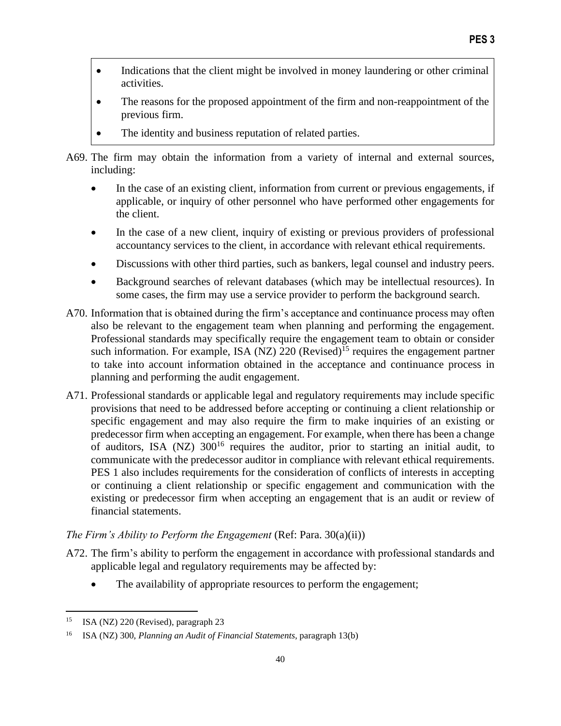- Indications that the client might be involved in money laundering or other criminal activities.
- The reasons for the proposed appointment of the firm and non-reappointment of the previous firm.
- The identity and business reputation of related parties.
- A69. The firm may obtain the information from a variety of internal and external sources, including:
	- In the case of an existing client, information from current or previous engagements, if applicable, or inquiry of other personnel who have performed other engagements for the client.
	- In the case of a new client, inquiry of existing or previous providers of professional accountancy services to the client, in accordance with relevant ethical requirements.
	- Discussions with other third parties, such as bankers, legal counsel and industry peers.
	- Background searches of relevant databases (which may be intellectual resources). In some cases, the firm may use a service provider to perform the background search.
- A70. Information that is obtained during the firm's acceptance and continuance process may often also be relevant to the engagement team when planning and performing the engagement. Professional standards may specifically require the engagement team to obtain or consider such information. For example, ISA (NZ) 220 (Revised)<sup>15</sup> requires the engagement partner to take into account information obtained in the acceptance and continuance process in planning and performing the audit engagement.
- A71. Professional standards or applicable legal and regulatory requirements may include specific provisions that need to be addressed before accepting or continuing a client relationship or specific engagement and may also require the firm to make inquiries of an existing or predecessor firm when accepting an engagement. For example, when there has been a change of auditors, ISA (NZ)  $300^{16}$  requires the auditor, prior to starting an initial audit, to communicate with the predecessor auditor in compliance with relevant ethical requirements. PES 1 also includes requirements for the consideration of conflicts of interests in accepting or continuing a client relationship or specific engagement and communication with the existing or predecessor firm when accepting an engagement that is an audit or review of financial statements.

## *The Firm's Ability to Perform the Engagement* (Ref: Para. 30(a)(ii))

- A72. The firm's ability to perform the engagement in accordance with professional standards and applicable legal and regulatory requirements may be affected by:
	- The availability of appropriate resources to perform the engagement;

<sup>15</sup> ISA (NZ) 220 (Revised), paragraph 23

<sup>16</sup> ISA (NZ) 300, *Planning an Audit of Financial Statements,* paragraph 13(b)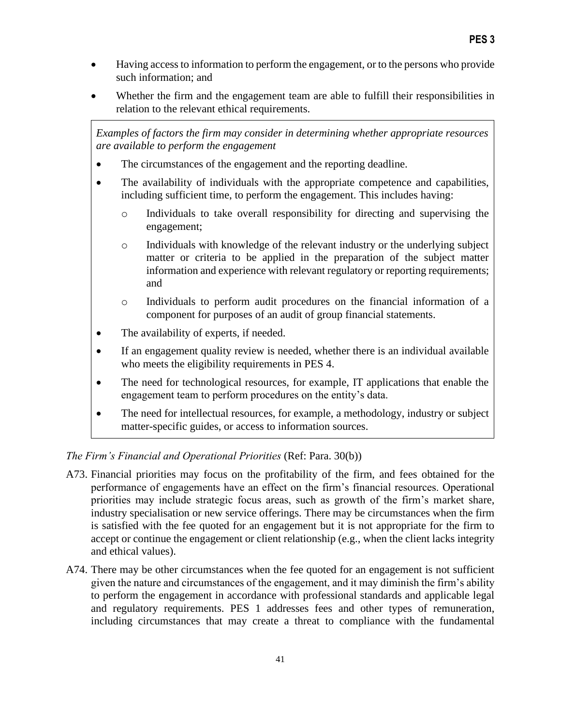- Having access to information to perform the engagement, or to the persons who provide such information; and
- Whether the firm and the engagement team are able to fulfill their responsibilities in relation to the relevant ethical requirements.

*Examples of factors the firm may consider in determining whether appropriate resources are available to perform the engagement*

- The circumstances of the engagement and the reporting deadline.
- The availability of individuals with the appropriate competence and capabilities, including sufficient time, to perform the engagement. This includes having:
	- o Individuals to take overall responsibility for directing and supervising the engagement;
	- o Individuals with knowledge of the relevant industry or the underlying subject matter or criteria to be applied in the preparation of the subject matter information and experience with relevant regulatory or reporting requirements; and
	- o Individuals to perform audit procedures on the financial information of a component for purposes of an audit of group financial statements.
- The availability of experts, if needed.
- If an engagement quality review is needed, whether there is an individual available who meets the eligibility requirements in PES 4.
- The need for technological resources, for example, IT applications that enable the engagement team to perform procedures on the entity's data.
- The need for intellectual resources, for example, a methodology, industry or subject matter-specific guides, or access to information sources.

*The Firm's Financial and Operational Priorities* (Ref: Para. 30(b))

- A73. Financial priorities may focus on the profitability of the firm, and fees obtained for the performance of engagements have an effect on the firm's financial resources. Operational priorities may include strategic focus areas, such as growth of the firm's market share, industry specialisation or new service offerings. There may be circumstances when the firm is satisfied with the fee quoted for an engagement but it is not appropriate for the firm to accept or continue the engagement or client relationship (e.g., when the client lacks integrity and ethical values).
- A74. There may be other circumstances when the fee quoted for an engagement is not sufficient given the nature and circumstances of the engagement, and it may diminish the firm's ability to perform the engagement in accordance with professional standards and applicable legal and regulatory requirements. PES 1 addresses fees and other types of remuneration, including circumstances that may create a threat to compliance with the fundamental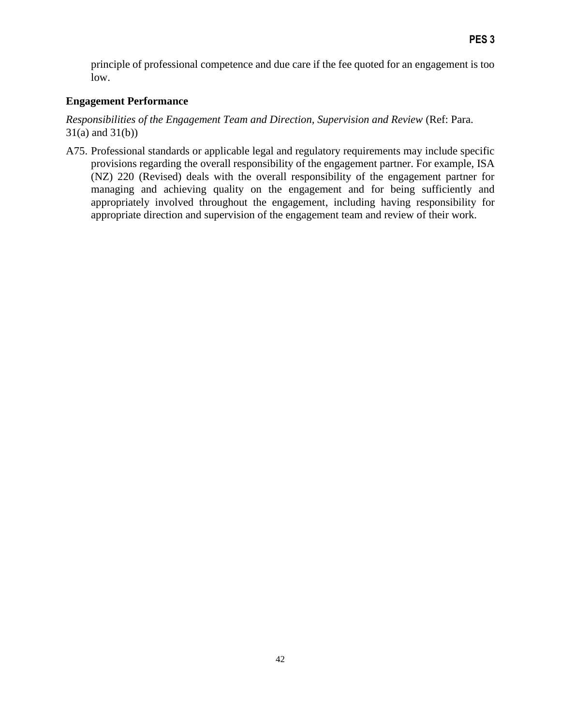principle of professional competence and due care if the fee quoted for an engagement is too low.

## **Engagement Performance**

*Responsibilities of the Engagement Team and Direction, Supervision and Review* (Ref: Para. 31(a) and 31(b))

A75. Professional standards or applicable legal and regulatory requirements may include specific provisions regarding the overall responsibility of the engagement partner. For example, ISA (NZ) 220 (Revised) deals with the overall responsibility of the engagement partner for managing and achieving quality on the engagement and for being sufficiently and appropriately involved throughout the engagement, including having responsibility for appropriate direction and supervision of the engagement team and review of their work.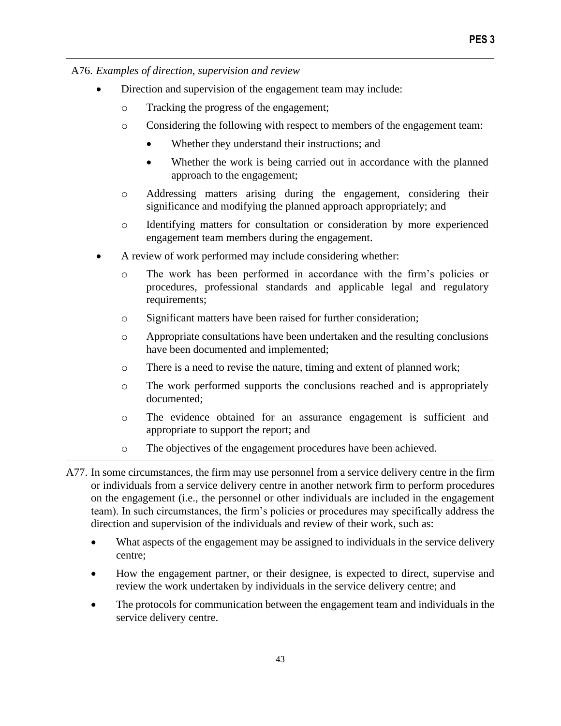A76. *Examples of direction, supervision and review* Direction and supervision of the engagement team may include: o Tracking the progress of the engagement; o Considering the following with respect to members of the engagement team: Whether they understand their instructions; and • Whether the work is being carried out in accordance with the planned approach to the engagement; o Addressing matters arising during the engagement, considering their significance and modifying the planned approach appropriately; and o Identifying matters for consultation or consideration by more experienced engagement team members during the engagement. • A review of work performed may include considering whether: o The work has been performed in accordance with the firm's policies or procedures, professional standards and applicable legal and regulatory requirements; o Significant matters have been raised for further consideration; o Appropriate consultations have been undertaken and the resulting conclusions have been documented and implemented; o There is a need to revise the nature, timing and extent of planned work; o The work performed supports the conclusions reached and is appropriately documented; o The evidence obtained for an assurance engagement is sufficient and appropriate to support the report; and o The objectives of the engagement procedures have been achieved.

A77. In some circumstances, the firm may use personnel from a service delivery centre in the firm or individuals from a service delivery centre in another network firm to perform procedures on the engagement (i.e., the personnel or other individuals are included in the engagement team). In such circumstances, the firm's policies or procedures may specifically address the direction and supervision of the individuals and review of their work, such as:

- What aspects of the engagement may be assigned to individuals in the service delivery centre;
- How the engagement partner, or their designee, is expected to direct, supervise and review the work undertaken by individuals in the service delivery centre; and
- The protocols for communication between the engagement team and individuals in the service delivery centre.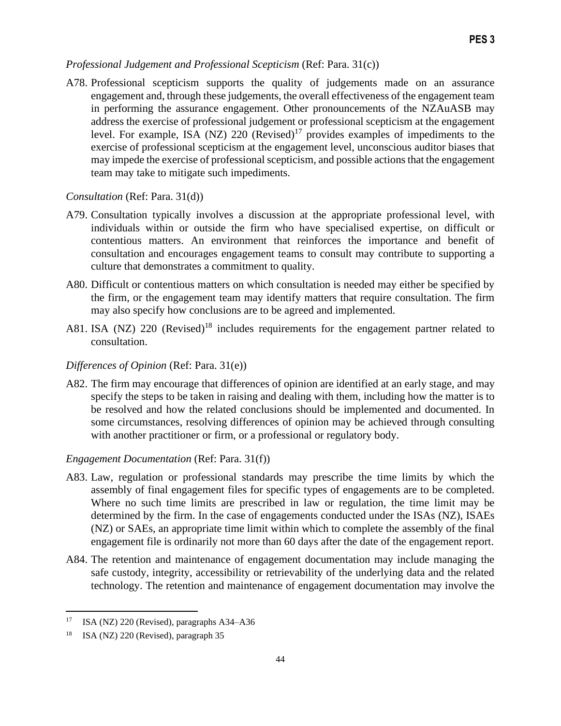#### *Professional Judgement and Professional Scepticism* (Ref: Para. 31(c))

A78. Professional scepticism supports the quality of judgements made on an assurance engagement and, through these judgements, the overall effectiveness of the engagement team in performing the assurance engagement. Other pronouncements of the NZAuASB may address the exercise of professional judgement or professional scepticism at the engagement level. For example, ISA (NZ)  $220$  (Revised)<sup>17</sup> provides examples of impediments to the exercise of professional scepticism at the engagement level, unconscious auditor biases that may impede the exercise of professional scepticism*,* and possible actions that the engagement team may take to mitigate such impediments.

#### *Consultation* (Ref: Para. 31(d))

- A79. Consultation typically involves a discussion at the appropriate professional level, with individuals within or outside the firm who have specialised expertise, on difficult or contentious matters. An environment that reinforces the importance and benefit of consultation and encourages engagement teams to consult may contribute to supporting a culture that demonstrates a commitment to quality.
- A80. Difficult or contentious matters on which consultation is needed may either be specified by the firm, or the engagement team may identify matters that require consultation. The firm may also specify how conclusions are to be agreed and implemented.
- A81. ISA (NZ) 220 (Revised)<sup>18</sup> includes requirements for the engagement partner related to consultation.

#### *Differences of Opinion* (Ref: Para. 31(e))

A82. The firm may encourage that differences of opinion are identified at an early stage, and may specify the steps to be taken in raising and dealing with them, including how the matter is to be resolved and how the related conclusions should be implemented and documented. In some circumstances, resolving differences of opinion may be achieved through consulting with another practitioner or firm, or a professional or regulatory body.

#### *Engagement Documentation* (Ref: Para. 31(f))

- A83. Law, regulation or professional standards may prescribe the time limits by which the assembly of final engagement files for specific types of engagements are to be completed. Where no such time limits are prescribed in law or regulation, the time limit may be determined by the firm. In the case of engagements conducted under the ISAs (NZ), ISAEs (NZ) or SAEs, an appropriate time limit within which to complete the assembly of the final engagement file is ordinarily not more than 60 days after the date of the engagement report.
- A84. The retention and maintenance of engagement documentation may include managing the safe custody, integrity, accessibility or retrievability of the underlying data and the related technology. The retention and maintenance of engagement documentation may involve the

<sup>&</sup>lt;sup>17</sup> ISA (NZ) 220 (Revised), paragraphs  $A34- A36$ 

<sup>18</sup> ISA (NZ) 220 (Revised), paragraph 35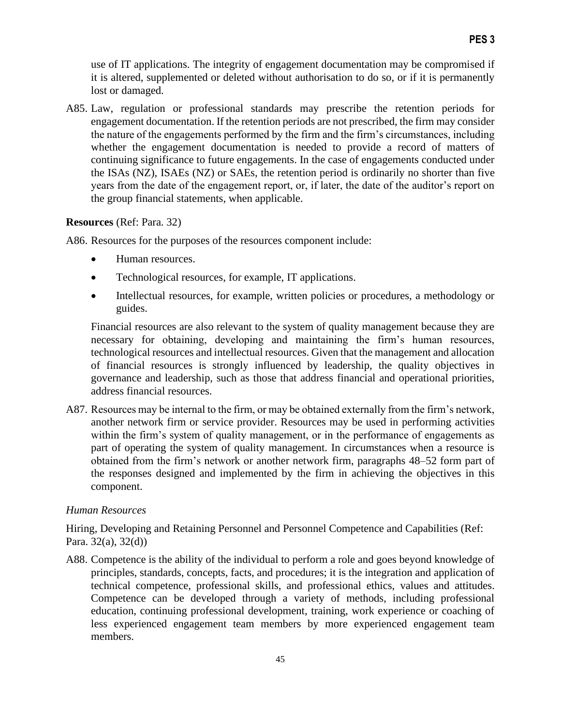use of IT applications. The integrity of engagement documentation may be compromised if it is altered, supplemented or deleted without authorisation to do so, or if it is permanently lost or damaged.

A85. Law, regulation or professional standards may prescribe the retention periods for engagement documentation. If the retention periods are not prescribed, the firm may consider the nature of the engagements performed by the firm and the firm's circumstances, including whether the engagement documentation is needed to provide a record of matters of continuing significance to future engagements. In the case of engagements conducted under the ISAs (NZ), ISAEs (NZ) or SAEs, the retention period is ordinarily no shorter than five years from the date of the engagement report, or, if later, the date of the auditor's report on the group financial statements, when applicable.

## **Resources** (Ref: Para. 32)

A86. Resources for the purposes of the resources component include:

- Human resources.
- Technological resources, for example, IT applications.
- Intellectual resources, for example, written policies or procedures, a methodology or guides.

Financial resources are also relevant to the system of quality management because they are necessary for obtaining, developing and maintaining the firm's human resources, technological resources and intellectual resources. Given that the management and allocation of financial resources is strongly influenced by leadership, the quality objectives in governance and leadership, such as those that address financial and operational priorities, address financial resources.

A87. Resources may be internal to the firm, or may be obtained externally from the firm's network, another network firm or service provider. Resources may be used in performing activities within the firm's system of quality management, or in the performance of engagements as part of operating the system of quality management. In circumstances when a resource is obtained from the firm's network or another network firm, paragraphs 48–52 form part of the responses designed and implemented by the firm in achieving the objectives in this component.

## *Human Resources*

Hiring, Developing and Retaining Personnel and Personnel Competence and Capabilities (Ref: Para. 32(a), 32(d))

A88. Competence is the ability of the individual to perform a role and goes beyond knowledge of principles, standards, concepts, facts, and procedures; it is the integration and application of technical competence, professional skills, and professional ethics, values and attitudes. Competence can be developed through a variety of methods, including professional education, continuing professional development, training, work experience or coaching of less experienced engagement team members by more experienced engagement team members.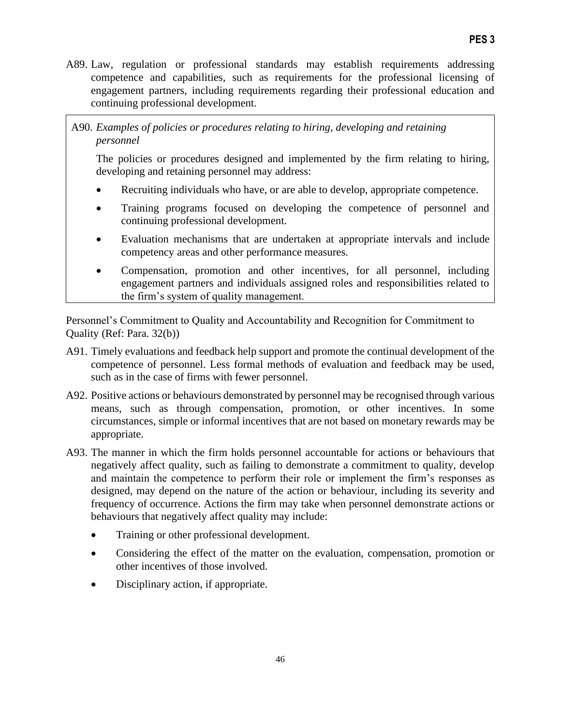- A89. Law, regulation or professional standards may establish requirements addressing competence and capabilities, such as requirements for the professional licensing of engagement partners, including requirements regarding their professional education and continuing professional development.
- A90. *Examples of policies or procedures relating to hiring, developing and retaining personnel*

The policies or procedures designed and implemented by the firm relating to hiring, developing and retaining personnel may address:

- Recruiting individuals who have, or are able to develop, appropriate competence.
- Training programs focused on developing the competence of personnel and continuing professional development.
- Evaluation mechanisms that are undertaken at appropriate intervals and include competency areas and other performance measures.
- Compensation, promotion and other incentives, for all personnel, including engagement partners and individuals assigned roles and responsibilities related to the firm's system of quality management.

Personnel's Commitment to Quality and Accountability and Recognition for Commitment to Quality (Ref: Para. 32(b))

- A91. Timely evaluations and feedback help support and promote the continual development of the competence of personnel. Less formal methods of evaluation and feedback may be used, such as in the case of firms with fewer personnel.
- A92. Positive actions or behaviours demonstrated by personnel may be recognised through various means, such as through compensation, promotion, or other incentives. In some circumstances, simple or informal incentives that are not based on monetary rewards may be appropriate.
- A93. The manner in which the firm holds personnel accountable for actions or behaviours that negatively affect quality, such as failing to demonstrate a commitment to quality, develop and maintain the competence to perform their role or implement the firm's responses as designed, may depend on the nature of the action or behaviour, including its severity and frequency of occurrence. Actions the firm may take when personnel demonstrate actions or behaviours that negatively affect quality may include:
	- Training or other professional development.
	- Considering the effect of the matter on the evaluation, compensation, promotion or other incentives of those involved.
	- Disciplinary action, if appropriate.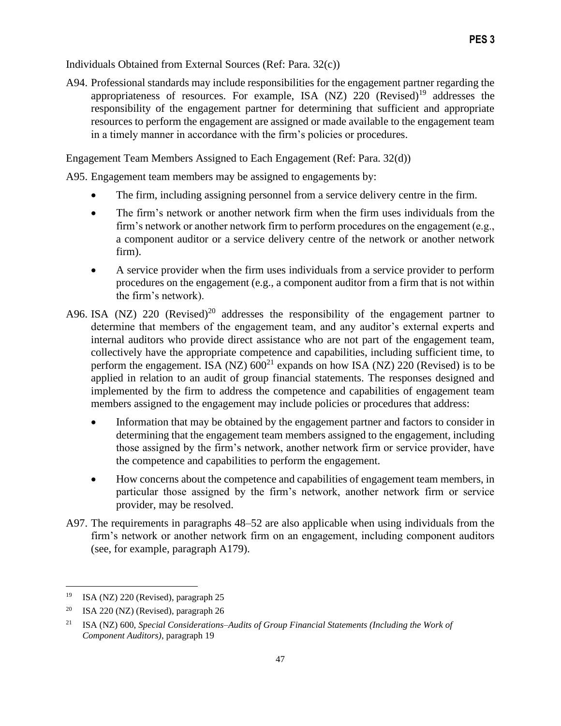Individuals Obtained from External Sources (Ref: Para. 32(c))

A94. Professional standards may include responsibilities for the engagement partner regarding the appropriateness of resources. For example, ISA  $(NZ)$  220  $(Revised)^{19}$  addresses the responsibility of the engagement partner for determining that sufficient and appropriate resources to perform the engagement are assigned or made available to the engagement team in a timely manner in accordance with the firm's policies or procedures.

Engagement Team Members Assigned to Each Engagement (Ref: Para. 32(d))

A95. Engagement team members may be assigned to engagements by:

- The firm, including assigning personnel from a service delivery centre in the firm.
- The firm's network or another network firm when the firm uses individuals from the firm's network or another network firm to perform procedures on the engagement (e.g., a component auditor or a service delivery centre of the network or another network firm).
- A service provider when the firm uses individuals from a service provider to perform procedures on the engagement (e.g., a component auditor from a firm that is not within the firm's network).
- A96. ISA (NZ) 220 (Revised)<sup>20</sup> addresses the responsibility of the engagement partner to determine that members of the engagement team, and any auditor's external experts and internal auditors who provide direct assistance who are not part of the engagement team, collectively have the appropriate competence and capabilities, including sufficient time, to perform the engagement. ISA (NZ)  $600^{21}$  expands on how ISA (NZ) 220 (Revised) is to be applied in relation to an audit of group financial statements. The responses designed and implemented by the firm to address the competence and capabilities of engagement team members assigned to the engagement may include policies or procedures that address:
	- Information that may be obtained by the engagement partner and factors to consider in determining that the engagement team members assigned to the engagement, including those assigned by the firm's network, another network firm or service provider, have the competence and capabilities to perform the engagement.
	- How concerns about the competence and capabilities of engagement team members, in particular those assigned by the firm's network, another network firm or service provider, may be resolved.
- A97. The requirements in paragraphs 48–52 are also applicable when using individuals from the firm's network or another network firm on an engagement, including component auditors (see, for example, paragraph A179).

<sup>19</sup> ISA (NZ) 220 (Revised), paragraph 25

<sup>&</sup>lt;sup>20</sup> ISA 220 (NZ) (Revised), paragraph 26

<sup>21</sup> ISA (NZ) 600, *Special Considerations–Audits of Group Financial Statements (Including the Work of Component Auditors)*, paragraph 19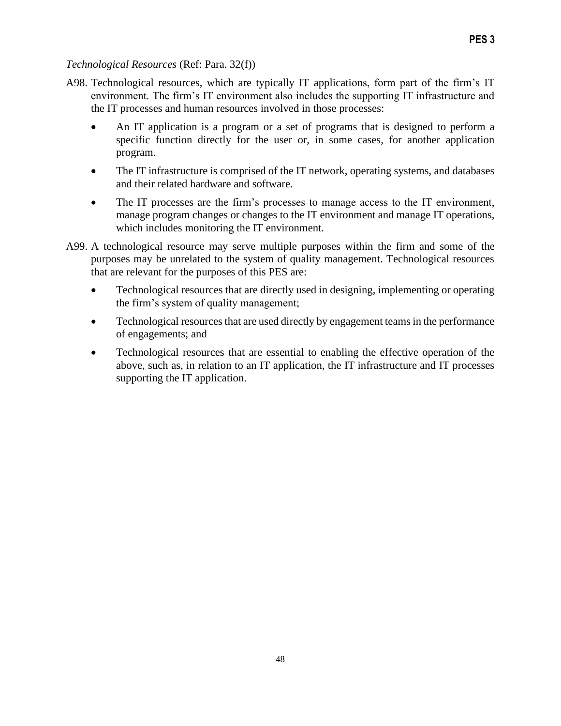## *Technological Resources* (Ref: Para. 32(f))

- A98. Technological resources, which are typically IT applications, form part of the firm's IT environment. The firm's IT environment also includes the supporting IT infrastructure and the IT processes and human resources involved in those processes:
	- An IT application is a program or a set of programs that is designed to perform a specific function directly for the user or, in some cases, for another application program.
	- The IT infrastructure is comprised of the IT network, operating systems, and databases and their related hardware and software.
	- The IT processes are the firm's processes to manage access to the IT environment, manage program changes or changes to the IT environment and manage IT operations, which includes monitoring the IT environment.
- A99. A technological resource may serve multiple purposes within the firm and some of the purposes may be unrelated to the system of quality management. Technological resources that are relevant for the purposes of this PES are:
	- Technological resources that are directly used in designing, implementing or operating the firm's system of quality management;
	- Technological resources that are used directly by engagement teams in the performance of engagements; and
	- Technological resources that are essential to enabling the effective operation of the above, such as, in relation to an IT application, the IT infrastructure and IT processes supporting the IT application.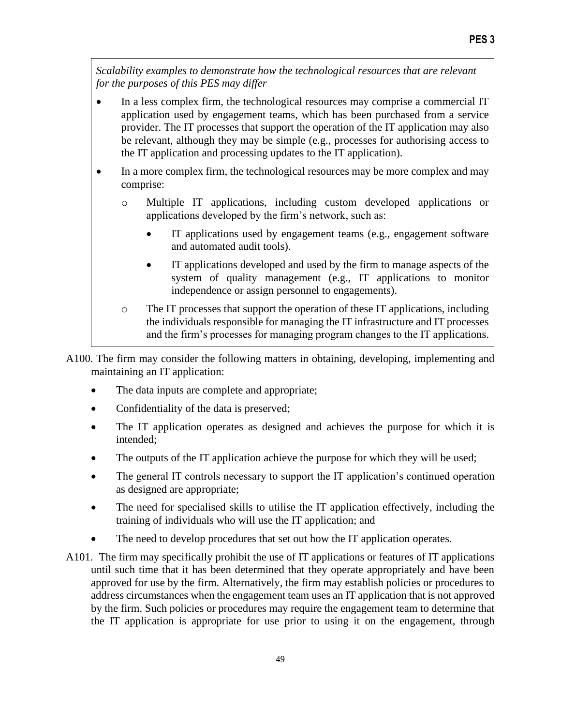*Scalability examples to demonstrate how the technological resources that are relevant for the purposes of this PES may differ*

- In a less complex firm, the technological resources may comprise a commercial IT application used by engagement teams, which has been purchased from a service provider. The IT processes that support the operation of the IT application may also be relevant, although they may be simple (e.g., processes for authorising access to the IT application and processing updates to the IT application).
- In a more complex firm, the technological resources may be more complex and may comprise:
	- o Multiple IT applications, including custom developed applications or applications developed by the firm's network, such as:
		- IT applications used by engagement teams (e.g., engagement software and automated audit tools).
		- IT applications developed and used by the firm to manage aspects of the system of quality management (e.g., IT applications to monitor independence or assign personnel to engagements).

# o The IT processes that support the operation of these IT applications, including the individuals responsible for managing the IT infrastructure and IT processes and the firm's processes for managing program changes to the IT applications.

A100. The firm may consider the following matters in obtaining, developing, implementing and maintaining an IT application:

- The data inputs are complete and appropriate;
- Confidentiality of the data is preserved;
- The IT application operates as designed and achieves the purpose for which it is intended;
- The outputs of the IT application achieve the purpose for which they will be used;
- The general IT controls necessary to support the IT application's continued operation as designed are appropriate;
- The need for specialised skills to utilise the IT application effectively, including the training of individuals who will use the IT application; and
- The need to develop procedures that set out how the IT application operates.
- A101. The firm may specifically prohibit the use of IT applications or features of IT applications until such time that it has been determined that they operate appropriately and have been approved for use by the firm. Alternatively, the firm may establish policies or procedures to address circumstances when the engagement team uses an IT application that is not approved by the firm. Such policies or procedures may require the engagement team to determine that the IT application is appropriate for use prior to using it on the engagement, through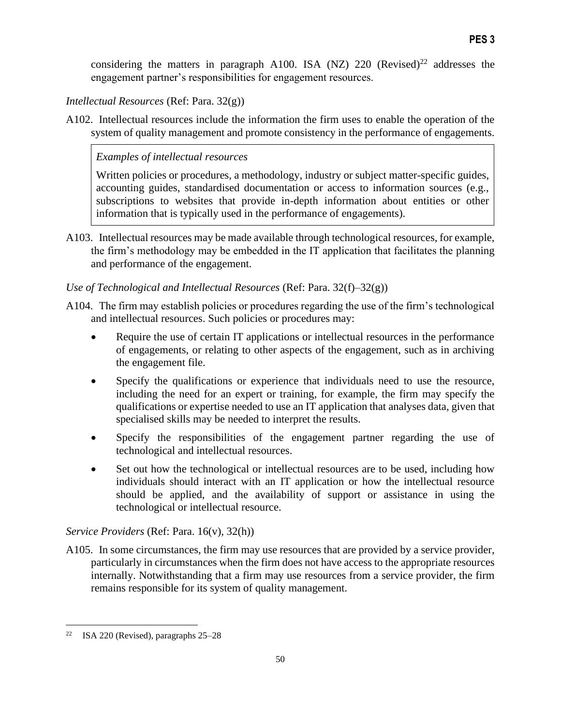considering the matters in paragraph A100. ISA (NZ) 220 (Revised)<sup>22</sup> addresses the engagement partner's responsibilities for engagement resources.

*Intellectual Resources* (Ref: Para. 32(g))

A102. Intellectual resources include the information the firm uses to enable the operation of the system of quality management and promote consistency in the performance of engagements.

# *Examples of intellectual resources*

Written policies or procedures, a methodology, industry or subject matter-specific guides, accounting guides, standardised documentation or access to information sources (e.g., subscriptions to websites that provide in-depth information about entities or other information that is typically used in the performance of engagements).

A103. Intellectual resources may be made available through technological resources, for example, the firm's methodology may be embedded in the IT application that facilitates the planning and performance of the engagement.

# *Use of Technological and Intellectual Resources* (Ref: Para. 32(f)–32(g))

- A104. The firm may establish policies or procedures regarding the use of the firm's technological and intellectual resources. Such policies or procedures may:
	- Require the use of certain IT applications or intellectual resources in the performance of engagements, or relating to other aspects of the engagement, such as in archiving the engagement file.
	- Specify the qualifications or experience that individuals need to use the resource, including the need for an expert or training, for example, the firm may specify the qualifications or expertise needed to use an IT application that analyses data, given that specialised skills may be needed to interpret the results.
	- Specify the responsibilities of the engagement partner regarding the use of technological and intellectual resources.
	- Set out how the technological or intellectual resources are to be used, including how individuals should interact with an IT application or how the intellectual resource should be applied, and the availability of support or assistance in using the technological or intellectual resource.

# *Service Providers* (Ref: Para. 16(v), 32(h))

A105. In some circumstances, the firm may use resources that are provided by a service provider, particularly in circumstances when the firm does not have access to the appropriate resources internally. Notwithstanding that a firm may use resources from a service provider, the firm remains responsible for its system of quality management.

<sup>&</sup>lt;sup>22</sup> ISA 220 (Revised), paragraphs  $25-28$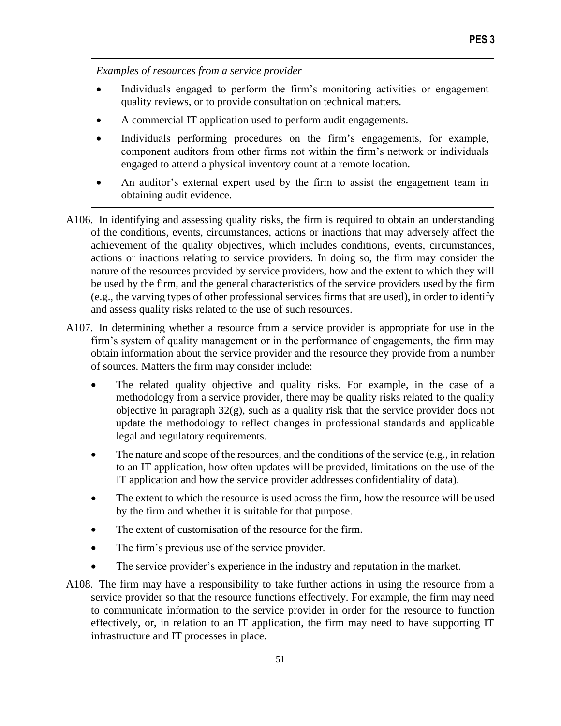*Examples of resources from a service provider*

- Individuals engaged to perform the firm's monitoring activities or engagement quality reviews, or to provide consultation on technical matters.
- A commercial IT application used to perform audit engagements.
- Individuals performing procedures on the firm's engagements, for example, component auditors from other firms not within the firm's network or individuals engaged to attend a physical inventory count at a remote location.
- An auditor's external expert used by the firm to assist the engagement team in obtaining audit evidence.
- A106. In identifying and assessing quality risks, the firm is required to obtain an understanding of the conditions, events, circumstances, actions or inactions that may adversely affect the achievement of the quality objectives, which includes conditions, events, circumstances, actions or inactions relating to service providers. In doing so, the firm may consider the nature of the resources provided by service providers, how and the extent to which they will be used by the firm, and the general characteristics of the service providers used by the firm (e.g., the varying types of other professional services firms that are used), in order to identify and assess quality risks related to the use of such resources.
- A107. In determining whether a resource from a service provider is appropriate for use in the firm's system of quality management or in the performance of engagements, the firm may obtain information about the service provider and the resource they provide from a number of sources. Matters the firm may consider include:
	- The related quality objective and quality risks. For example, in the case of a methodology from a service provider, there may be quality risks related to the quality objective in paragraph  $32(g)$ , such as a quality risk that the service provider does not update the methodology to reflect changes in professional standards and applicable legal and regulatory requirements.
	- The nature and scope of the resources, and the conditions of the service (e.g., in relation to an IT application, how often updates will be provided, limitations on the use of the IT application and how the service provider addresses confidentiality of data).
	- The extent to which the resource is used across the firm, how the resource will be used by the firm and whether it is suitable for that purpose.
	- The extent of customisation of the resource for the firm.
	- The firm's previous use of the service provider.
	- The service provider's experience in the industry and reputation in the market.
- A108. The firm may have a responsibility to take further actions in using the resource from a service provider so that the resource functions effectively. For example, the firm may need to communicate information to the service provider in order for the resource to function effectively, or, in relation to an IT application, the firm may need to have supporting IT infrastructure and IT processes in place.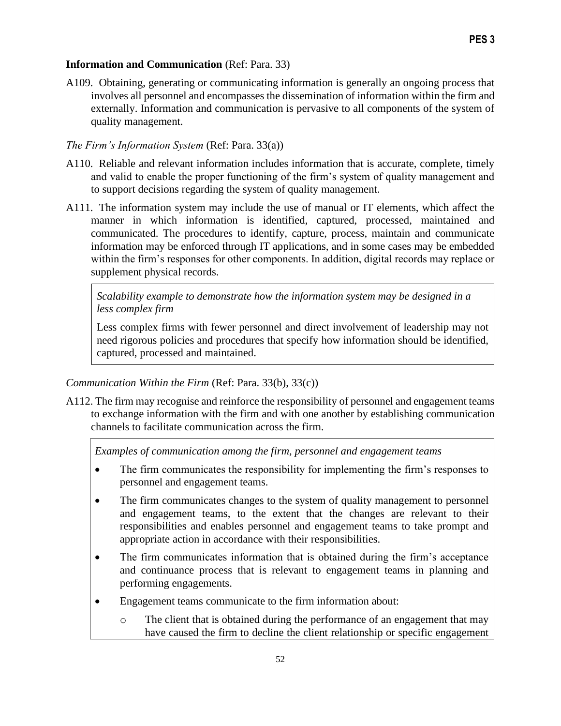## **Information and Communication** (Ref: Para. 33)

A109. Obtaining, generating or communicating information is generally an ongoing process that involves all personnel and encompasses the dissemination of information within the firm and externally. Information and communication is pervasive to all components of the system of quality management.

## *The Firm's Information System* (Ref: Para. 33(a))

- A110. Reliable and relevant information includes information that is accurate, complete, timely and valid to enable the proper functioning of the firm's system of quality management and to support decisions regarding the system of quality management.
- A111. The information system may include the use of manual or IT elements, which affect the manner in which information is identified, captured, processed, maintained and communicated. The procedures to identify, capture, process, maintain and communicate information may be enforced through IT applications, and in some cases may be embedded within the firm's responses for other components. In addition, digital records may replace or supplement physical records.

*Scalability example to demonstrate how the information system may be designed in a less complex firm*

Less complex firms with fewer personnel and direct involvement of leadership may not need rigorous policies and procedures that specify how information should be identified, captured, processed and maintained.

# *Communication Within the Firm* (Ref: Para. 33(b), 33(c))

A112. The firm may recognise and reinforce the responsibility of personnel and engagement teams to exchange information with the firm and with one another by establishing communication channels to facilitate communication across the firm.

*Examples of communication among the firm, personnel and engagement teams*

- The firm communicates the responsibility for implementing the firm's responses to personnel and engagement teams.
- The firm communicates changes to the system of quality management to personnel and engagement teams, to the extent that the changes are relevant to their responsibilities and enables personnel and engagement teams to take prompt and appropriate action in accordance with their responsibilities.
- The firm communicates information that is obtained during the firm's acceptance and continuance process that is relevant to engagement teams in planning and performing engagements.
- Engagement teams communicate to the firm information about:
	- o The client that is obtained during the performance of an engagement that may have caused the firm to decline the client relationship or specific engagement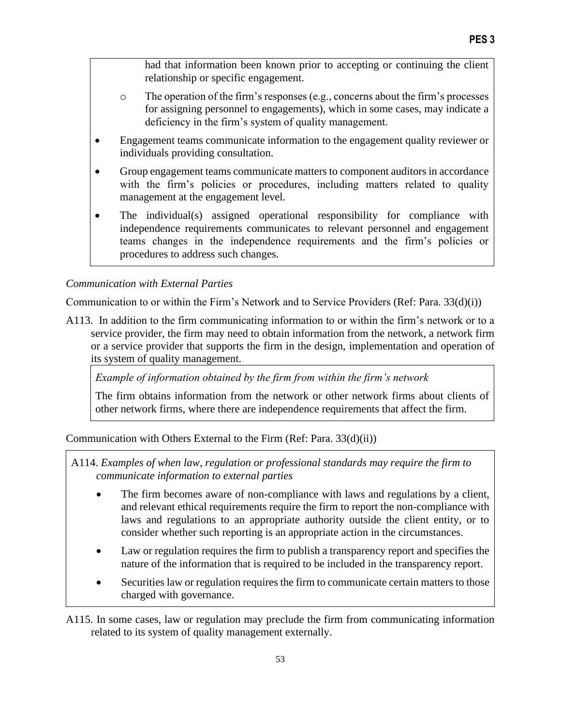had that information been known prior to accepting or continuing the client relationship or specific engagement.

- $\circ$  The operation of the firm's responses (e.g., concerns about the firm's processes for assigning personnel to engagements), which in some cases, may indicate a deficiency in the firm's system of quality management.
- Engagement teams communicate information to the engagement quality reviewer or individuals providing consultation.
- Group engagement teams communicate matters to component auditors in accordance with the firm's policies or procedures, including matters related to quality management at the engagement level.
- The individual(s) assigned operational responsibility for compliance with independence requirements communicates to relevant personnel and engagement teams changes in the independence requirements and the firm's policies or procedures to address such changes.

# *Communication with External Parties*

Communication to or within the Firm's Network and to Service Providers (Ref: Para. 33(d)(i))

A113. In addition to the firm communicating information to or within the firm's network or to a service provider, the firm may need to obtain information from the network, a network firm or a service provider that supports the firm in the design, implementation and operation of its system of quality management.

*Example of information obtained by the firm from within the firm's network*

The firm obtains information from the network or other network firms about clients of other network firms, where there are independence requirements that affect the firm.

Communication with Others External to the Firm (Ref: Para. 33(d)(ii))

A114. *Examples of when law, regulation or professional standards may require the firm to communicate information to external parties*

- The firm becomes aware of non-compliance with laws and regulations by a client, and relevant ethical requirements require the firm to report the non-compliance with laws and regulations to an appropriate authority outside the client entity, or to consider whether such reporting is an appropriate action in the circumstances.
- Law or regulation requires the firm to publish a transparency report and specifies the nature of the information that is required to be included in the transparency report.
- Securities law or regulation requires the firm to communicate certain matters to those charged with governance.

A115. In some cases, law or regulation may preclude the firm from communicating information related to its system of quality management externally.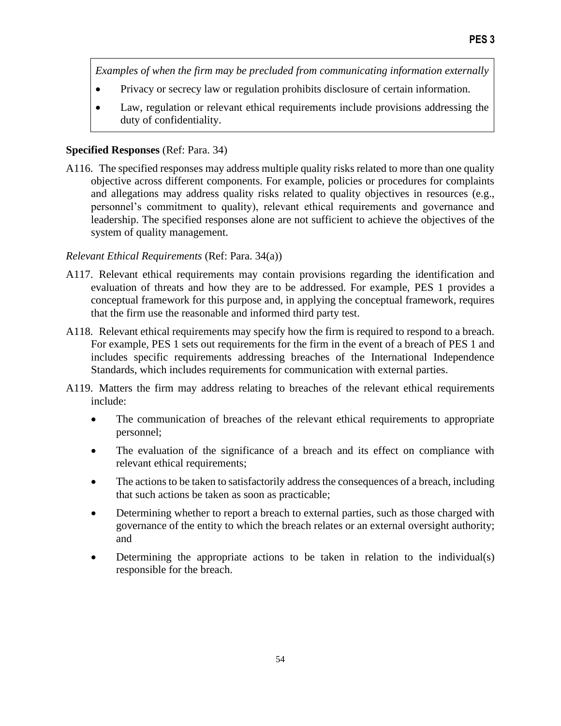*Examples of when the firm may be precluded from communicating information externally*

- Privacy or secrecy law or regulation prohibits disclosure of certain information.
- Law, regulation or relevant ethical requirements include provisions addressing the duty of confidentiality.

## **Specified Responses** (Ref: Para. 34)

A116. The specified responses may address multiple quality risks related to more than one quality objective across different components. For example, policies or procedures for complaints and allegations may address quality risks related to quality objectives in resources (e.g., personnel's commitment to quality), relevant ethical requirements and governance and leadership. The specified responses alone are not sufficient to achieve the objectives of the system of quality management.

## *Relevant Ethical Requirements* (Ref: Para. 34(a))

- A117. Relevant ethical requirements may contain provisions regarding the identification and evaluation of threats and how they are to be addressed. For example, PES 1 provides a conceptual framework for this purpose and, in applying the conceptual framework, requires that the firm use the reasonable and informed third party test.
- A118. Relevant ethical requirements may specify how the firm is required to respond to a breach. For example, PES 1 sets out requirements for the firm in the event of a breach of PES 1 and includes specific requirements addressing breaches of the International Independence Standards, which includes requirements for communication with external parties.
- A119. Matters the firm may address relating to breaches of the relevant ethical requirements include:
	- The communication of breaches of the relevant ethical requirements to appropriate personnel;
	- The evaluation of the significance of a breach and its effect on compliance with relevant ethical requirements;
	- The actions to be taken to satisfactorily address the consequences of a breach, including that such actions be taken as soon as practicable;
	- Determining whether to report a breach to external parties, such as those charged with governance of the entity to which the breach relates or an external oversight authority; and
	- Determining the appropriate actions to be taken in relation to the individual(s) responsible for the breach.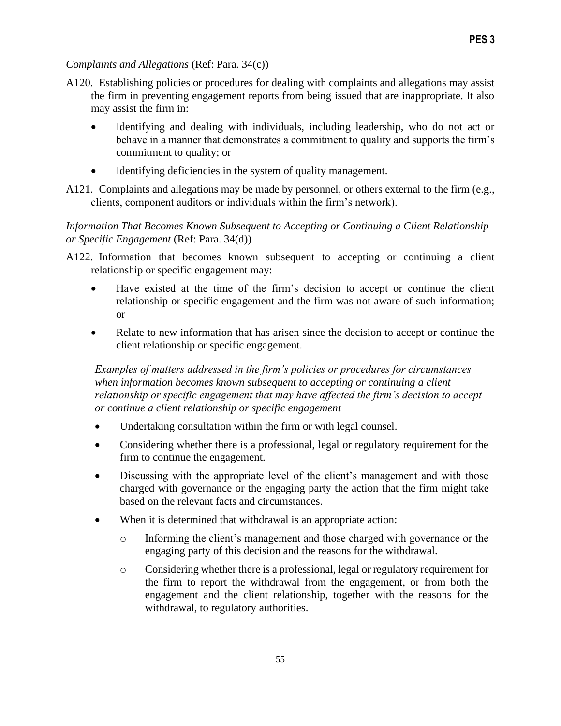## *Complaints and Allegations* (Ref: Para. 34(c))

- A120. Establishing policies or procedures for dealing with complaints and allegations may assist the firm in preventing engagement reports from being issued that are inappropriate. It also may assist the firm in:
	- Identifying and dealing with individuals, including leadership, who do not act or behave in a manner that demonstrates a commitment to quality and supports the firm's commitment to quality; or
	- Identifying deficiencies in the system of quality management.
- A121. Complaints and allegations may be made by personnel, or others external to the firm (e.g., clients, component auditors or individuals within the firm's network).

# *Information That Becomes Known Subsequent to Accepting or Continuing a Client Relationship or Specific Engagement* (Ref: Para. 34(d))

- A122. Information that becomes known subsequent to accepting or continuing a client relationship or specific engagement may:
	- Have existed at the time of the firm's decision to accept or continue the client relationship or specific engagement and the firm was not aware of such information; or
	- Relate to new information that has arisen since the decision to accept or continue the client relationship or specific engagement.

*Examples of matters addressed in the firm's policies or procedures for circumstances when information becomes known subsequent to accepting or continuing a client relationship or specific engagement that may have affected the firm's decision to accept or continue a client relationship or specific engagement*

- Undertaking consultation within the firm or with legal counsel.
- Considering whether there is a professional, legal or regulatory requirement for the firm to continue the engagement.
- Discussing with the appropriate level of the client's management and with those charged with governance or the engaging party the action that the firm might take based on the relevant facts and circumstances.
- When it is determined that withdrawal is an appropriate action:
	- o Informing the client's management and those charged with governance or the engaging party of this decision and the reasons for the withdrawal.
	- o Considering whether there is a professional, legal or regulatory requirement for the firm to report the withdrawal from the engagement, or from both the engagement and the client relationship, together with the reasons for the withdrawal, to regulatory authorities.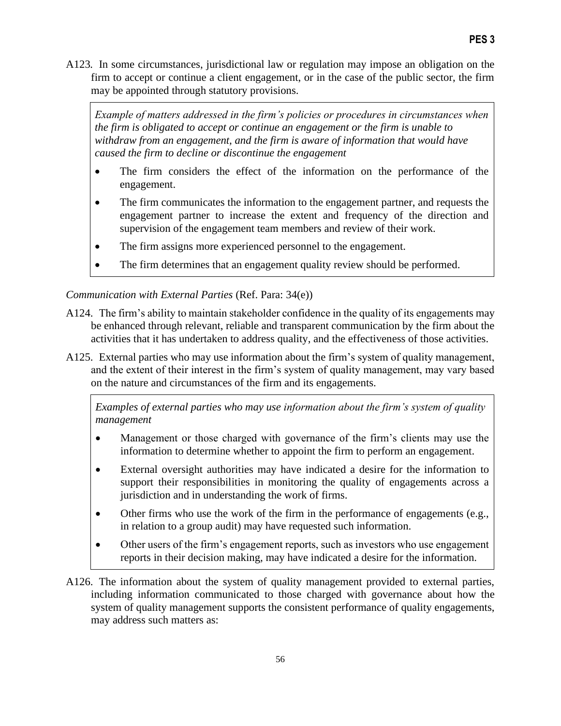A123*.* In some circumstances, jurisdictional law or regulation may impose an obligation on the firm to accept or continue a client engagement, or in the case of the public sector, the firm may be appointed through statutory provisions.

*Example of matters addressed in the firm's policies or procedures in circumstances when the firm is obligated to accept or continue an engagement or the firm is unable to withdraw from an engagement, and the firm is aware of information that would have caused the firm to decline or discontinue the engagement*

- The firm considers the effect of the information on the performance of the engagement.
- The firm communicates the information to the engagement partner, and requests the engagement partner to increase the extent and frequency of the direction and supervision of the engagement team members and review of their work.
- The firm assigns more experienced personnel to the engagement.
- The firm determines that an engagement quality review should be performed.

# *Communication with External Parties* (Ref. Para: 34(e))

- A124. The firm's ability to maintain stakeholder confidence in the quality of its engagements may be enhanced through relevant, reliable and transparent communication by the firm about the activities that it has undertaken to address quality, and the effectiveness of those activities.
- A125. External parties who may use information about the firm's system of quality management, and the extent of their interest in the firm's system of quality management, may vary based on the nature and circumstances of the firm and its engagements.

*Examples of external parties who may use information about the firm's system of quality management*

- Management or those charged with governance of the firm's clients may use the information to determine whether to appoint the firm to perform an engagement.
- External oversight authorities may have indicated a desire for the information to support their responsibilities in monitoring the quality of engagements across a jurisdiction and in understanding the work of firms.
- Other firms who use the work of the firm in the performance of engagements (e.g., in relation to a group audit) may have requested such information.
- Other users of the firm's engagement reports, such as investors who use engagement reports in their decision making, may have indicated a desire for the information.
- A126. The information about the system of quality management provided to external parties, including information communicated to those charged with governance about how the system of quality management supports the consistent performance of quality engagements, may address such matters as: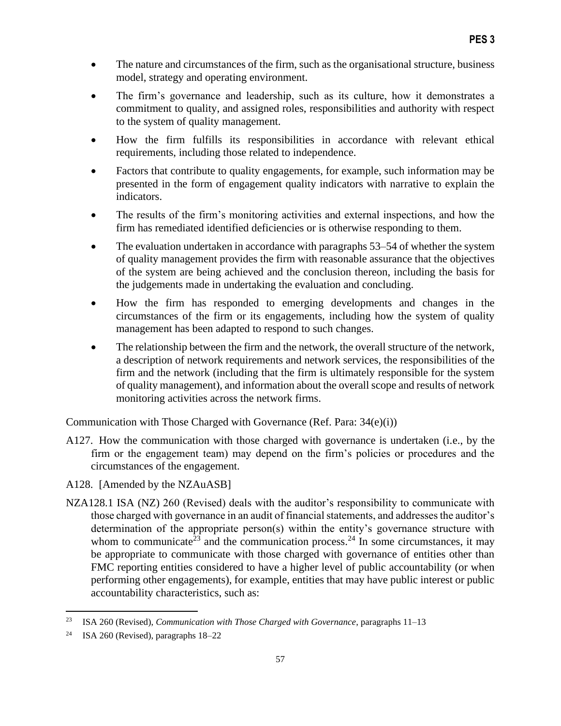- The nature and circumstances of the firm, such as the organisational structure, business model, strategy and operating environment.
- The firm's governance and leadership, such as its culture, how it demonstrates a commitment to quality, and assigned roles, responsibilities and authority with respect to the system of quality management.
- How the firm fulfills its responsibilities in accordance with relevant ethical requirements, including those related to independence.
- Factors that contribute to quality engagements, for example, such information may be presented in the form of engagement quality indicators with narrative to explain the indicators.
- The results of the firm's monitoring activities and external inspections, and how the firm has remediated identified deficiencies or is otherwise responding to them.
- The evaluation undertaken in accordance with paragraphs 53–54 of whether the system of quality management provides the firm with reasonable assurance that the objectives of the system are being achieved and the conclusion thereon, including the basis for the judgements made in undertaking the evaluation and concluding.
- How the firm has responded to emerging developments and changes in the circumstances of the firm or its engagements, including how the system of quality management has been adapted to respond to such changes.
- The relationship between the firm and the network, the overall structure of the network, a description of network requirements and network services, the responsibilities of the firm and the network (including that the firm is ultimately responsible for the system of quality management), and information about the overall scope and results of network monitoring activities across the network firms.

Communication with Those Charged with Governance (Ref. Para: 34(e)(i))

- A127. How the communication with those charged with governance is undertaken (i.e., by the firm or the engagement team) may depend on the firm's policies or procedures and the circumstances of the engagement.
- A128. [Amended by the NZAuASB]
- NZA128.1 ISA (NZ) 260 (Revised) deals with the auditor's responsibility to communicate with those charged with governance in an audit of financial statements, and addresses the auditor's determination of the appropriate person(s) within the entity's governance structure with whom to communicate<sup>23</sup> and the communication process.<sup>24</sup> In some circumstances, it may be appropriate to communicate with those charged with governance of entities other than FMC reporting entities considered to have a higher level of public accountability (or when performing other engagements), for example, entities that may have public interest or public accountability characteristics, such as:

<sup>23</sup> ISA 260 (Revised), *Communication with Those Charged with Governance*, paragraphs 11–13

<sup>24</sup> ISA 260 (Revised), paragraphs 18–22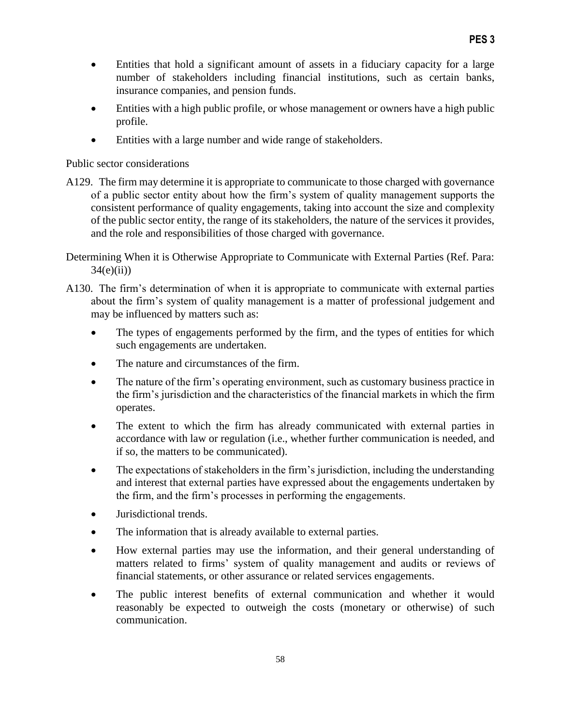- Entities that hold a significant amount of assets in a fiduciary capacity for a large number of stakeholders including financial institutions, such as certain banks, insurance companies, and pension funds.
- Entities with a high public profile, or whose management or owners have a high public profile.
- Entities with a large number and wide range of stakeholders.

Public sector considerations

- A129. The firm may determine it is appropriate to communicate to those charged with governance of a public sector entity about how the firm's system of quality management supports the consistent performance of quality engagements, taking into account the size and complexity of the public sector entity, the range of its stakeholders, the nature of the services it provides, and the role and responsibilities of those charged with governance.
- Determining When it is Otherwise Appropriate to Communicate with External Parties (Ref. Para:  $34(e)(ii)$
- A130. The firm's determination of when it is appropriate to communicate with external parties about the firm's system of quality management is a matter of professional judgement and may be influenced by matters such as:
	- The types of engagements performed by the firm, and the types of entities for which such engagements are undertaken.
	- The nature and circumstances of the firm.
	- The nature of the firm's operating environment, such as customary business practice in the firm's jurisdiction and the characteristics of the financial markets in which the firm operates.
	- The extent to which the firm has already communicated with external parties in accordance with law or regulation (i.e., whether further communication is needed, and if so, the matters to be communicated).
	- The expectations of stakeholders in the firm's jurisdiction, including the understanding and interest that external parties have expressed about the engagements undertaken by the firm, and the firm's processes in performing the engagements.
	- Jurisdictional trends.
	- The information that is already available to external parties.
	- How external parties may use the information, and their general understanding of matters related to firms' system of quality management and audits or reviews of financial statements, or other assurance or related services engagements.
	- The public interest benefits of external communication and whether it would reasonably be expected to outweigh the costs (monetary or otherwise) of such communication.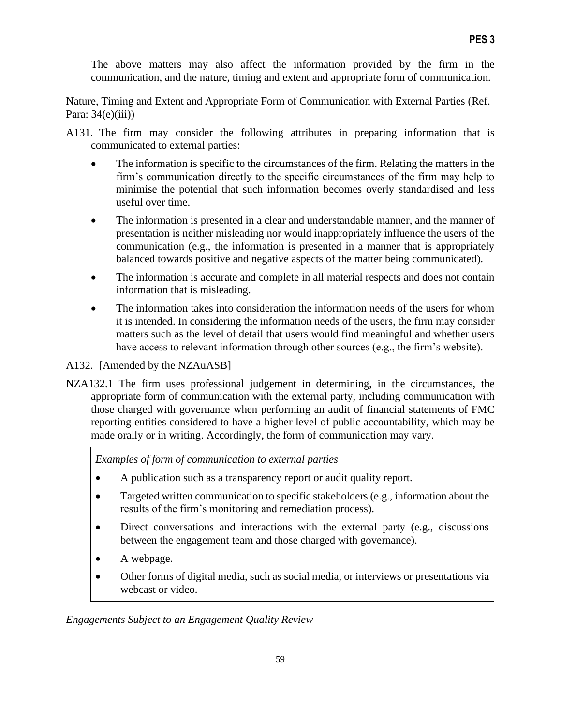The above matters may also affect the information provided by the firm in the communication, and the nature, timing and extent and appropriate form of communication.

Nature, Timing and Extent and Appropriate Form of Communication with External Parties (Ref. Para:  $34(e)(iii)$ 

- A131. The firm may consider the following attributes in preparing information that is communicated to external parties:
	- The information is specific to the circumstances of the firm. Relating the matters in the firm's communication directly to the specific circumstances of the firm may help to minimise the potential that such information becomes overly standardised and less useful over time.
	- The information is presented in a clear and understandable manner, and the manner of presentation is neither misleading nor would inappropriately influence the users of the communication (e.g., the information is presented in a manner that is appropriately balanced towards positive and negative aspects of the matter being communicated).
	- The information is accurate and complete in all material respects and does not contain information that is misleading.
	- The information takes into consideration the information needs of the users for whom it is intended. In considering the information needs of the users, the firm may consider matters such as the level of detail that users would find meaningful and whether users have access to relevant information through other sources (e.g., the firm's website).
- A132. [Amended by the NZAuASB]
- NZA132.1 The firm uses professional judgement in determining, in the circumstances, the appropriate form of communication with the external party, including communication with those charged with governance when performing an audit of financial statements of FMC reporting entities considered to have a higher level of public accountability, which may be made orally or in writing. Accordingly, the form of communication may vary.

*Examples of form of communication to external parties* 

- A publication such as a transparency report or audit quality report.
- Targeted written communication to specific stakeholders (e.g., information about the results of the firm's monitoring and remediation process).
- Direct conversations and interactions with the external party (e.g., discussions between the engagement team and those charged with governance).
- A webpage.
- Other forms of digital media, such as social media, or interviews or presentations via webcast or video.

## *Engagements Subject to an Engagement Quality Review*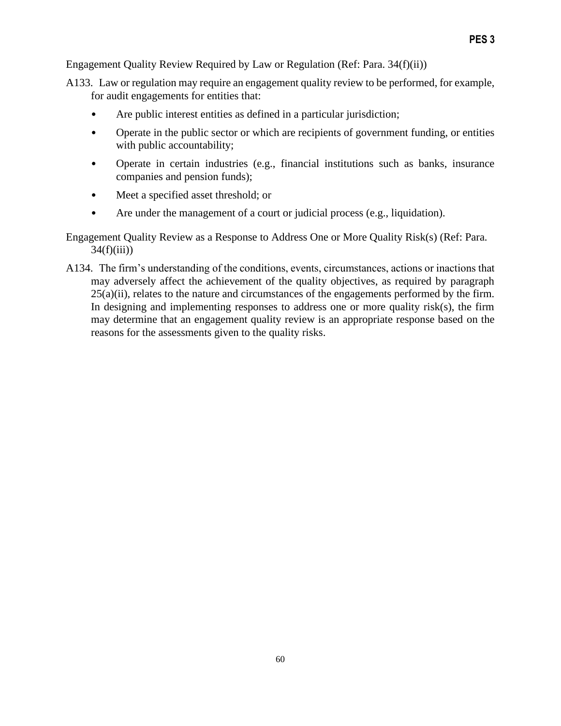Engagement Quality Review Required by Law or Regulation (Ref: Para. 34(f)(ii))

- A133. Law or regulation may require an engagement quality review to be performed, for example, for audit engagements for entities that:
	- Are public interest entities as defined in a particular jurisdiction;
	- Operate in the public sector or which are recipients of government funding, or entities with public accountability;
	- Operate in certain industries (e.g., financial institutions such as banks, insurance companies and pension funds);
	- Meet a specified asset threshold; or
	- Are under the management of a court or judicial process (e.g., liquidation).

Engagement Quality Review as a Response to Address One or More Quality Risk(s) (Ref: Para.  $34(f(iii))$ 

A134. The firm's understanding of the conditions, events, circumstances, actions or inactions that may adversely affect the achievement of the quality objectives, as required by paragraph 25(a)(ii), relates to the nature and circumstances of the engagements performed by the firm. In designing and implementing responses to address one or more quality risk(s), the firm may determine that an engagement quality review is an appropriate response based on the reasons for the assessments given to the quality risks.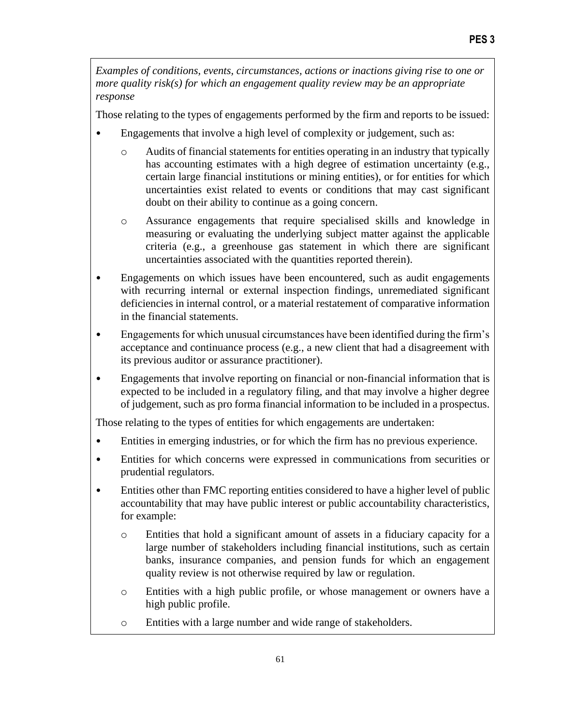*Examples of conditions, events, circumstances, actions or inactions giving rise to one or more quality risk(s) for which an engagement quality review may be an appropriate response*

Those relating to the types of engagements performed by the firm and reports to be issued:

- Engagements that involve a high level of complexity or judgement, such as:
	- o Audits of financial statements for entities operating in an industry that typically has accounting estimates with a high degree of estimation uncertainty (e.g., certain large financial institutions or mining entities), or for entities for which uncertainties exist related to events or conditions that may cast significant doubt on their ability to continue as a going concern.
	- o Assurance engagements that require specialised skills and knowledge in measuring or evaluating the underlying subject matter against the applicable criteria (e.g., a greenhouse gas statement in which there are significant uncertainties associated with the quantities reported therein).
- Engagements on which issues have been encountered, such as audit engagements with recurring internal or external inspection findings, unremediated significant deficiencies in internal control, or a material restatement of comparative information in the financial statements.
- Engagements for which unusual circumstances have been identified during the firm's acceptance and continuance process (e.g., a new client that had a disagreement with its previous auditor or assurance practitioner).
- Engagements that involve reporting on financial or non-financial information that is expected to be included in a regulatory filing, and that may involve a higher degree of judgement, such as pro forma financial information to be included in a prospectus.

Those relating to the types of entities for which engagements are undertaken:

- Entities in emerging industries, or for which the firm has no previous experience.
- Entities for which concerns were expressed in communications from securities or prudential regulators.
- Entities other than FMC reporting entities considered to have a higher level of public accountability that may have public interest or public accountability characteristics, for example:
	- o Entities that hold a significant amount of assets in a fiduciary capacity for a large number of stakeholders including financial institutions, such as certain banks, insurance companies, and pension funds for which an engagement quality review is not otherwise required by law or regulation.
	- o Entities with a high public profile, or whose management or owners have a high public profile.
	- o Entities with a large number and wide range of stakeholders.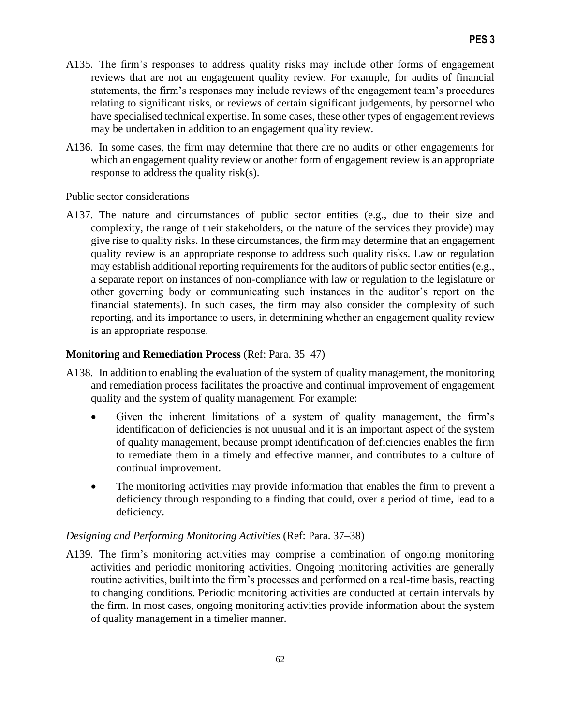- A135. The firm's responses to address quality risks may include other forms of engagement reviews that are not an engagement quality review. For example, for audits of financial statements, the firm's responses may include reviews of the engagement team's procedures relating to significant risks, or reviews of certain significant judgements, by personnel who have specialised technical expertise. In some cases, these other types of engagement reviews may be undertaken in addition to an engagement quality review.
- A136. In some cases, the firm may determine that there are no audits or other engagements for which an engagement quality review or another form of engagement review is an appropriate response to address the quality risk(s).

#### Public sector considerations

A137. The nature and circumstances of public sector entities (e.g., due to their size and complexity, the range of their stakeholders, or the nature of the services they provide) may give rise to quality risks. In these circumstances, the firm may determine that an engagement quality review is an appropriate response to address such quality risks. Law or regulation may establish additional reporting requirements for the auditors of public sector entities (e.g., a separate report on instances of non-compliance with law or regulation to the legislature or other governing body or communicating such instances in the auditor's report on the financial statements). In such cases, the firm may also consider the complexity of such reporting, and its importance to users, in determining whether an engagement quality review is an appropriate response.

## **Monitoring and Remediation Process** (Ref: Para. 35–47)

- A138. In addition to enabling the evaluation of the system of quality management, the monitoring and remediation process facilitates the proactive and continual improvement of engagement quality and the system of quality management. For example:
	- Given the inherent limitations of a system of quality management, the firm's identification of deficiencies is not unusual and it is an important aspect of the system of quality management, because prompt identification of deficiencies enables the firm to remediate them in a timely and effective manner, and contributes to a culture of continual improvement.
	- The monitoring activities may provide information that enables the firm to prevent a deficiency through responding to a finding that could, over a period of time, lead to a deficiency.

## *Designing and Performing Monitoring Activities* (Ref: Para. 37–38)

A139. The firm's monitoring activities may comprise a combination of ongoing monitoring activities and periodic monitoring activities. Ongoing monitoring activities are generally routine activities, built into the firm's processes and performed on a real-time basis, reacting to changing conditions. Periodic monitoring activities are conducted at certain intervals by the firm. In most cases, ongoing monitoring activities provide information about the system of quality management in a timelier manner.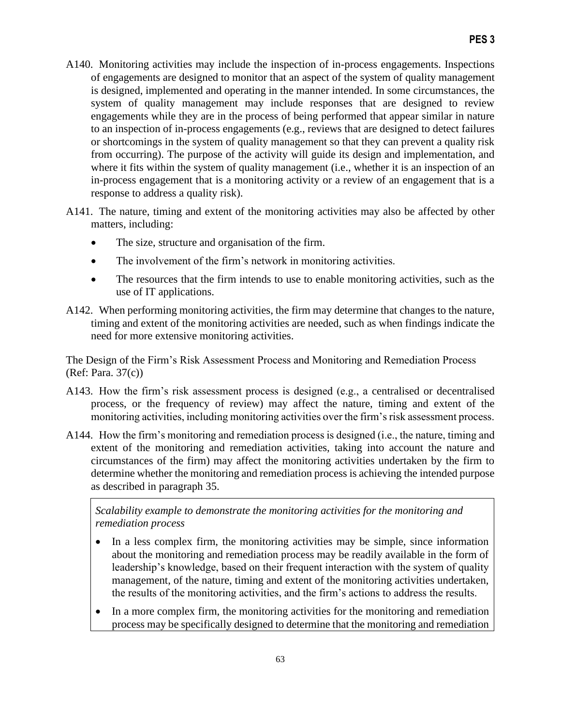- A140. Monitoring activities may include the inspection of in-process engagements. Inspections of engagements are designed to monitor that an aspect of the system of quality management is designed, implemented and operating in the manner intended. In some circumstances, the system of quality management may include responses that are designed to review engagements while they are in the process of being performed that appear similar in nature to an inspection of in-process engagements (e.g., reviews that are designed to detect failures or shortcomings in the system of quality management so that they can prevent a quality risk from occurring). The purpose of the activity will guide its design and implementation, and where it fits within the system of quality management (i.e., whether it is an inspection of an in-process engagement that is a monitoring activity or a review of an engagement that is a response to address a quality risk).
- A141. The nature, timing and extent of the monitoring activities may also be affected by other matters, including:
	- The size, structure and organisation of the firm.
	- The involvement of the firm's network in monitoring activities.
	- The resources that the firm intends to use to enable monitoring activities, such as the use of IT applications.
- A142. When performing monitoring activities, the firm may determine that changes to the nature, timing and extent of the monitoring activities are needed, such as when findings indicate the need for more extensive monitoring activities.

The Design of the Firm's Risk Assessment Process and Monitoring and Remediation Process (Ref: Para. 37(c))

- A143. How the firm's risk assessment process is designed (e.g., a centralised or decentralised process, or the frequency of review) may affect the nature, timing and extent of the monitoring activities, including monitoring activities over the firm's risk assessment process.
- A144. How the firm's monitoring and remediation process is designed (i.e., the nature, timing and extent of the monitoring and remediation activities, taking into account the nature and circumstances of the firm) may affect the monitoring activities undertaken by the firm to determine whether the monitoring and remediation process is achieving the intended purpose as described in paragraph 35.

*Scalability example to demonstrate the monitoring activities for the monitoring and remediation process* 

- In a less complex firm, the monitoring activities may be simple, since information about the monitoring and remediation process may be readily available in the form of leadership's knowledge, based on their frequent interaction with the system of quality management, of the nature, timing and extent of the monitoring activities undertaken, the results of the monitoring activities, and the firm's actions to address the results.
- In a more complex firm, the monitoring activities for the monitoring and remediation process may be specifically designed to determine that the monitoring and remediation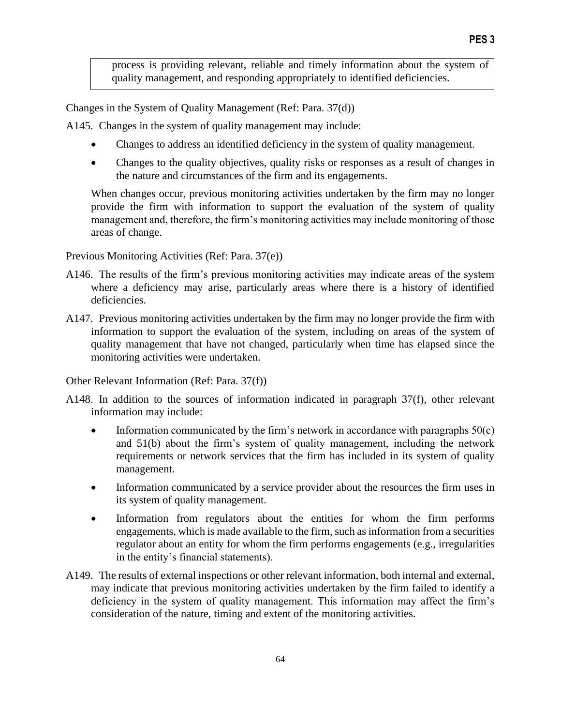process is providing relevant, reliable and timely information about the system of quality management, and responding appropriately to identified deficiencies.

Changes in the System of Quality Management (Ref: Para. 37(d))

A145. Changes in the system of quality management may include:

- Changes to address an identified deficiency in the system of quality management.
- Changes to the quality objectives, quality risks or responses as a result of changes in the nature and circumstances of the firm and its engagements.

When changes occur, previous monitoring activities undertaken by the firm may no longer provide the firm with information to support the evaluation of the system of quality management and, therefore, the firm's monitoring activities may include monitoring of those areas of change.

Previous Monitoring Activities (Ref: Para. 37(e))

- A146. The results of the firm's previous monitoring activities may indicate areas of the system where a deficiency may arise, particularly areas where there is a history of identified deficiencies.
- A147. Previous monitoring activities undertaken by the firm may no longer provide the firm with information to support the evaluation of the system, including on areas of the system of quality management that have not changed, particularly when time has elapsed since the monitoring activities were undertaken.

Other Relevant Information (Ref: Para. 37(f))

- A148. In addition to the sources of information indicated in paragraph 37(f), other relevant information may include:
	- Information communicated by the firm's network in accordance with paragraphs  $50(c)$ and 51(b) about the firm's system of quality management, including the network requirements or network services that the firm has included in its system of quality management.
	- Information communicated by a service provider about the resources the firm uses in its system of quality management.
	- Information from regulators about the entities for whom the firm performs engagements, which is made available to the firm, such as information from a securities regulator about an entity for whom the firm performs engagements (e.g., irregularities in the entity's financial statements).
- A149. The results of external inspections or other relevant information, both internal and external, may indicate that previous monitoring activities undertaken by the firm failed to identify a deficiency in the system of quality management. This information may affect the firm's consideration of the nature, timing and extent of the monitoring activities.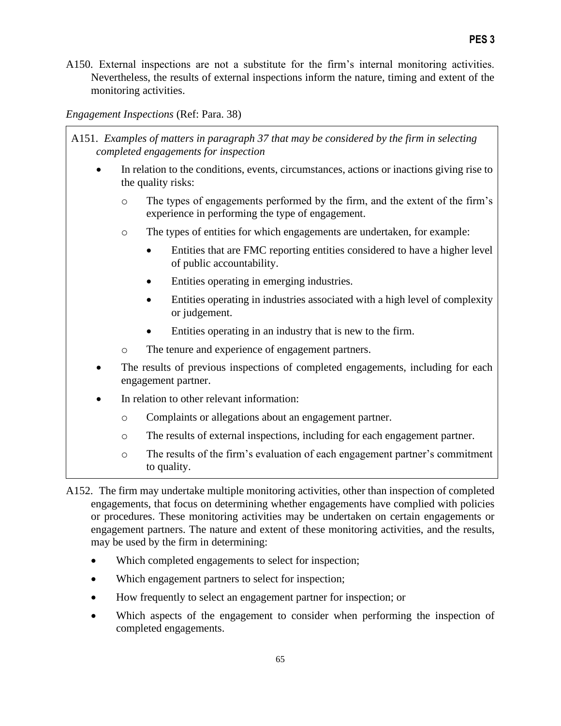A150. External inspections are not a substitute for the firm's internal monitoring activities. Nevertheless, the results of external inspections inform the nature, timing and extent of the monitoring activities.

*Engagement Inspections* (Ref: Para. 38)

- A151. *Examples of matters in paragraph 37 that may be considered by the firm in selecting completed engagements for inspection*
	- In relation to the conditions, events, circumstances, actions or inactions giving rise to the quality risks:
		- o The types of engagements performed by the firm, and the extent of the firm's experience in performing the type of engagement.
		- o The types of entities for which engagements are undertaken, for example:
			- Entities that are FMC reporting entities considered to have a higher level of public accountability.
			- Entities operating in emerging industries.
			- Entities operating in industries associated with a high level of complexity or judgement.
			- Entities operating in an industry that is new to the firm.
		- o The tenure and experience of engagement partners.
	- The results of previous inspections of completed engagements, including for each engagement partner.
	- In relation to other relevant information:
		- o Complaints or allegations about an engagement partner.
		- o The results of external inspections, including for each engagement partner.
		- o The results of the firm's evaluation of each engagement partner's commitment to quality.
- A152. The firm may undertake multiple monitoring activities, other than inspection of completed engagements, that focus on determining whether engagements have complied with policies or procedures. These monitoring activities may be undertaken on certain engagements or engagement partners. The nature and extent of these monitoring activities, and the results, may be used by the firm in determining:
	- Which completed engagements to select for inspection;
	- Which engagement partners to select for inspection;
	- How frequently to select an engagement partner for inspection; or
	- Which aspects of the engagement to consider when performing the inspection of completed engagements.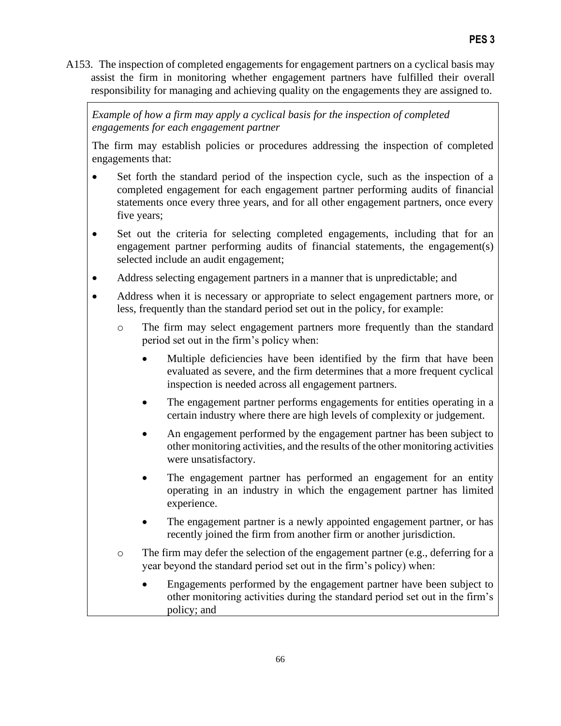A153. The inspection of completed engagements for engagement partners on a cyclical basis may assist the firm in monitoring whether engagement partners have fulfilled their overall responsibility for managing and achieving quality on the engagements they are assigned to.

*Example of how a firm may apply a cyclical basis for the inspection of completed engagements for each engagement partner* 

The firm may establish policies or procedures addressing the inspection of completed engagements that:

- Set forth the standard period of the inspection cycle, such as the inspection of a completed engagement for each engagement partner performing audits of financial statements once every three years, and for all other engagement partners, once every five years;
- Set out the criteria for selecting completed engagements, including that for an engagement partner performing audits of financial statements, the engagement(s) selected include an audit engagement;
- Address selecting engagement partners in a manner that is unpredictable; and
- Address when it is necessary or appropriate to select engagement partners more, or less, frequently than the standard period set out in the policy, for example:
	- o The firm may select engagement partners more frequently than the standard period set out in the firm's policy when:
		- Multiple deficiencies have been identified by the firm that have been evaluated as severe, and the firm determines that a more frequent cyclical inspection is needed across all engagement partners.
		- The engagement partner performs engagements for entities operating in a certain industry where there are high levels of complexity or judgement.
		- An engagement performed by the engagement partner has been subject to other monitoring activities, and the results of the other monitoring activities were unsatisfactory.
		- The engagement partner has performed an engagement for an entity operating in an industry in which the engagement partner has limited experience.
		- The engagement partner is a newly appointed engagement partner, or has recently joined the firm from another firm or another jurisdiction.
	- o The firm may defer the selection of the engagement partner (e.g., deferring for a year beyond the standard period set out in the firm's policy) when:
		- Engagements performed by the engagement partner have been subject to other monitoring activities during the standard period set out in the firm's policy; and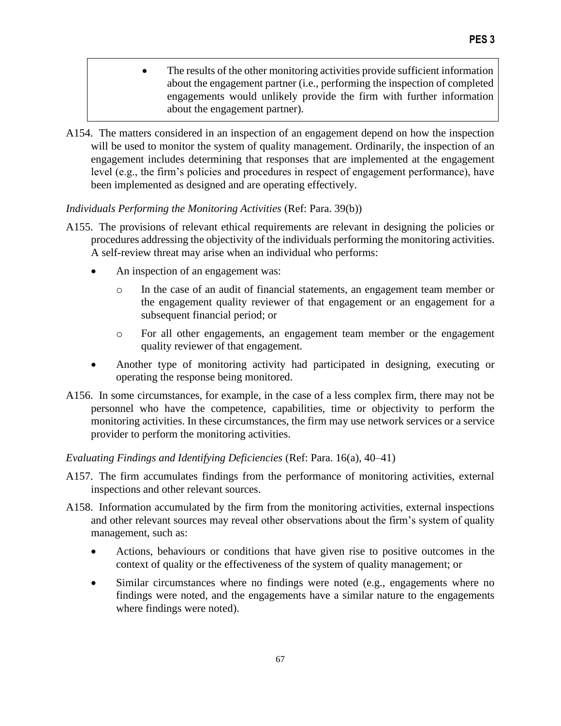- The results of the other monitoring activities provide sufficient information about the engagement partner (i.e., performing the inspection of completed engagements would unlikely provide the firm with further information about the engagement partner).
- A154. The matters considered in an inspection of an engagement depend on how the inspection will be used to monitor the system of quality management. Ordinarily, the inspection of an engagement includes determining that responses that are implemented at the engagement level (e.g., the firm's policies and procedures in respect of engagement performance), have been implemented as designed and are operating effectively.

#### *Individuals Performing the Monitoring Activities* (Ref: Para. 39(b))

- A155. The provisions of relevant ethical requirements are relevant in designing the policies or procedures addressing the objectivity of the individuals performing the monitoring activities. A self-review threat may arise when an individual who performs:
	- An inspection of an engagement was:
		- o In the case of an audit of financial statements, an engagement team member or the engagement quality reviewer of that engagement or an engagement for a subsequent financial period; or
		- o For all other engagements, an engagement team member or the engagement quality reviewer of that engagement.
	- Another type of monitoring activity had participated in designing, executing or operating the response being monitored.
- A156. In some circumstances, for example, in the case of a less complex firm, there may not be personnel who have the competence, capabilities, time or objectivity to perform the monitoring activities. In these circumstances, the firm may use network services or a service provider to perform the monitoring activities.

#### *Evaluating Findings and Identifying Deficiencies* (Ref: Para. 16(a), 40–41)

- A157. The firm accumulates findings from the performance of monitoring activities, external inspections and other relevant sources.
- A158. Information accumulated by the firm from the monitoring activities, external inspections and other relevant sources may reveal other observations about the firm's system of quality management, such as:
	- Actions, behaviours or conditions that have given rise to positive outcomes in the context of quality or the effectiveness of the system of quality management; or
	- Similar circumstances where no findings were noted (e.g., engagements where no findings were noted, and the engagements have a similar nature to the engagements where findings were noted).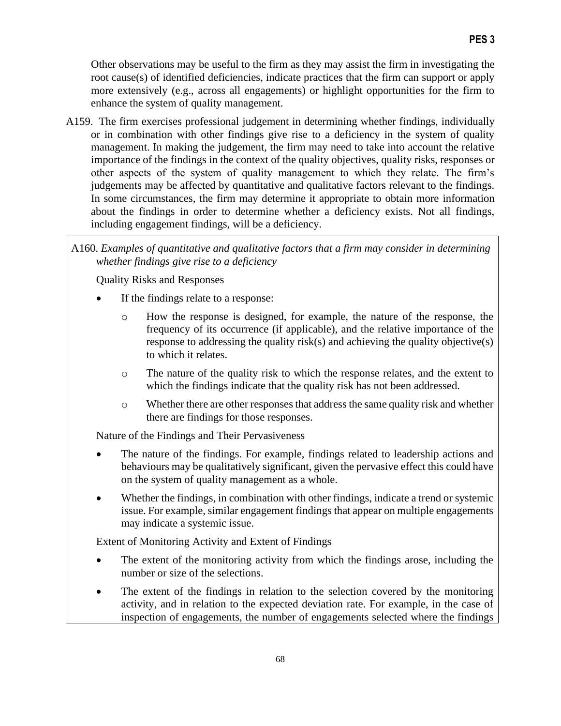Other observations may be useful to the firm as they may assist the firm in investigating the root cause(s) of identified deficiencies, indicate practices that the firm can support or apply more extensively (e.g., across all engagements) or highlight opportunities for the firm to enhance the system of quality management.

A159. The firm exercises professional judgement in determining whether findings, individually or in combination with other findings give rise to a deficiency in the system of quality management. In making the judgement, the firm may need to take into account the relative importance of the findings in the context of the quality objectives, quality risks, responses or other aspects of the system of quality management to which they relate. The firm's judgements may be affected by quantitative and qualitative factors relevant to the findings. In some circumstances, the firm may determine it appropriate to obtain more information about the findings in order to determine whether a deficiency exists. Not all findings, including engagement findings, will be a deficiency.

## A160. *Examples of quantitative and qualitative factors that a firm may consider in determining whether findings give rise to a deficiency*

Quality Risks and Responses

- If the findings relate to a response:
	- o How the response is designed, for example, the nature of the response, the frequency of its occurrence (if applicable), and the relative importance of the response to addressing the quality risk(s) and achieving the quality objective(s) to which it relates.
	- o The nature of the quality risk to which the response relates, and the extent to which the findings indicate that the quality risk has not been addressed.
	- o Whether there are other responses that address the same quality risk and whether there are findings for those responses.

Nature of the Findings and Their Pervasiveness

- The nature of the findings. For example, findings related to leadership actions and behaviours may be qualitatively significant, given the pervasive effect this could have on the system of quality management as a whole.
- Whether the findings, in combination with other findings, indicate a trend or systemic issue. For example, similar engagement findings that appear on multiple engagements may indicate a systemic issue.

Extent of Monitoring Activity and Extent of Findings

- The extent of the monitoring activity from which the findings arose, including the number or size of the selections.
- The extent of the findings in relation to the selection covered by the monitoring activity, and in relation to the expected deviation rate. For example, in the case of inspection of engagements, the number of engagements selected where the findings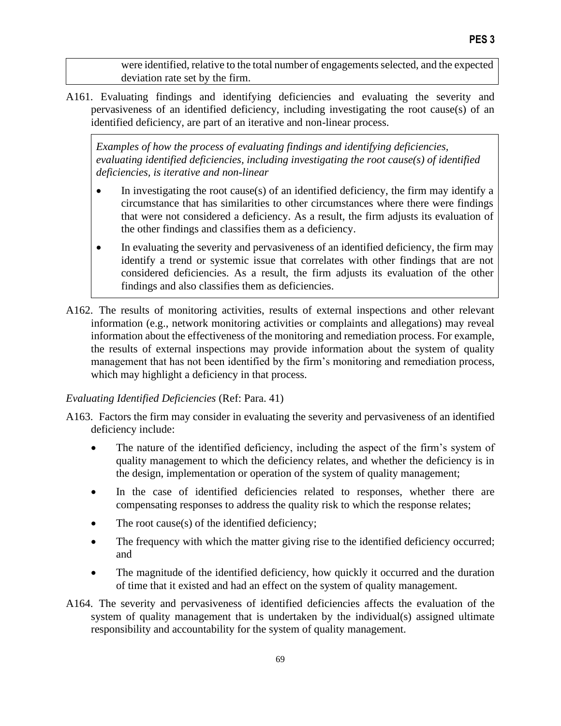were identified, relative to the total number of engagements selected, and the expected deviation rate set by the firm.

A161. Evaluating findings and identifying deficiencies and evaluating the severity and pervasiveness of an identified deficiency, including investigating the root cause(s) of an identified deficiency, are part of an iterative and non-linear process.

*Examples of how the process of evaluating findings and identifying deficiencies, evaluating identified deficiencies, including investigating the root cause(s) of identified deficiencies, is iterative and non-linear*

- In investigating the root cause(s) of an identified deficiency, the firm may identify a circumstance that has similarities to other circumstances where there were findings that were not considered a deficiency. As a result, the firm adjusts its evaluation of the other findings and classifies them as a deficiency.
- In evaluating the severity and pervasiveness of an identified deficiency, the firm may identify a trend or systemic issue that correlates with other findings that are not considered deficiencies. As a result, the firm adjusts its evaluation of the other findings and also classifies them as deficiencies.
- A162. The results of monitoring activities, results of external inspections and other relevant information (e.g., network monitoring activities or complaints and allegations) may reveal information about the effectiveness of the monitoring and remediation process. For example, the results of external inspections may provide information about the system of quality management that has not been identified by the firm's monitoring and remediation process, which may highlight a deficiency in that process.

# *Evaluating Identified Deficiencies* (Ref: Para. 41)

- A163. Factors the firm may consider in evaluating the severity and pervasiveness of an identified deficiency include:
	- The nature of the identified deficiency, including the aspect of the firm's system of quality management to which the deficiency relates, and whether the deficiency is in the design, implementation or operation of the system of quality management;
	- In the case of identified deficiencies related to responses, whether there are compensating responses to address the quality risk to which the response relates;
	- The root cause(s) of the identified deficiency;
	- The frequency with which the matter giving rise to the identified deficiency occurred; and
	- The magnitude of the identified deficiency, how quickly it occurred and the duration of time that it existed and had an effect on the system of quality management.
- A164. The severity and pervasiveness of identified deficiencies affects the evaluation of the system of quality management that is undertaken by the individual(s) assigned ultimate responsibility and accountability for the system of quality management.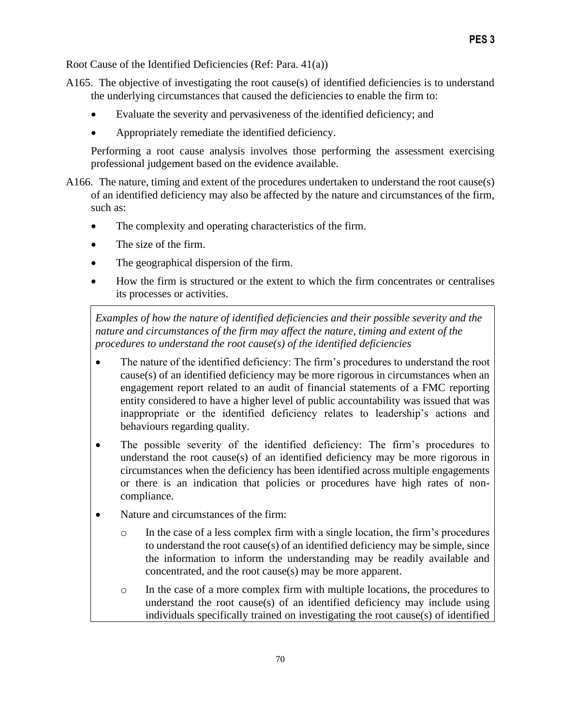Root Cause of the Identified Deficiencies (Ref: Para. 41(a))

- A165. The objective of investigating the root cause(s) of identified deficiencies is to understand the underlying circumstances that caused the deficiencies to enable the firm to:
	- Evaluate the severity and pervasiveness of the identified deficiency; and
	- Appropriately remediate the identified deficiency.

Performing a root cause analysis involves those performing the assessment exercising professional judgement based on the evidence available.

- A166. The nature, timing and extent of the procedures undertaken to understand the root cause(s) of an identified deficiency may also be affected by the nature and circumstances of the firm, such as:
	- The complexity and operating characteristics of the firm.
	- The size of the firm.
	- The geographical dispersion of the firm.
	- How the firm is structured or the extent to which the firm concentrates or centralises its processes or activities.

*Examples of how the nature of identified deficiencies and their possible severity and the nature and circumstances of the firm may affect the nature, timing and extent of the procedures to understand the root cause(s) of the identified deficiencies*

- The nature of the identified deficiency: The firm's procedures to understand the root cause(s) of an identified deficiency may be more rigorous in circumstances when an engagement report related to an audit of financial statements of a FMC reporting entity considered to have a higher level of public accountability was issued that was inappropriate or the identified deficiency relates to leadership's actions and behaviours regarding quality.
- The possible severity of the identified deficiency: The firm's procedures to understand the root cause(s) of an identified deficiency may be more rigorous in circumstances when the deficiency has been identified across multiple engagements or there is an indication that policies or procedures have high rates of noncompliance.
- Nature and circumstances of the firm:
	- o In the case of a less complex firm with a single location, the firm's procedures to understand the root cause(s) of an identified deficiency may be simple, since the information to inform the understanding may be readily available and concentrated, and the root cause(s) may be more apparent.
	- o In the case of a more complex firm with multiple locations, the procedures to understand the root cause(s) of an identified deficiency may include using individuals specifically trained on investigating the root cause(s) of identified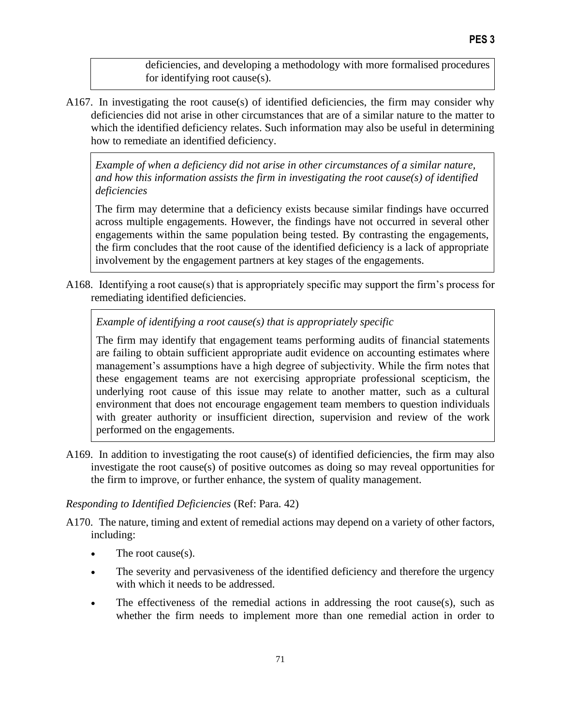deficiencies, and developing a methodology with more formalised procedures for identifying root cause(s).

A167. In investigating the root cause(s) of identified deficiencies, the firm may consider why deficiencies did not arise in other circumstances that are of a similar nature to the matter to which the identified deficiency relates. Such information may also be useful in determining how to remediate an identified deficiency.

*Example of when a deficiency did not arise in other circumstances of a similar nature, and how this information assists the firm in investigating the root cause(s) of identified deficiencies*

The firm may determine that a deficiency exists because similar findings have occurred across multiple engagements. However, the findings have not occurred in several other engagements within the same population being tested. By contrasting the engagements, the firm concludes that the root cause of the identified deficiency is a lack of appropriate involvement by the engagement partners at key stages of the engagements.

A168. Identifying a root cause(s) that is appropriately specific may support the firm's process for remediating identified deficiencies.

## *Example of identifying a root cause(s) that is appropriately specific*

The firm may identify that engagement teams performing audits of financial statements are failing to obtain sufficient appropriate audit evidence on accounting estimates where management's assumptions have a high degree of subjectivity. While the firm notes that these engagement teams are not exercising appropriate professional scepticism, the underlying root cause of this issue may relate to another matter, such as a cultural environment that does not encourage engagement team members to question individuals with greater authority or insufficient direction, supervision and review of the work performed on the engagements.

A169. In addition to investigating the root cause(s) of identified deficiencies, the firm may also investigate the root cause(s) of positive outcomes as doing so may reveal opportunities for the firm to improve, or further enhance, the system of quality management.

#### *Responding to Identified Deficiencies* (Ref: Para. 42)

- A170. The nature, timing and extent of remedial actions may depend on a variety of other factors, including:
	- The root cause(s).
	- The severity and pervasiveness of the identified deficiency and therefore the urgency with which it needs to be addressed.
	- The effectiveness of the remedial actions in addressing the root cause(s), such as whether the firm needs to implement more than one remedial action in order to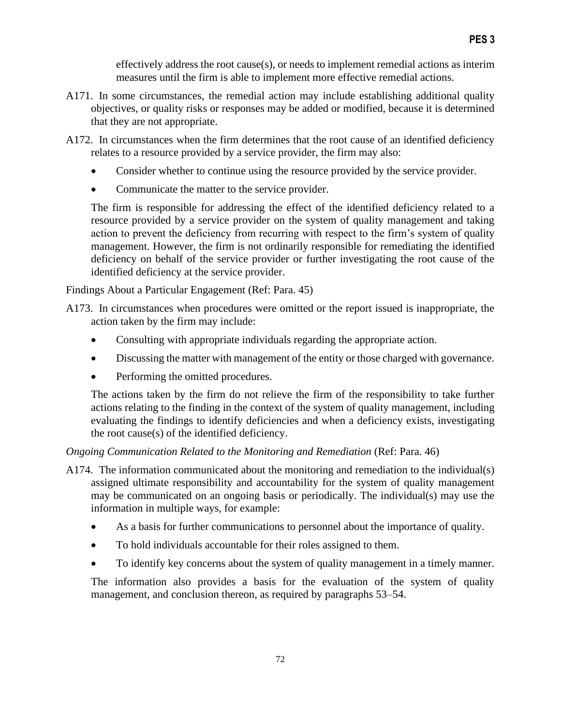effectively address the root cause(s), or needs to implement remedial actions as interim measures until the firm is able to implement more effective remedial actions.

- A171. In some circumstances, the remedial action may include establishing additional quality objectives, or quality risks or responses may be added or modified, because it is determined that they are not appropriate.
- A172. In circumstances when the firm determines that the root cause of an identified deficiency relates to a resource provided by a service provider, the firm may also:
	- Consider whether to continue using the resource provided by the service provider.
	- Communicate the matter to the service provider.

The firm is responsible for addressing the effect of the identified deficiency related to a resource provided by a service provider on the system of quality management and taking action to prevent the deficiency from recurring with respect to the firm's system of quality management. However, the firm is not ordinarily responsible for remediating the identified deficiency on behalf of the service provider or further investigating the root cause of the identified deficiency at the service provider.

Findings About a Particular Engagement (Ref: Para. 45)

- A173. In circumstances when procedures were omitted or the report issued is inappropriate, the action taken by the firm may include:
	- Consulting with appropriate individuals regarding the appropriate action.
	- Discussing the matter with management of the entity or those charged with governance.
	- Performing the omitted procedures.

The actions taken by the firm do not relieve the firm of the responsibility to take further actions relating to the finding in the context of the system of quality management, including evaluating the findings to identify deficiencies and when a deficiency exists, investigating the root cause(s) of the identified deficiency.

*Ongoing Communication Related to the Monitoring and Remediation* (Ref: Para. 46)

- A174. The information communicated about the monitoring and remediation to the individual(s) assigned ultimate responsibility and accountability for the system of quality management may be communicated on an ongoing basis or periodically. The individual(s) may use the information in multiple ways, for example:
	- As a basis for further communications to personnel about the importance of quality.
	- To hold individuals accountable for their roles assigned to them.
	- To identify key concerns about the system of quality management in a timely manner.

The information also provides a basis for the evaluation of the system of quality management, and conclusion thereon, as required by paragraphs 53–54.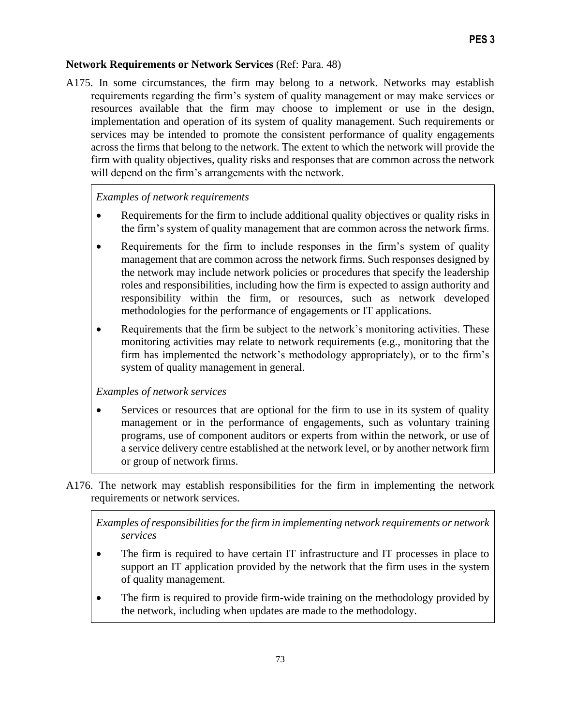## **Network Requirements or Network Services** (Ref: Para. 48)

A175. In some circumstances, the firm may belong to a network. Networks may establish requirements regarding the firm's system of quality management or may make services or resources available that the firm may choose to implement or use in the design, implementation and operation of its system of quality management. Such requirements or services may be intended to promote the consistent performance of quality engagements across the firms that belong to the network. The extent to which the network will provide the firm with quality objectives, quality risks and responses that are common across the network will depend on the firm's arrangements with the network.

## *Examples of network requirements*

- Requirements for the firm to include additional quality objectives or quality risks in the firm's system of quality management that are common across the network firms.
- Requirements for the firm to include responses in the firm's system of quality management that are common across the network firms. Such responses designed by the network may include network policies or procedures that specify the leadership roles and responsibilities, including how the firm is expected to assign authority and responsibility within the firm, or resources, such as network developed methodologies for the performance of engagements or IT applications.
- Requirements that the firm be subject to the network's monitoring activities. These monitoring activities may relate to network requirements (e.g., monitoring that the firm has implemented the network's methodology appropriately), or to the firm's system of quality management in general.

#### *Examples of network services*

- Services or resources that are optional for the firm to use in its system of quality management or in the performance of engagements, such as voluntary training programs, use of component auditors or experts from within the network, or use of a service delivery centre established at the network level, or by another network firm or group of network firms.
- A176. The network may establish responsibilities for the firm in implementing the network requirements or network services.

*Examples of responsibilities for the firm in implementing network requirements or network services* 

- The firm is required to have certain IT infrastructure and IT processes in place to support an IT application provided by the network that the firm uses in the system of quality management.
- The firm is required to provide firm-wide training on the methodology provided by the network, including when updates are made to the methodology.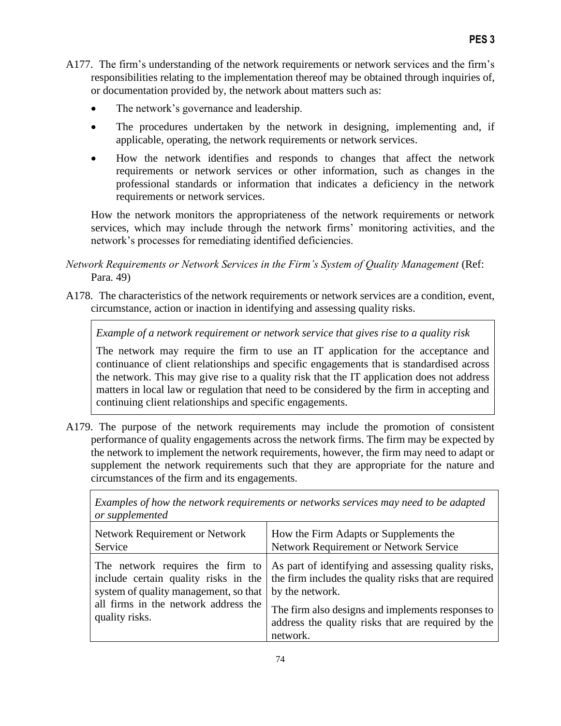- A177. The firm's understanding of the network requirements or network services and the firm's responsibilities relating to the implementation thereof may be obtained through inquiries of, or documentation provided by, the network about matters such as:
	- The network's governance and leadership.
	- The procedures undertaken by the network in designing, implementing and, if applicable, operating, the network requirements or network services.
	- How the network identifies and responds to changes that affect the network requirements or network services or other information, such as changes in the professional standards or information that indicates a deficiency in the network requirements or network services.

How the network monitors the appropriateness of the network requirements or network services, which may include through the network firms' monitoring activities, and the network's processes for remediating identified deficiencies.

- *Network Requirements or Network Services in the Firm's System of Quality Management* (Ref: Para. 49)
- A178. The characteristics of the network requirements or network services are a condition, event, circumstance, action or inaction in identifying and assessing quality risks.

*Example of a network requirement or network service that gives rise to a quality risk*

The network may require the firm to use an IT application for the acceptance and continuance of client relationships and specific engagements that is standardised across the network. This may give rise to a quality risk that the IT application does not address matters in local law or regulation that need to be considered by the firm in accepting and continuing client relationships and specific engagements.

A179. The purpose of the network requirements may include the promotion of consistent performance of quality engagements across the network firms. The firm may be expected by the network to implement the network requirements, however, the firm may need to adapt or supplement the network requirements such that they are appropriate for the nature and circumstances of the firm and its engagements.

*Examples of how the network requirements or networks services may need to be adapted or supplemented*

| <b>Network Requirement or Network</b>                                                           | How the Firm Adapts or Supplements the                                                                                                                                                                                                                                                                                           |
|-------------------------------------------------------------------------------------------------|----------------------------------------------------------------------------------------------------------------------------------------------------------------------------------------------------------------------------------------------------------------------------------------------------------------------------------|
| Service                                                                                         | Network Requirement or Network Service                                                                                                                                                                                                                                                                                           |
| system of quality management, so that<br>all firms in the network address the<br>quality risks. | The network requires the firm to   As part of identifying and assessing quality risks,<br>include certain quality risks in the   the firm includes the quality risks that are required<br>by the network.<br>The firm also designs and implements responses to<br>address the quality risks that are required by the<br>network. |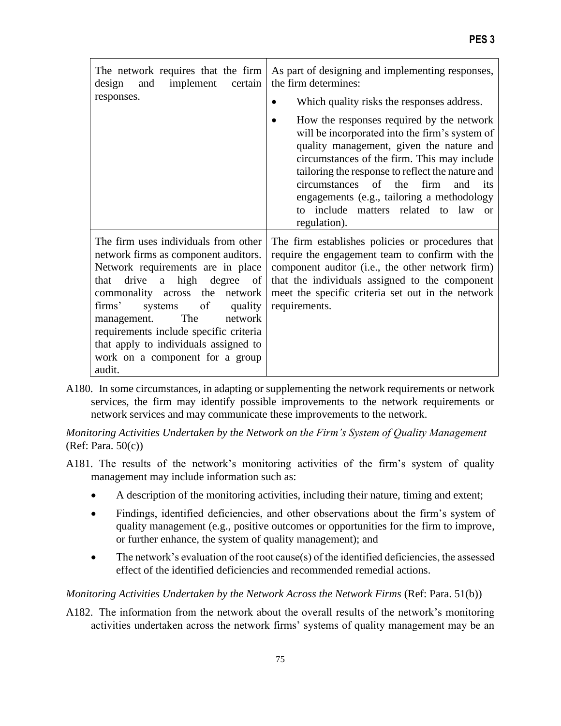| The network requires that the firm<br>implement<br>design<br>and<br>certain                                                                                                                                                                                                                                                                                                                  | As part of designing and implementing responses,<br>the firm determines:                                                                                                                                                                                                                                                                                                                       |
|----------------------------------------------------------------------------------------------------------------------------------------------------------------------------------------------------------------------------------------------------------------------------------------------------------------------------------------------------------------------------------------------|------------------------------------------------------------------------------------------------------------------------------------------------------------------------------------------------------------------------------------------------------------------------------------------------------------------------------------------------------------------------------------------------|
| responses.                                                                                                                                                                                                                                                                                                                                                                                   | Which quality risks the responses address.                                                                                                                                                                                                                                                                                                                                                     |
|                                                                                                                                                                                                                                                                                                                                                                                              | How the responses required by the network<br>will be incorporated into the firm's system of<br>quality management, given the nature and<br>circumstances of the firm. This may include<br>tailoring the response to reflect the nature and<br>circumstances of the<br>firm<br>and<br>its<br>engagements (e.g., tailoring a methodology<br>to include matters related to law or<br>regulation). |
| The firm uses individuals from other<br>network firms as component auditors.<br>Network requirements are in place<br>that drive<br>a high degree of<br>commonality across the network<br>of<br>firms'<br>quality<br>systems<br>The<br>network<br>management.<br>requirements include specific criteria<br>that apply to individuals assigned to<br>work on a component for a group<br>audit. | The firm establishes policies or procedures that<br>require the engagement team to confirm with the<br>component auditor (i.e., the other network firm)<br>that the individuals assigned to the component<br>meet the specific criteria set out in the network<br>requirements.                                                                                                                |

A180. In some circumstances, in adapting or supplementing the network requirements or network services, the firm may identify possible improvements to the network requirements or network services and may communicate these improvements to the network.

*Monitoring Activities Undertaken by the Network on the Firm's System of Quality Management*  (Ref: Para. 50(c))

- A181. The results of the network's monitoring activities of the firm's system of quality management may include information such as:
	- A description of the monitoring activities, including their nature, timing and extent;
	- Findings, identified deficiencies, and other observations about the firm's system of quality management (e.g., positive outcomes or opportunities for the firm to improve, or further enhance, the system of quality management); and
	- The network's evaluation of the root cause(s) of the identified deficiencies, the assessed effect of the identified deficiencies and recommended remedial actions.

# *Monitoring Activities Undertaken by the Network Across the Network Firms* (Ref: Para. 51(b))

A182. The information from the network about the overall results of the network's monitoring activities undertaken across the network firms' systems of quality management may be an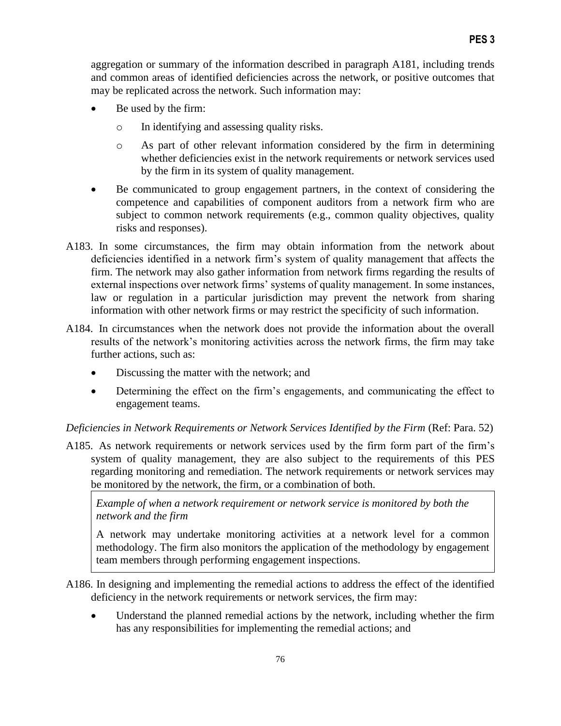aggregation or summary of the information described in paragraph A181, including trends and common areas of identified deficiencies across the network, or positive outcomes that may be replicated across the network. Such information may:

- Be used by the firm:
	- o In identifying and assessing quality risks.
	- o As part of other relevant information considered by the firm in determining whether deficiencies exist in the network requirements or network services used by the firm in its system of quality management.
- Be communicated to group engagement partners, in the context of considering the competence and capabilities of component auditors from a network firm who are subject to common network requirements (e.g., common quality objectives, quality risks and responses).
- A183. In some circumstances, the firm may obtain information from the network about deficiencies identified in a network firm's system of quality management that affects the firm. The network may also gather information from network firms regarding the results of external inspections over network firms' systems of quality management. In some instances, law or regulation in a particular jurisdiction may prevent the network from sharing information with other network firms or may restrict the specificity of such information.
- A184. In circumstances when the network does not provide the information about the overall results of the network's monitoring activities across the network firms, the firm may take further actions, such as:
	- Discussing the matter with the network; and
	- Determining the effect on the firm's engagements, and communicating the effect to engagement teams.

*Deficiencies in Network Requirements or Network Services Identified by the Firm (Ref: Para. 52)* 

A185. As network requirements or network services used by the firm form part of the firm's system of quality management, they are also subject to the requirements of this PES regarding monitoring and remediation. The network requirements or network services may be monitored by the network, the firm, or a combination of both.

*Example of when a network requirement or network service is monitored by both the network and the firm*

A network may undertake monitoring activities at a network level for a common methodology. The firm also monitors the application of the methodology by engagement team members through performing engagement inspections.

- A186. In designing and implementing the remedial actions to address the effect of the identified deficiency in the network requirements or network services, the firm may:
	- Understand the planned remedial actions by the network, including whether the firm has any responsibilities for implementing the remedial actions; and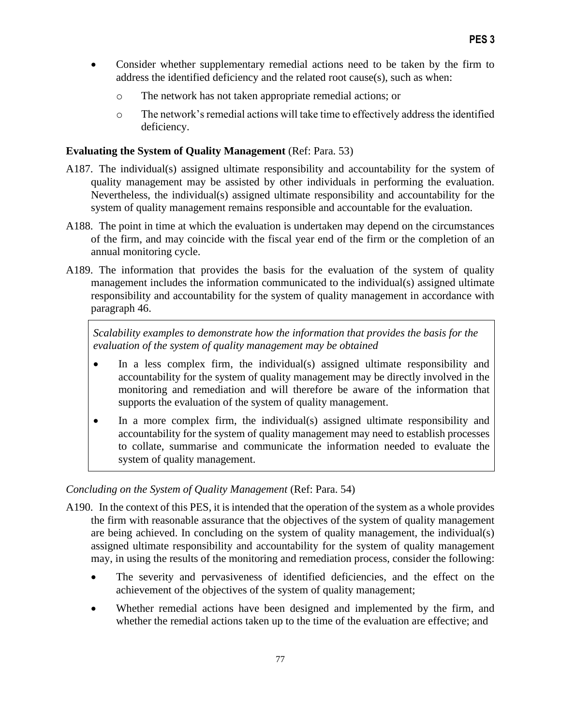- Consider whether supplementary remedial actions need to be taken by the firm to address the identified deficiency and the related root cause(s), such as when:
	- o The network has not taken appropriate remedial actions; or
	- o The network's remedial actions will take time to effectively address the identified deficiency.

## **Evaluating the System of Quality Management** (Ref: Para. 53)

- A187. The individual(s) assigned ultimate responsibility and accountability for the system of quality management may be assisted by other individuals in performing the evaluation. Nevertheless, the individual(s) assigned ultimate responsibility and accountability for the system of quality management remains responsible and accountable for the evaluation.
- A188. The point in time at which the evaluation is undertaken may depend on the circumstances of the firm, and may coincide with the fiscal year end of the firm or the completion of an annual monitoring cycle.
- A189. The information that provides the basis for the evaluation of the system of quality management includes the information communicated to the individual(s) assigned ultimate responsibility and accountability for the system of quality management in accordance with paragraph 46.

*Scalability examples to demonstrate how the information that provides the basis for the evaluation of the system of quality management may be obtained*

- In a less complex firm, the individual(s) assigned ultimate responsibility and accountability for the system of quality management may be directly involved in the monitoring and remediation and will therefore be aware of the information that supports the evaluation of the system of quality management.
- In a more complex firm, the individual(s) assigned ultimate responsibility and accountability for the system of quality management may need to establish processes to collate, summarise and communicate the information needed to evaluate the system of quality management.

#### *Concluding on the System of Quality Management* (Ref: Para. 54)

- A190. In the context of this PES, it is intended that the operation of the system as a whole provides the firm with reasonable assurance that the objectives of the system of quality management are being achieved. In concluding on the system of quality management, the individual(s) assigned ultimate responsibility and accountability for the system of quality management may, in using the results of the monitoring and remediation process, consider the following:
	- The severity and pervasiveness of identified deficiencies, and the effect on the achievement of the objectives of the system of quality management;
	- Whether remedial actions have been designed and implemented by the firm, and whether the remedial actions taken up to the time of the evaluation are effective; and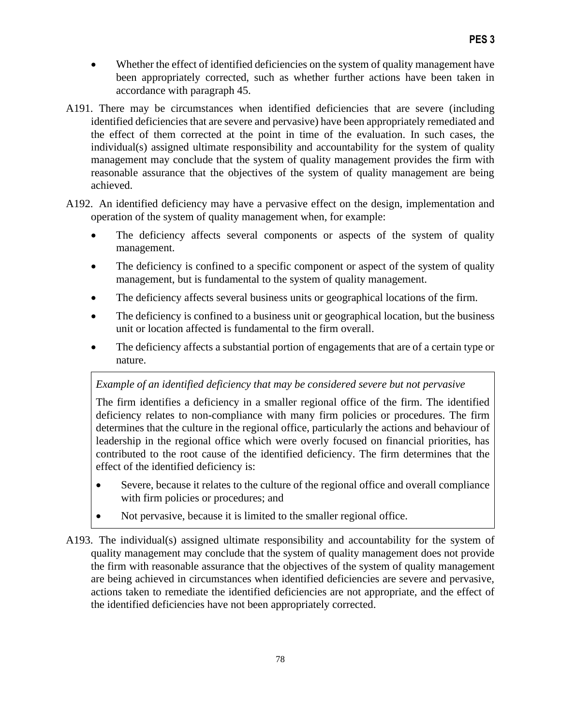- Whether the effect of identified deficiencies on the system of quality management have been appropriately corrected, such as whether further actions have been taken in accordance with paragraph 45.
- A191. There may be circumstances when identified deficiencies that are severe (including identified deficiencies that are severe and pervasive) have been appropriately remediated and the effect of them corrected at the point in time of the evaluation. In such cases, the individual(s) assigned ultimate responsibility and accountability for the system of quality management may conclude that the system of quality management provides the firm with reasonable assurance that the objectives of the system of quality management are being achieved.
- A192. An identified deficiency may have a pervasive effect on the design, implementation and operation of the system of quality management when, for example:
	- The deficiency affects several components or aspects of the system of quality management.
	- The deficiency is confined to a specific component or aspect of the system of quality management, but is fundamental to the system of quality management.
	- The deficiency affects several business units or geographical locations of the firm.
	- The deficiency is confined to a business unit or geographical location, but the business unit or location affected is fundamental to the firm overall.
	- The deficiency affects a substantial portion of engagements that are of a certain type or nature.

# *Example of an identified deficiency that may be considered severe but not pervasive*

The firm identifies a deficiency in a smaller regional office of the firm. The identified deficiency relates to non-compliance with many firm policies or procedures. The firm determines that the culture in the regional office, particularly the actions and behaviour of leadership in the regional office which were overly focused on financial priorities, has contributed to the root cause of the identified deficiency. The firm determines that the effect of the identified deficiency is:

- Severe, because it relates to the culture of the regional office and overall compliance with firm policies or procedures; and
- Not pervasive, because it is limited to the smaller regional office.
- A193. The individual(s) assigned ultimate responsibility and accountability for the system of quality management may conclude that the system of quality management does not provide the firm with reasonable assurance that the objectives of the system of quality management are being achieved in circumstances when identified deficiencies are severe and pervasive, actions taken to remediate the identified deficiencies are not appropriate, and the effect of the identified deficiencies have not been appropriately corrected.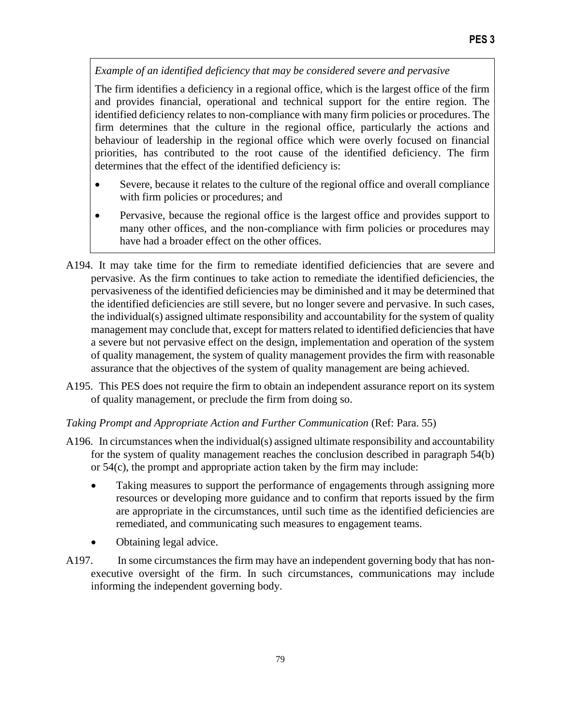*Example of an identified deficiency that may be considered severe and pervasive* 

The firm identifies a deficiency in a regional office, which is the largest office of the firm and provides financial, operational and technical support for the entire region. The identified deficiency relates to non-compliance with many firm policies or procedures. The firm determines that the culture in the regional office, particularly the actions and behaviour of leadership in the regional office which were overly focused on financial priorities, has contributed to the root cause of the identified deficiency. The firm determines that the effect of the identified deficiency is:

- Severe, because it relates to the culture of the regional office and overall compliance with firm policies or procedures; and
- Pervasive, because the regional office is the largest office and provides support to many other offices, and the non-compliance with firm policies or procedures may have had a broader effect on the other offices.
- A194. It may take time for the firm to remediate identified deficiencies that are severe and pervasive. As the firm continues to take action to remediate the identified deficiencies, the pervasiveness of the identified deficiencies may be diminished and it may be determined that the identified deficiencies are still severe, but no longer severe and pervasive. In such cases, the individual(s) assigned ultimate responsibility and accountability for the system of quality management may conclude that, except for matters related to identified deficiencies that have a severe but not pervasive effect on the design, implementation and operation of the system of quality management, the system of quality management provides the firm with reasonable assurance that the objectives of the system of quality management are being achieved.
- A195. This PES does not require the firm to obtain an independent assurance report on its system of quality management, or preclude the firm from doing so.

#### *Taking Prompt and Appropriate Action and Further Communication* (Ref: Para. 55)

- A196. In circumstances when the individual(s) assigned ultimate responsibility and accountability for the system of quality management reaches the conclusion described in paragraph 54(b) or 54(c), the prompt and appropriate action taken by the firm may include:
	- Taking measures to support the performance of engagements through assigning more resources or developing more guidance and to confirm that reports issued by the firm are appropriate in the circumstances, until such time as the identified deficiencies are remediated, and communicating such measures to engagement teams.
	- Obtaining legal advice.
- A197. In some circumstances the firm may have an independent governing body that has nonexecutive oversight of the firm. In such circumstances, communications may include informing the independent governing body.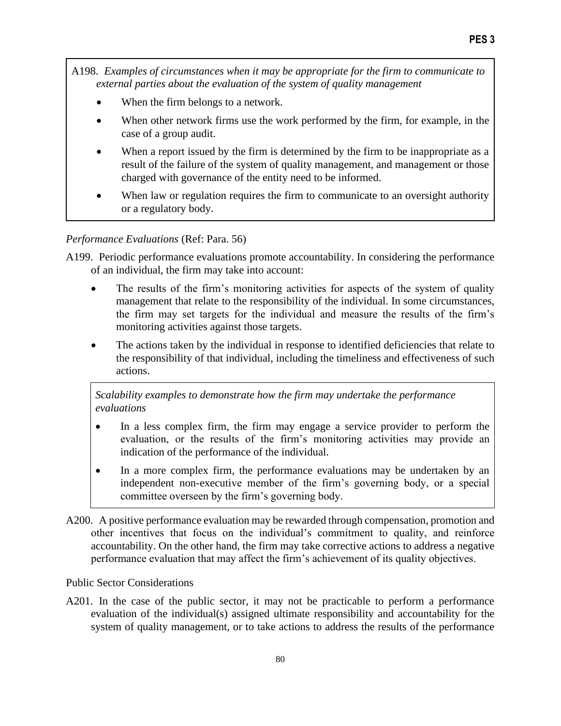A198. *Examples of circumstances when it may be appropriate for the firm to communicate to external parties about the evaluation of the system of quality management*

- When the firm belongs to a network.
- When other network firms use the work performed by the firm, for example, in the case of a group audit.
- When a report issued by the firm is determined by the firm to be inappropriate as a result of the failure of the system of quality management, and management or those charged with governance of the entity need to be informed.
- When law or regulation requires the firm to communicate to an oversight authority or a regulatory body.

*Performance Evaluations* (Ref: Para. 56)

A199. Periodic performance evaluations promote accountability. In considering the performance of an individual, the firm may take into account:

- The results of the firm's monitoring activities for aspects of the system of quality management that relate to the responsibility of the individual. In some circumstances, the firm may set targets for the individual and measure the results of the firm's monitoring activities against those targets.
- The actions taken by the individual in response to identified deficiencies that relate to the responsibility of that individual, including the timeliness and effectiveness of such actions.

*Scalability examples to demonstrate how the firm may undertake the performance evaluations*

- In a less complex firm, the firm may engage a service provider to perform the evaluation, or the results of the firm's monitoring activities may provide an indication of the performance of the individual.
- In a more complex firm, the performance evaluations may be undertaken by an independent non-executive member of the firm's governing body, or a special committee overseen by the firm's governing body.
- A200. A positive performance evaluation may be rewarded through compensation, promotion and other incentives that focus on the individual's commitment to quality, and reinforce accountability. On the other hand, the firm may take corrective actions to address a negative performance evaluation that may affect the firm's achievement of its quality objectives.

Public Sector Considerations

A201. In the case of the public sector, it may not be practicable to perform a performance evaluation of the individual(s) assigned ultimate responsibility and accountability for the system of quality management, or to take actions to address the results of the performance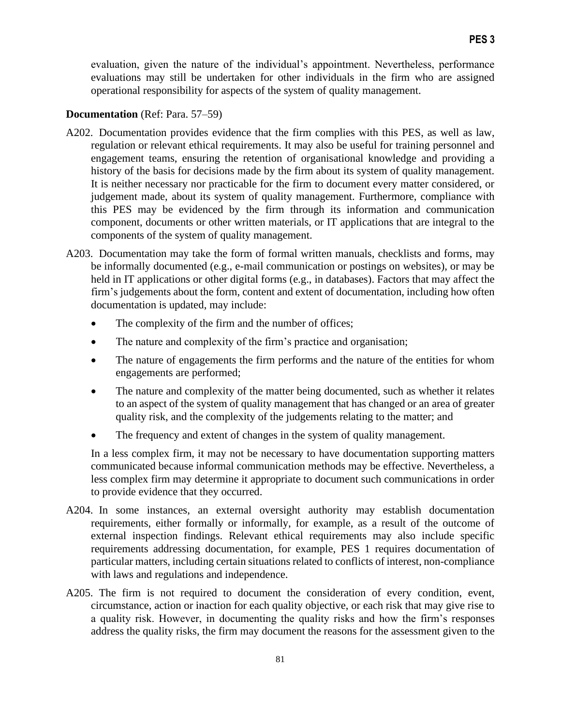evaluation, given the nature of the individual's appointment. Nevertheless, performance evaluations may still be undertaken for other individuals in the firm who are assigned operational responsibility for aspects of the system of quality management.

#### **Documentation** (Ref: Para. 57–59)

- A202. Documentation provides evidence that the firm complies with this PES, as well as law, regulation or relevant ethical requirements. It may also be useful for training personnel and engagement teams, ensuring the retention of organisational knowledge and providing a history of the basis for decisions made by the firm about its system of quality management. It is neither necessary nor practicable for the firm to document every matter considered, or judgement made, about its system of quality management. Furthermore, compliance with this PES may be evidenced by the firm through its information and communication component, documents or other written materials, or IT applications that are integral to the components of the system of quality management.
- A203. Documentation may take the form of formal written manuals, checklists and forms, may be informally documented (e.g., e-mail communication or postings on websites), or may be held in IT applications or other digital forms (e.g., in databases). Factors that may affect the firm's judgements about the form, content and extent of documentation, including how often documentation is updated, may include:
	- The complexity of the firm and the number of offices;
	- The nature and complexity of the firm's practice and organisation;
	- The nature of engagements the firm performs and the nature of the entities for whom engagements are performed;
	- The nature and complexity of the matter being documented, such as whether it relates to an aspect of the system of quality management that has changed or an area of greater quality risk, and the complexity of the judgements relating to the matter; and
	- The frequency and extent of changes in the system of quality management.

In a less complex firm, it may not be necessary to have documentation supporting matters communicated because informal communication methods may be effective. Nevertheless, a less complex firm may determine it appropriate to document such communications in order to provide evidence that they occurred.

- A204. In some instances, an external oversight authority may establish documentation requirements, either formally or informally, for example, as a result of the outcome of external inspection findings. Relevant ethical requirements may also include specific requirements addressing documentation, for example, PES 1 requires documentation of particular matters, including certain situations related to conflicts of interest, non-compliance with laws and regulations and independence.
- A205. The firm is not required to document the consideration of every condition, event, circumstance, action or inaction for each quality objective, or each risk that may give rise to a quality risk. However, in documenting the quality risks and how the firm's responses address the quality risks, the firm may document the reasons for the assessment given to the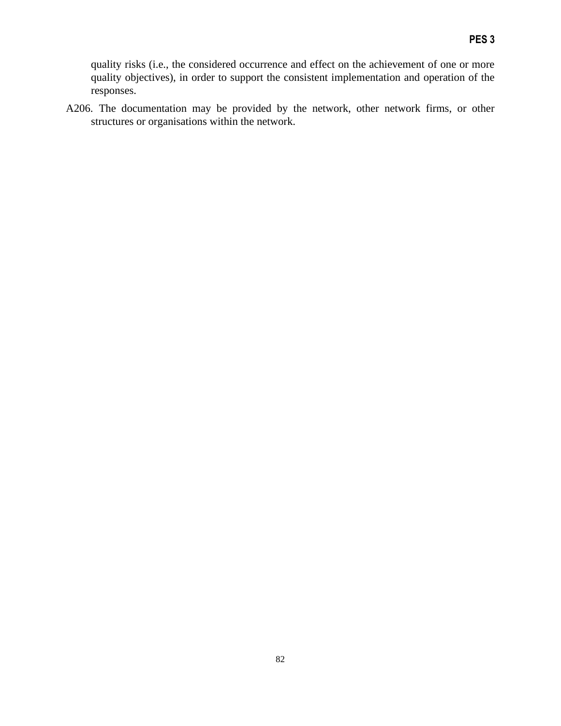quality risks (i.e., the considered occurrence and effect on the achievement of one or more quality objectives), in order to support the consistent implementation and operation of the responses.

A206. The documentation may be provided by the network, other network firms, or other structures or organisations within the network.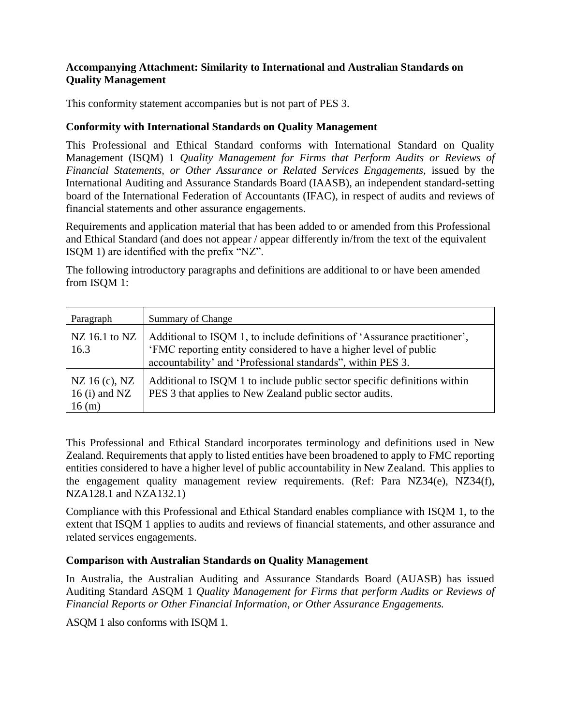## **Accompanying Attachment: Similarity to International and Australian Standards on Quality Management**

This conformity statement accompanies but is not part of PES 3.

## **Conformity with International Standards on Quality Management**

This Professional and Ethical Standard conforms with International Standard on Quality Management (ISQM) 1 *Quality Management for Firms that Perform Audits or Reviews of Financial Statements, or Other Assurance or Related Services Engagements,* issued by the International Auditing and Assurance Standards Board (IAASB), an independent standard-setting board of the International Federation of Accountants (IFAC), in respect of audits and reviews of financial statements and other assurance engagements.

Requirements and application material that has been added to or amended from this Professional and Ethical Standard (and does not appear / appear differently in/from the text of the equivalent ISQM 1) are identified with the prefix "NZ".

The following introductory paragraphs and definitions are additional to or have been amended from ISQM 1:

| Paragraph                                 | Summary of Change                                                                                                                                                                                              |
|-------------------------------------------|----------------------------------------------------------------------------------------------------------------------------------------------------------------------------------------------------------------|
| NZ $16.1$ to NZ<br>16.3                   | Additional to ISQM 1, to include definitions of 'Assurance practitioner',<br>'FMC reporting entity considered to have a higher level of public<br>accountability' and 'Professional standards'', within PES 3. |
| NZ 16 (c), NZ<br>16 $(i)$ and NZ<br>16(m) | Additional to ISQM 1 to include public sector specific definitions within<br>PES 3 that applies to New Zealand public sector audits.                                                                           |

This Professional and Ethical Standard incorporates terminology and definitions used in New Zealand. Requirements that apply to listed entities have been broadened to apply to FMC reporting entities considered to have a higher level of public accountability in New Zealand. This applies to the engagement quality management review requirements. (Ref: Para NZ34(e), NZ34(f), NZA128.1 and NZA132.1)

Compliance with this Professional and Ethical Standard enables compliance with ISQM 1, to the extent that ISQM 1 applies to audits and reviews of financial statements, and other assurance and related services engagements.

# **Comparison with Australian Standards on Quality Management**

In Australia, the Australian Auditing and Assurance Standards Board (AUASB) has issued Auditing Standard ASQM 1 *Quality Management for Firms that perform Audits or Reviews of Financial Reports or Other Financial Information, or Other Assurance Engagements.*

ASQM 1 also conforms with ISQM 1.